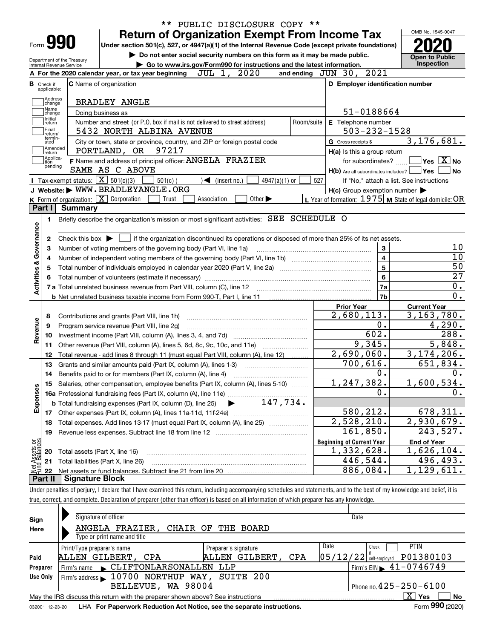|                                                        | Form 990               | <b>Return of Organization Exempt From Income Tax</b><br>Under section 501(c), 527, or 4947(a)(1) of the Internal Revenue Code (except private foundations)                 |                                                           | OMB No. 1545-0047                       |
|--------------------------------------------------------|------------------------|----------------------------------------------------------------------------------------------------------------------------------------------------------------------------|-----------------------------------------------------------|-----------------------------------------|
|                                                        |                        | Do not enter social security numbers on this form as it may be made public.                                                                                                |                                                           |                                         |
| Department of the Treasury<br>Internal Revenue Service |                        | Go to www.irs.gov/Form990 for instructions and the latest information.                                                                                                     |                                                           | <b>Open to Public</b><br>Inspection     |
|                                                        |                        | 2020<br>A For the 2020 calendar year, or tax year beginning<br>JUL 1,                                                                                                      | 2021<br>and ending JUN 30,                                |                                         |
| В<br>Check if<br>applicable:                           |                        | <b>C</b> Name of organization                                                                                                                                              | D Employer identification number                          |                                         |
| Address<br>change                                      |                        | <b>BRADLEY ANGLE</b>                                                                                                                                                       |                                                           |                                         |
| Name<br>change                                         |                        | Doing business as                                                                                                                                                          | 51-0188664                                                |                                         |
| Initial<br>return                                      |                        | Number and street (or P.O. box if mail is not delivered to street address)<br>Room/suite                                                                                   | E Telephone number                                        |                                         |
| Final<br>return/<br>termin-                            |                        | 5432 NORTH ALBINA AVENUE                                                                                                                                                   | $503 - 232 - 1528$                                        |                                         |
| ated<br>Amended                                        |                        | City or town, state or province, country, and ZIP or foreign postal code<br>97217                                                                                          | G Gross receipts \$                                       | 3, 176, 681.                            |
| return<br> Applica-                                    |                        | PORTLAND, OR<br>F Name and address of principal officer: $\text{ANGELA}$ FRAZ $\overline{\text{IER}}$                                                                      | H(a) Is this a group return<br>for subordinates?          | $\Box$ Yes $[\overline{\mathrm{X}}]$ No |
| tion<br>pending                                        |                        | SAME AS C ABOVE                                                                                                                                                            | $H(b)$ Are all subordinates included? $\Box$ Yes          | l No                                    |
|                                                        |                        | Tax-exempt status: $\boxed{\mathbf{X}}$ 501(c)(3)<br>$\sqrt{\bullet}$ (insert no.)<br>4947(a)(1) or<br>$501(c)$ (                                                          | 527<br>If "No," attach a list. See instructions           |                                         |
|                                                        |                        | J Website: WWW.BRADLEYANGLE.ORG                                                                                                                                            | $H(c)$ Group exemption number $\blacktriangleright$       |                                         |
|                                                        |                        | <b>K</b> Form of organization: $\boxed{\mathbf{X}}$ Corporation<br>Association<br>Other $\blacktriangleright$<br>Trust                                                     | L Year of formation: $1975$ M State of legal domicile: OR |                                         |
| Part I                                                 | <b>Summary</b>         |                                                                                                                                                                            |                                                           |                                         |
| 1.                                                     |                        | Briefly describe the organization's mission or most significant activities: SEE SCHEDULE O                                                                                 |                                                           |                                         |
|                                                        |                        |                                                                                                                                                                            |                                                           |                                         |
| 2                                                      |                        |                                                                                                                                                                            |                                                           |                                         |
| 3                                                      |                        | Number of voting members of the governing body (Part VI, line 1a)                                                                                                          | 3                                                         |                                         |
| Governance<br>4                                        |                        |                                                                                                                                                                            | 4                                                         |                                         |
| 5                                                      |                        |                                                                                                                                                                            | 5                                                         |                                         |
| 6                                                      |                        |                                                                                                                                                                            | 6                                                         |                                         |
| <b>Activities &amp;</b>                                |                        |                                                                                                                                                                            | 7a                                                        |                                         |
|                                                        |                        |                                                                                                                                                                            | 7b                                                        |                                         |
|                                                        |                        |                                                                                                                                                                            | <b>Prior Year</b>                                         | <b>Current Year</b>                     |
| 8                                                      |                        | Contributions and grants (Part VIII, line 1h)                                                                                                                              | 2,680,113.                                                | 3, 163, 780.                            |
| 9                                                      |                        | Program service revenue (Part VIII, line 2g)                                                                                                                               | Ο.                                                        | 4,290.                                  |
| Revenue                                                |                        |                                                                                                                                                                            | 602.                                                      | 288.                                    |
| 10                                                     |                        |                                                                                                                                                                            | 9,345.                                                    | 5,848.                                  |
| 11                                                     |                        | Other revenue (Part VIII, column (A), lines 5, 6d, 8c, 9c, 10c, and 11e)                                                                                                   | $\overline{2,690,060}$ .                                  | 3,174,206.                              |
| 12                                                     |                        | Total revenue - add lines 8 through 11 (must equal Part VIII, column (A), line 12)                                                                                         | 700,616.                                                  |                                         |
| 13                                                     |                        | Grants and similar amounts paid (Part IX, column (A), lines 1-3)                                                                                                           |                                                           | 651,834.                                |
| 14                                                     |                        | Benefits paid to or for members (Part IX, column (A), line 4)                                                                                                              | 0.                                                        |                                         |
| 15                                                     |                        | Salaries, other compensation, employee benefits (Part IX, column (A), lines 5-10)                                                                                          | 1,247,382.                                                | 1,600,534.                              |
|                                                        |                        |                                                                                                                                                                            | Ο.                                                        |                                         |
| Expenses                                               |                        |                                                                                                                                                                            |                                                           |                                         |
| 17                                                     |                        |                                                                                                                                                                            | 580,212.                                                  | 678, 311.                               |
|                                                        |                        | Total expenses. Add lines 13-17 (must equal Part IX, column (A), line 25)                                                                                                  | 2,528,210.                                                |                                         |
| 18                                                     |                        |                                                                                                                                                                            |                                                           |                                         |
| 19                                                     |                        |                                                                                                                                                                            | $161,850$ .                                               |                                         |
|                                                        |                        |                                                                                                                                                                            | <b>Beginning of Current Year</b>                          | <b>End of Year</b>                      |
| 20                                                     |                        | Total assets (Part X, line 16)                                                                                                                                             | 1,332,628.                                                | 2,930,679.<br>243,527.<br>1,626,104.    |
| t Assets or<br>d Balances<br>21                        |                        | Total liabilities (Part X, line 26)                                                                                                                                        | 446,544.                                                  | 496,493.                                |
| 22                                                     |                        |                                                                                                                                                                            | 886,084.                                                  | 1,129,611.                              |
| Part II                                                | <b>Signature Block</b> | Under penalties of perjury, I declare that I have examined this return, including accompanying schedules and statements, and to the best of my knowledge and belief, it is |                                                           |                                         |

| Sign     | Signature of officer                                                            |                              | Date                                         |
|----------|---------------------------------------------------------------------------------|------------------------------|----------------------------------------------|
| Here     | ANGELA FRAZIER, CHAIR OF THE BOARD                                              |                              |                                              |
|          | Type or print name and title                                                    |                              |                                              |
|          | Print/Type preparer's name                                                      | Date<br>Preparer's signature | <b>PTIN</b><br>Check                         |
| Paid     | ALLEN GILBERT, CPA                                                              | ALLEN GILBERT,<br>CPA        | P01380103<br>$05/12/22$ self-employed        |
| Preparer | $\blacktriangleright$ CLIFTONLARSONALLEN<br>Firm's name                         | LLP                          | $\frac{1}{2}$ Firm's EIN $\geq 41 - 0746749$ |
| Use Only | Firm's address 10700 NORTHUP WAY, SUITE 200                                     |                              |                                              |
|          | BELLEVUE, WA 98004                                                              | Phone no. $425 - 250 - 6100$ |                                              |
|          | May the IRS discuss this return with the preparer shown above? See instructions |                              | X.<br><b>No</b><br>Yes                       |
|          |                                                                                 |                              | $\cdots$                                     |

032001 12-23-20 LHA **For Paperwork Reduction Act Notice, see the separate instructions. Form 990 (2020)**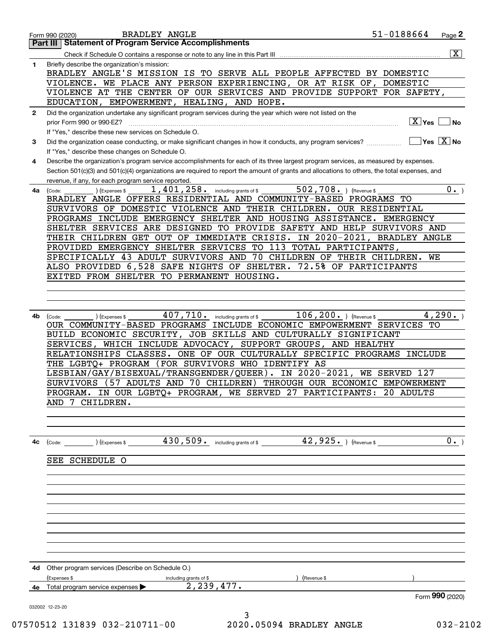|              | 51-0188664<br><b>BRADLEY ANGLE</b><br>Form 990 (2020)                                                                                                                                   | Page 2                                 |
|--------------|-----------------------------------------------------------------------------------------------------------------------------------------------------------------------------------------|----------------------------------------|
|              | <b>Statement of Program Service Accomplishments</b><br>Part III                                                                                                                         |                                        |
|              |                                                                                                                                                                                         | $\overline{\mathbf{x}}$                |
| 1            | Briefly describe the organization's mission:<br>BRADLEY ANGLE'S MISSION IS TO SERVE ALL PEOPLE AFFECTED BY DOMESTIC                                                                     |                                        |
|              | VIOLENCE. WE PLACE ANY PERSON EXPERIENCING, OR AT RISK OF, DOMESTIC                                                                                                                     |                                        |
|              | VIOLENCE AT THE CENTER OF OUR SERVICES AND PROVIDE SUPPORT FOR SAFETY,                                                                                                                  |                                        |
|              | EDUCATION, EMPOWERMENT, HEALING, AND HOPE.                                                                                                                                              |                                        |
| $\mathbf{2}$ | Did the organization undertake any significant program services during the year which were not listed on the                                                                            |                                        |
|              | prior Form 990 or 990-EZ?                                                                                                                                                               | $ X $ Yes $ $ No                       |
|              | If "Yes," describe these new services on Schedule O.                                                                                                                                    |                                        |
| 3            | Did the organization cease conducting, or make significant changes in how it conducts, any program services?                                                                            | $\sqrt{}$ Yes $\sqrt{}$ X $\sqrt{}$ No |
| 4            | If "Yes," describe these changes on Schedule O.<br>Describe the organization's program service accomplishments for each of its three largest program services, as measured by expenses. |                                        |
|              | Section 501(c)(3) and 501(c)(4) organizations are required to report the amount of grants and allocations to others, the total expenses, and                                            |                                        |
|              | revenue, if any, for each program service reported.                                                                                                                                     |                                        |
| 4a           | $\overline{502}$ , $708.$ ) (Revenue \$<br>$1,401,258$ and including grants of \$<br>(Expenses \$<br>(Code:                                                                             | $0 \cdot$                              |
|              | BRADLEY ANGLE OFFERS RESIDENTIAL AND COMMUNITY-BASED PROGRAMS TO                                                                                                                        |                                        |
|              | SURVIVORS OF DOMESTIC VIOLENCE AND THEIR CHILDREN. OUR RESIDENTIAL                                                                                                                      |                                        |
|              | PROGRAMS INCLUDE EMERGENCY SHELTER AND HOUSING ASSISTANCE. EMERGENCY<br>SHELTER SERVICES ARE DESIGNED TO PROVIDE SAFETY AND HELP SURVIVORS AND                                          |                                        |
|              | THEIR CHILDREN GET OUT OF IMMEDIATE CRISIS. IN 2020-2021, BRADLEY ANGLE                                                                                                                 |                                        |
|              | PROVIDED EMERGENCY SHELTER SERVICES TO 113 TOTAL PARTICIPANTS,                                                                                                                          |                                        |
|              | SPECIFICALLY 43 ADULT SURVIVORS AND 70 CHILDREN OF THEIR CHILDREN.                                                                                                                      | WE                                     |
|              | ALSO PROVIDED 6,528 SAFE NIGHTS OF SHELTER. 72.5% OF PARTICIPANTS                                                                                                                       |                                        |
|              | EXITED FROM SHELTER TO PERMANENT HOUSING.                                                                                                                                               |                                        |
|              |                                                                                                                                                                                         |                                        |
|              |                                                                                                                                                                                         |                                        |
| 4b           | 407,710.<br>106,200. ) (Revenue \$<br>including grants of \$<br>) (Expenses \$<br>(Code:                                                                                                | 4,290.                                 |
|              | OUR COMMUNITY-BASED PROGRAMS INCLUDE ECONOMIC EMPOWERMENT SERVICES TO                                                                                                                   |                                        |
|              | BUILD ECONOMIC SECURITY, JOB SKILLS AND CULTURALLY SIGNIFICANT                                                                                                                          |                                        |
|              | SERVICES, WHICH INCLUDE ADVOCACY, SUPPORT GROUPS, AND HEALTHY                                                                                                                           |                                        |
|              | RELATIONSHIPS CLASSES. ONE OF OUR CULTURALLY SPECIFIC PROGRAMS INCLUDE                                                                                                                  |                                        |
|              | THE LGBTQ+ PROGRAM (FOR SURVIVORS WHO IDENTIFY AS                                                                                                                                       |                                        |
|              | LESBIAN/GAY/BISEXUAL/TRANSGENDER/QUEER). IN 2020-2021,<br>WE SERVED 127<br>SURVIVORS (57 ADULTS AND 70 CHILDREN)<br>THROUGH OUR ECONOMIC EMPOWERMENT                                    |                                        |
|              | PROGRAM. IN OUR LGBTQ+ PROGRAM, WE SERVED 27 PARTICIPANTS: 20 ADULTS                                                                                                                    |                                        |
|              | AND 7 CHILDREN.                                                                                                                                                                         |                                        |
|              |                                                                                                                                                                                         |                                        |
|              |                                                                                                                                                                                         |                                        |
|              |                                                                                                                                                                                         |                                        |
| 4c           |                                                                                                                                                                                         | $\overline{0 \cdot}$ )                 |
|              | SEE SCHEDULE O                                                                                                                                                                          |                                        |
|              |                                                                                                                                                                                         |                                        |
|              |                                                                                                                                                                                         |                                        |
|              |                                                                                                                                                                                         |                                        |
|              |                                                                                                                                                                                         |                                        |
|              |                                                                                                                                                                                         |                                        |
|              |                                                                                                                                                                                         |                                        |
|              |                                                                                                                                                                                         |                                        |
|              |                                                                                                                                                                                         |                                        |
|              |                                                                                                                                                                                         |                                        |
| 4d           | Other program services (Describe on Schedule O.)                                                                                                                                        |                                        |
|              | (Expenses \$<br>including grants of \$<br>) (Revenue \$                                                                                                                                 |                                        |
|              | $\overline{2,239,477}$ .<br>4e Total program service expenses                                                                                                                           | Form 990 (2020)                        |
|              | 032002 12-23-20                                                                                                                                                                         |                                        |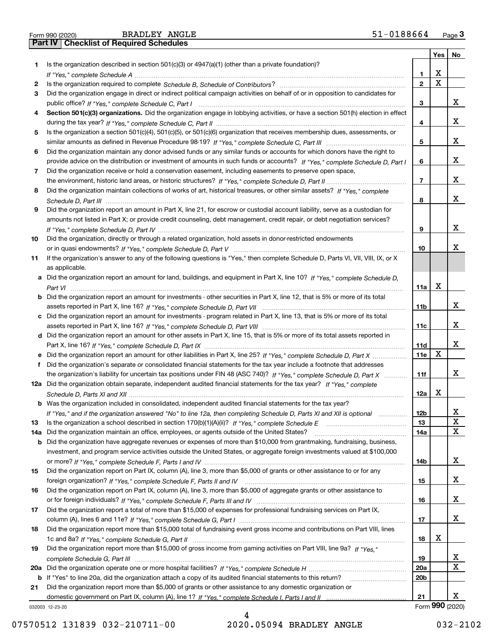|  | Form 990 (2020) |
|--|-----------------|

|    |                                                                                                                                                                                                                                |                 | Yes   No                |                 |
|----|--------------------------------------------------------------------------------------------------------------------------------------------------------------------------------------------------------------------------------|-----------------|-------------------------|-----------------|
| 1  | Is the organization described in section $501(c)(3)$ or $4947(a)(1)$ (other than a private foundation)?                                                                                                                        |                 |                         |                 |
|    | If "Yes," complete Schedule A (1) respectively contained a series of the Schedule A (1) respectively and the Schedule A (1) respectively and the Schedule A (1) respectively and the Schedule A (1) respectively and the Sched | 1               | X                       |                 |
| 2  |                                                                                                                                                                                                                                | $\overline{2}$  | $\overline{\mathbf{x}}$ |                 |
| 3  | Did the organization engage in direct or indirect political campaign activities on behalf of or in opposition to candidates for                                                                                                |                 |                         |                 |
|    |                                                                                                                                                                                                                                | 3               |                         | x               |
| 4  | Section 501(c)(3) organizations. Did the organization engage in lobbying activities, or have a section 501(h) election in effect                                                                                               |                 |                         |                 |
|    |                                                                                                                                                                                                                                | 4               |                         | X               |
| 5  | Is the organization a section 501(c)(4), 501(c)(5), or 501(c)(6) organization that receives membership dues, assessments, or                                                                                                   |                 |                         |                 |
|    |                                                                                                                                                                                                                                | 5               |                         | X               |
| 6  | Did the organization maintain any donor advised funds or any similar funds or accounts for which donors have the right to                                                                                                      |                 |                         |                 |
|    | provide advice on the distribution or investment of amounts in such funds or accounts? If "Yes," complete Schedule D, Part I                                                                                                   | 6               |                         | X               |
| 7  | Did the organization receive or hold a conservation easement, including easements to preserve open space,                                                                                                                      |                 |                         |                 |
|    |                                                                                                                                                                                                                                | 7               |                         | X               |
| 8  | Did the organization maintain collections of works of art, historical treasures, or other similar assets? If "Yes," complete                                                                                                   |                 |                         |                 |
|    |                                                                                                                                                                                                                                | 8               |                         | x               |
| 9  | Did the organization report an amount in Part X, line 21, for escrow or custodial account liability, serve as a custodian for                                                                                                  |                 |                         |                 |
|    | amounts not listed in Part X; or provide credit counseling, debt management, credit repair, or debt negotiation services?                                                                                                      |                 |                         | x               |
|    |                                                                                                                                                                                                                                | 9               |                         |                 |
| 10 | Did the organization, directly or through a related organization, hold assets in donor-restricted endowments                                                                                                                   |                 |                         | х               |
|    |                                                                                                                                                                                                                                | 10              |                         |                 |
| 11 | If the organization's answer to any of the following questions is "Yes," then complete Schedule D, Parts VI, VII, VIII, IX, or X                                                                                               |                 |                         |                 |
|    | as applicable.<br>a Did the organization report an amount for land, buildings, and equipment in Part X, line 10? If "Yes," complete Schedule D,                                                                                |                 |                         |                 |
|    |                                                                                                                                                                                                                                | 11a             | X                       |                 |
|    | <b>b</b> Did the organization report an amount for investments - other securities in Part X, line 12, that is 5% or more of its total                                                                                          |                 |                         |                 |
|    |                                                                                                                                                                                                                                | 11b             |                         | x               |
|    | c Did the organization report an amount for investments - program related in Part X, line 13, that is 5% or more of its total                                                                                                  |                 |                         |                 |
|    |                                                                                                                                                                                                                                | 11c             |                         | X               |
|    | d Did the organization report an amount for other assets in Part X, line 15, that is 5% or more of its total assets reported in                                                                                                |                 |                         |                 |
|    |                                                                                                                                                                                                                                | 11d             |                         | X               |
|    | e Did the organization report an amount for other liabilities in Part X, line 25? If "Yes," complete Schedule D, Part X                                                                                                        | 11e             | X                       |                 |
| f  | Did the organization's separate or consolidated financial statements for the tax year include a footnote that addresses                                                                                                        |                 |                         |                 |
|    | the organization's liability for uncertain tax positions under FIN 48 (ASC 740)? If "Yes," complete Schedule D, Part X                                                                                                         | 11f             |                         | x               |
|    | 12a Did the organization obtain separate, independent audited financial statements for the tax year? If "Yes," complete                                                                                                        |                 |                         |                 |
|    |                                                                                                                                                                                                                                | 12a             | Х                       |                 |
|    | <b>b</b> Was the organization included in consolidated, independent audited financial statements for the tax year?                                                                                                             |                 |                         |                 |
|    | If "Yes," and if the organization answered "No" to line 12a, then completing Schedule D, Parts XI and XII is optional                                                                                                          | 12 <sub>b</sub> |                         | х               |
| 13 |                                                                                                                                                                                                                                | 13              |                         | X               |
|    | 14a Did the organization maintain an office, employees, or agents outside of the United States?                                                                                                                                | 14a             |                         | X               |
|    | b Did the organization have aggregate revenues or expenses of more than \$10,000 from grantmaking, fundraising, business,                                                                                                      |                 |                         |                 |
|    | investment, and program service activities outside the United States, or aggregate foreign investments valued at \$100,000                                                                                                     |                 |                         |                 |
|    |                                                                                                                                                                                                                                | 14b             |                         | x               |
| 15 | Did the organization report on Part IX, column (A), line 3, more than \$5,000 of grants or other assistance to or for any                                                                                                      |                 |                         |                 |
|    |                                                                                                                                                                                                                                | 15              |                         | x               |
| 16 | Did the organization report on Part IX, column (A), line 3, more than \$5,000 of aggregate grants or other assistance to                                                                                                       |                 |                         |                 |
|    |                                                                                                                                                                                                                                | 16              |                         | X               |
| 17 | Did the organization report a total of more than \$15,000 of expenses for professional fundraising services on Part IX,                                                                                                        |                 |                         |                 |
|    |                                                                                                                                                                                                                                | 17              |                         | X               |
| 18 | Did the organization report more than \$15,000 total of fundraising event gross income and contributions on Part VIII, lines                                                                                                   |                 |                         |                 |
|    |                                                                                                                                                                                                                                | 18              | х                       |                 |
| 19 | Did the organization report more than \$15,000 of gross income from gaming activities on Part VIII, line 9a? If "Yes."                                                                                                         |                 |                         |                 |
|    |                                                                                                                                                                                                                                | 19              |                         | х               |
|    |                                                                                                                                                                                                                                | 20a             |                         | $\mathbf X$     |
|    | <b>b</b> If "Yes" to line 20a, did the organization attach a copy of its audited financial statements to this return?                                                                                                          | 20 <sub>b</sub> |                         |                 |
| 21 | Did the organization report more than \$5,000 of grants or other assistance to any domestic organization or                                                                                                                    |                 |                         |                 |
|    |                                                                                                                                                                                                                                | 21              |                         | x               |
|    | 032003 12-23-20                                                                                                                                                                                                                |                 |                         | Form 990 (2020) |

032003 12-23-20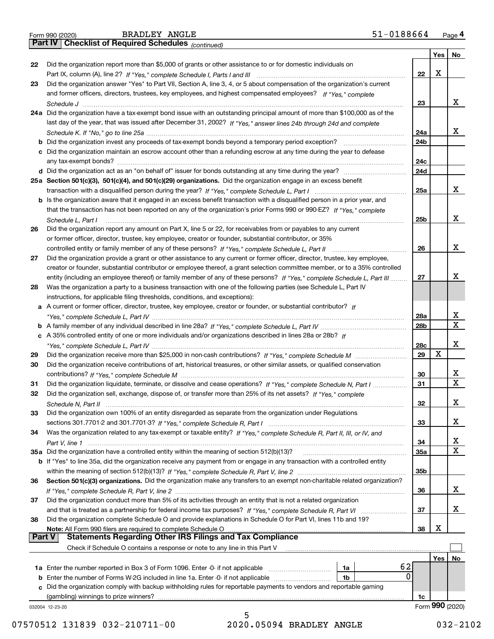|  | Form 990 (2020) |
|--|-----------------|

*(continued)*

|               |                                                                                                                                    |                 | Yes | No               |
|---------------|------------------------------------------------------------------------------------------------------------------------------------|-----------------|-----|------------------|
| 22            | Did the organization report more than \$5,000 of grants or other assistance to or for domestic individuals on                      |                 |     |                  |
|               |                                                                                                                                    | 22              | X   |                  |
| 23            | Did the organization answer "Yes" to Part VII, Section A, line 3, 4, or 5 about compensation of the organization's current         |                 |     |                  |
|               | and former officers, directors, trustees, key employees, and highest compensated employees? If "Yes," complete                     |                 |     |                  |
|               |                                                                                                                                    | 23              |     | x                |
|               | 24a Did the organization have a tax-exempt bond issue with an outstanding principal amount of more than \$100,000 as of the        |                 |     |                  |
|               | last day of the year, that was issued after December 31, 2002? If "Yes," answer lines 24b through 24d and complete                 |                 |     | x                |
|               | b Did the organization invest any proceeds of tax-exempt bonds beyond a temporary period exception?                                | 24a<br>24b      |     |                  |
|               | c Did the organization maintain an escrow account other than a refunding escrow at any time during the year to defease             |                 |     |                  |
|               |                                                                                                                                    | 24c             |     |                  |
|               | d Did the organization act as an "on behalf of" issuer for bonds outstanding at any time during the year?                          | 24d             |     |                  |
|               | 25a Section 501(c)(3), 501(c)(4), and 501(c)(29) organizations. Did the organization engage in an excess benefit                   |                 |     |                  |
|               |                                                                                                                                    | 25a             |     | x                |
|               | b Is the organization aware that it engaged in an excess benefit transaction with a disqualified person in a prior year, and       |                 |     |                  |
|               | that the transaction has not been reported on any of the organization's prior Forms 990 or 990-EZ? If "Yes," complete              |                 |     |                  |
|               | Schedule L. Part I                                                                                                                 | 25 <sub>b</sub> |     | x                |
| 26            | Did the organization report any amount on Part X, line 5 or 22, for receivables from or payables to any current                    |                 |     |                  |
|               | or former officer, director, trustee, key employee, creator or founder, substantial contributor, or 35%                            |                 |     |                  |
|               |                                                                                                                                    | 26              |     | x                |
| 27            | Did the organization provide a grant or other assistance to any current or former officer, director, trustee, key employee,        |                 |     |                  |
|               | creator or founder, substantial contributor or employee thereof, a grant selection committee member, or to a 35% controlled        |                 |     |                  |
|               | entity (including an employee thereof) or family member of any of these persons? If "Yes," complete Schedule L, Part III           | 27              |     | x                |
| 28            | Was the organization a party to a business transaction with one of the following parties (see Schedule L, Part IV                  |                 |     |                  |
|               | instructions, for applicable filing thresholds, conditions, and exceptions):                                                       |                 |     |                  |
|               | a A current or former officer, director, trustee, key employee, creator or founder, or substantial contributor? If                 |                 |     |                  |
|               |                                                                                                                                    | 28a             |     | х<br>$\mathbf x$ |
|               |                                                                                                                                    | 28 <sub>b</sub> |     |                  |
|               | c A 35% controlled entity of one or more individuals and/or organizations described in lines 28a or 28b? If                        | 28c             |     | x                |
| 29            |                                                                                                                                    | 29              | X   |                  |
| 30            | Did the organization receive contributions of art, historical treasures, or other similar assets, or qualified conservation        |                 |     |                  |
|               |                                                                                                                                    | 30              |     | x                |
| 31            | Did the organization liquidate, terminate, or dissolve and cease operations? If "Yes," complete Schedule N, Part I                 | 31              |     | $\mathbf X$      |
| 32            | Did the organization sell, exchange, dispose of, or transfer more than 25% of its net assets? If "Yes," complete                   |                 |     |                  |
|               |                                                                                                                                    | 32              |     | х                |
| 33            | Did the organization own 100% of an entity disregarded as separate from the organization under Regulations                         |                 |     |                  |
|               |                                                                                                                                    | 33              |     | х                |
| 34            | Was the organization related to any tax-exempt or taxable entity? If "Yes," complete Schedule R, Part II, III, or IV, and          |                 |     |                  |
|               |                                                                                                                                    | 34              |     | х                |
|               | 35a Did the organization have a controlled entity within the meaning of section 512(b)(13)?                                        | 35a             |     | X                |
|               | <b>b</b> If "Yes" to line 35a, did the organization receive any payment from or engage in any transaction with a controlled entity |                 |     |                  |
|               |                                                                                                                                    | 35 <sub>b</sub> |     |                  |
| 36            | Section 501(c)(3) organizations. Did the organization make any transfers to an exempt non-charitable related organization?         |                 |     |                  |
|               |                                                                                                                                    | 36              |     | x                |
| 37            | Did the organization conduct more than 5% of its activities through an entity that is not a related organization                   |                 |     |                  |
|               |                                                                                                                                    | 37              |     | x                |
| 38            | Did the organization complete Schedule O and provide explanations in Schedule O for Part VI, lines 11b and 19?                     |                 | X   |                  |
| <b>Part V</b> | Note: All Form 990 filers are required to complete Schedule O<br><b>Statements Regarding Other IRS Filings and Tax Compliance</b>  | 38              |     |                  |
|               | Check if Schedule O contains a response or note to any line in this Part V                                                         |                 |     |                  |
|               |                                                                                                                                    |                 | Yes | No               |
|               | 62<br>1a                                                                                                                           |                 |     |                  |
|               | 0<br><b>b</b> Enter the number of Forms W-2G included in line 1a. Enter -0- if not applicable<br>1b                                |                 |     |                  |
| c             | Did the organization comply with backup withholding rules for reportable payments to vendors and reportable gaming                 |                 |     |                  |
|               | (gambling) winnings to prize winners?                                                                                              | 1c              |     |                  |
|               | 032004 12-23-20                                                                                                                    |                 |     | Form 990 (2020)  |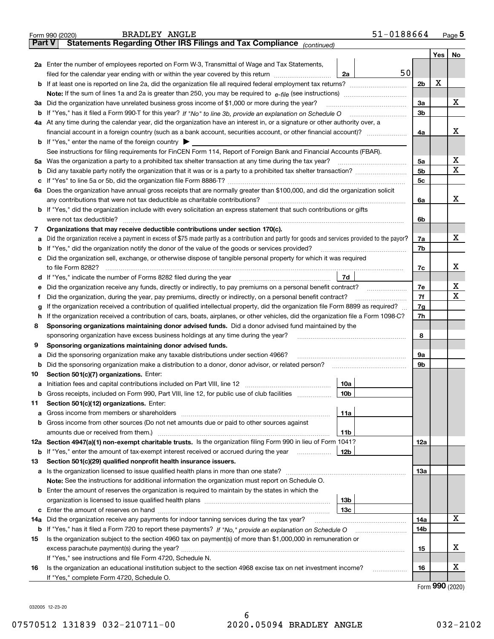|               | 51-0188664<br><b>BRADLEY ANGLE</b><br>Form 990 (2020)                                                                                           |                |         | Page 5 |  |  |  |  |  |  |
|---------------|-------------------------------------------------------------------------------------------------------------------------------------------------|----------------|---------|--------|--|--|--|--|--|--|
| <b>Part V</b> | Statements Regarding Other IRS Filings and Tax Compliance (continued)                                                                           |                |         |        |  |  |  |  |  |  |
|               |                                                                                                                                                 |                | Yes $ $ | No     |  |  |  |  |  |  |
|               | 2a Enter the number of employees reported on Form W-3, Transmittal of Wage and Tax Statements,                                                  |                |         |        |  |  |  |  |  |  |
|               | 50<br>filed for the calendar year ending with or within the year covered by this return <i>manumumumum</i><br>2a                                |                |         |        |  |  |  |  |  |  |
|               |                                                                                                                                                 |                |         |        |  |  |  |  |  |  |
|               |                                                                                                                                                 |                |         |        |  |  |  |  |  |  |
|               | 3a Did the organization have unrelated business gross income of \$1,000 or more during the year?                                                |                |         |        |  |  |  |  |  |  |
|               |                                                                                                                                                 | 3b             |         |        |  |  |  |  |  |  |
|               | 4a At any time during the calendar year, did the organization have an interest in, or a signature or other authority over, a                    |                |         |        |  |  |  |  |  |  |
|               |                                                                                                                                                 | 4a             |         | х      |  |  |  |  |  |  |
|               | <b>b</b> If "Yes," enter the name of the foreign country $\blacktriangleright$                                                                  |                |         |        |  |  |  |  |  |  |
|               | See instructions for filing requirements for FinCEN Form 114, Report of Foreign Bank and Financial Accounts (FBAR).                             |                |         |        |  |  |  |  |  |  |
|               | 5a Was the organization a party to a prohibited tax shelter transaction at any time during the tax year?                                        | 5a             |         | X      |  |  |  |  |  |  |
| b             |                                                                                                                                                 | 5 <sub>b</sub> |         | х      |  |  |  |  |  |  |
|               |                                                                                                                                                 | 5c             |         |        |  |  |  |  |  |  |
|               | 6a Does the organization have annual gross receipts that are normally greater than \$100,000, and did the organization solicit                  |                |         |        |  |  |  |  |  |  |
|               |                                                                                                                                                 | 6a             |         | х      |  |  |  |  |  |  |
|               | <b>b</b> If "Yes," did the organization include with every solicitation an express statement that such contributions or gifts                   |                |         |        |  |  |  |  |  |  |
|               | were not tax deductible?                                                                                                                        | 6b             |         |        |  |  |  |  |  |  |
| 7             | Organizations that may receive deductible contributions under section 170(c).                                                                   |                |         |        |  |  |  |  |  |  |
| а             | Did the organization receive a payment in excess of \$75 made partly as a contribution and partly for goods and services provided to the payor? | 7a             |         | х      |  |  |  |  |  |  |
|               | <b>b</b> If "Yes," did the organization notify the donor of the value of the goods or services provided?                                        | 7b             |         |        |  |  |  |  |  |  |
|               | c Did the organization sell, exchange, or otherwise dispose of tangible personal property for which it was required                             |                |         |        |  |  |  |  |  |  |
|               |                                                                                                                                                 | 7с             |         | х      |  |  |  |  |  |  |
|               | 7d                                                                                                                                              |                |         |        |  |  |  |  |  |  |
| е             |                                                                                                                                                 | 7e             |         | х      |  |  |  |  |  |  |
| f             | Did the organization, during the year, pay premiums, directly or indirectly, on a personal benefit contract?                                    | 7f             |         | x      |  |  |  |  |  |  |
| g             | If the organization received a contribution of qualified intellectual property, did the organization file Form 8899 as required?                | 7g             |         |        |  |  |  |  |  |  |
| h.            | If the organization received a contribution of cars, boats, airplanes, or other vehicles, did the organization file a Form 1098-C?              | 7h             |         |        |  |  |  |  |  |  |
| 8             | Sponsoring organizations maintaining donor advised funds. Did a donor advised fund maintained by the                                            |                |         |        |  |  |  |  |  |  |
|               | sponsoring organization have excess business holdings at any time during the year?                                                              | 8              |         |        |  |  |  |  |  |  |
| 9             | Sponsoring organizations maintaining donor advised funds.                                                                                       |                |         |        |  |  |  |  |  |  |
| а             | Did the sponsoring organization make any taxable distributions under section 4966?                                                              | 9а             |         |        |  |  |  |  |  |  |
|               | <b>b</b> Did the sponsoring organization make a distribution to a donor, donor advisor, or related person?                                      | 9b             |         |        |  |  |  |  |  |  |
| 10            | Section 501(c)(7) organizations. Enter:                                                                                                         |                |         |        |  |  |  |  |  |  |
|               | 10a<br> 10b                                                                                                                                     |                |         |        |  |  |  |  |  |  |
|               | Gross receipts, included on Form 990, Part VIII, line 12, for public use of club facilities                                                     |                |         |        |  |  |  |  |  |  |
| 11            | Section 501(c)(12) organizations. Enter:                                                                                                        |                |         |        |  |  |  |  |  |  |
|               | 11a<br>b Gross income from other sources (Do not net amounts due or paid to other sources against                                               |                |         |        |  |  |  |  |  |  |
|               | 11b                                                                                                                                             |                |         |        |  |  |  |  |  |  |
|               | 12a Section 4947(a)(1) non-exempt charitable trusts. Is the organization filing Form 990 in lieu of Form 1041?                                  | 12a            |         |        |  |  |  |  |  |  |
|               | 12b<br><b>b</b> If "Yes," enter the amount of tax-exempt interest received or accrued during the year <i>manument</i>                           |                |         |        |  |  |  |  |  |  |
| 13            | Section 501(c)(29) qualified nonprofit health insurance issuers.                                                                                |                |         |        |  |  |  |  |  |  |
|               | <b>a</b> Is the organization licensed to issue qualified health plans in more than one state?                                                   | 13а            |         |        |  |  |  |  |  |  |
|               | Note: See the instructions for additional information the organization must report on Schedule O.                                               |                |         |        |  |  |  |  |  |  |
|               | <b>b</b> Enter the amount of reserves the organization is required to maintain by the states in which the                                       |                |         |        |  |  |  |  |  |  |
|               | 13b                                                                                                                                             |                |         |        |  |  |  |  |  |  |
|               | 13с                                                                                                                                             |                |         |        |  |  |  |  |  |  |
| 14a           | Did the organization receive any payments for indoor tanning services during the tax year?                                                      | 14a            |         | x      |  |  |  |  |  |  |
|               | <b>b</b> If "Yes," has it filed a Form 720 to report these payments? If "No," provide an explanation on Schedule O                              | 14b            |         |        |  |  |  |  |  |  |
| 15            | Is the organization subject to the section 4960 tax on payment(s) of more than \$1,000,000 in remuneration or                                   |                |         |        |  |  |  |  |  |  |
|               |                                                                                                                                                 | 15             |         | x      |  |  |  |  |  |  |
|               | If "Yes," see instructions and file Form 4720, Schedule N.                                                                                      |                |         |        |  |  |  |  |  |  |
| 16            | Is the organization an educational institution subject to the section 4968 excise tax on net investment income?                                 | 16             |         | х      |  |  |  |  |  |  |
|               | If "Yes," complete Form 4720, Schedule O.                                                                                                       |                |         |        |  |  |  |  |  |  |
|               |                                                                                                                                                 |                | ה ה     |        |  |  |  |  |  |  |

Form (2020) **990**

032005 12-23-20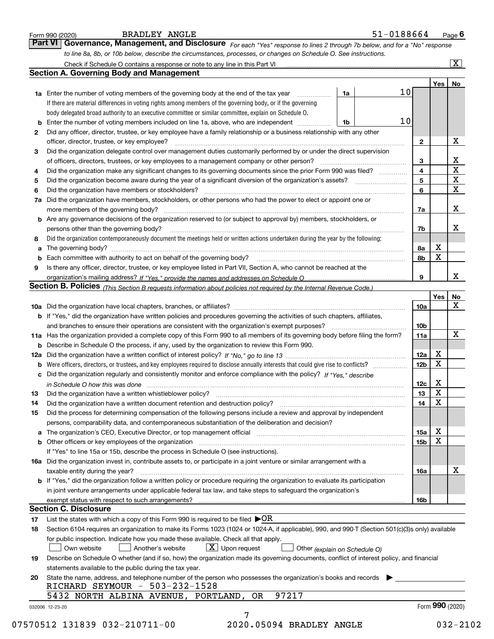|    | to line 8a, 8b, or 10b below, describe the circumstances, processes, or changes on Schedule O. See instructions.                                                           |                 |                              | $\overline{\mathbf{x}}$ |
|----|----------------------------------------------------------------------------------------------------------------------------------------------------------------------------|-----------------|------------------------------|-------------------------|
|    | <b>Section A. Governing Body and Management</b>                                                                                                                            |                 |                              |                         |
|    |                                                                                                                                                                            |                 | Yes                          | No                      |
|    | 1a<br>1a Enter the number of voting members of the governing body at the end of the tax year                                                                               | 10              |                              |                         |
|    | If there are material differences in voting rights among members of the governing body, or if the governing                                                                |                 |                              |                         |
|    | body delegated broad authority to an executive committee or similar committee, explain on Schedule O.                                                                      |                 |                              |                         |
| b  | Enter the number of voting members included on line 1a, above, who are independent<br>1b                                                                                   | 10              |                              |                         |
| 2  | Did any officer, director, trustee, or key employee have a family relationship or a business relationship with any other                                                   |                 |                              |                         |
|    | officer, director, trustee, or key employee?                                                                                                                               | $\mathbf{2}$    |                              | Х                       |
| з  | Did the organization delegate control over management duties customarily performed by or under the direct supervision                                                      |                 |                              |                         |
|    | of officers, directors, trustees, or key employees to a management company or other person?                                                                                | 3               |                              | $\frac{X}{X}$           |
| 4  | Did the organization make any significant changes to its governing documents since the prior Form 990 was filed?                                                           | 4               |                              |                         |
| 5  |                                                                                                                                                                            | 5               |                              | $\overline{\mathbf{x}}$ |
| 6  | Did the organization have members or stockholders?                                                                                                                         | 6               |                              | $\overline{\mathbf{x}}$ |
| 7a | Did the organization have members, stockholders, or other persons who had the power to elect or appoint one or                                                             |                 |                              |                         |
|    |                                                                                                                                                                            | 7a              |                              | X                       |
|    | b Are any governance decisions of the organization reserved to (or subject to approval by) members, stockholders, or                                                       |                 |                              |                         |
|    | persons other than the governing body?                                                                                                                                     | 7b              |                              | х                       |
| 8  | Did the organization contemporaneously document the meetings held or written actions undertaken during the year by the following:                                          |                 |                              |                         |
|    |                                                                                                                                                                            | 8a              | х                            |                         |
|    |                                                                                                                                                                            | 8b              | $\mathbf X$                  |                         |
| 9  | Is there any officer, director, trustee, or key employee listed in Part VII, Section A, who cannot be reached at the                                                       |                 |                              |                         |
|    |                                                                                                                                                                            | 9               |                              | X                       |
|    | Section B. Policies (This Section B requests information about policies not required by the Internal Revenue Code.)                                                        |                 |                              |                         |
|    |                                                                                                                                                                            |                 | Yes                          | No<br>X                 |
|    |                                                                                                                                                                            | 10a             |                              |                         |
|    | b If "Yes," did the organization have written policies and procedures governing the activities of such chapters, affiliates,                                               |                 |                              |                         |
|    | and branches to ensure their operations are consistent with the organization's exempt purposes?                                                                            | 10 <sub>b</sub> |                              |                         |
|    | 11a Has the organization provided a complete copy of this Form 990 to all members of its governing body before filing the form?                                            | 11a             |                              | $\mathbf X$             |
|    | <b>b</b> Describe in Schedule O the process, if any, used by the organization to review this Form 990.                                                                     |                 |                              |                         |
|    |                                                                                                                                                                            | 12a             | Х<br>$\mathbf x$             |                         |
|    |                                                                                                                                                                            | 12 <sub>b</sub> |                              |                         |
|    | c Did the organization regularly and consistently monitor and enforce compliance with the policy? If "Yes," describe                                                       |                 |                              |                         |
|    | in Schedule O how this was done manufactured and continuum control of the state of the state of the state of t                                                             | 12c             | х<br>$\overline{\mathbf{x}}$ |                         |
| 13 | Did the organization have a written whistleblower policy?                                                                                                                  | 13              | X                            |                         |
| 14 | Did the organization have a written document retention and destruction policy? manufactured and the organization have a written document retention and destruction policy? | 14              |                              |                         |
| 15 | Did the process for determining compensation of the following persons include a review and approval by independent                                                         |                 |                              |                         |
|    | persons, comparability data, and contemporaneous substantiation of the deliberation and decision?                                                                          |                 |                              |                         |
|    |                                                                                                                                                                            | 15a             | х<br>X                       |                         |
|    | <b>b</b> Other officers or key employees of the organization                                                                                                               | 15b             |                              |                         |
|    | If "Yes" to line 15a or 15b, describe the process in Schedule O (see instructions).                                                                                        |                 |                              |                         |
|    | 16a Did the organization invest in, contribute assets to, or participate in a joint venture or similar arrangement with a                                                  |                 |                              | x                       |
|    | taxable entity during the year?                                                                                                                                            | 16a             |                              |                         |
|    | <b>b</b> If "Yes," did the organization follow a written policy or procedure requiring the organization to evaluate its participation                                      |                 |                              |                         |
|    | in joint venture arrangements under applicable federal tax law, and take steps to safequard the organization's                                                             |                 |                              |                         |
|    | exempt status with respect to such arrangements?<br><b>Section C. Disclosure</b>                                                                                           | 16b             |                              |                         |
|    |                                                                                                                                                                            |                 |                              |                         |
| 17 | List the states with which a copy of this Form 990 is required to be filed $\blacktriangleright$ OR                                                                        |                 |                              |                         |
| 18 | Section 6104 requires an organization to make its Forms 1023 (1024 or 1024-A, if applicable), 990, and 990-T (Section 501(c)(3)s only) available                           |                 |                              |                         |
|    | for public inspection. Indicate how you made these available. Check all that apply.<br>$X$ Upon request                                                                    |                 |                              |                         |
|    | Own website<br>Another's website<br>Other (explain on Schedule O)                                                                                                          |                 |                              |                         |
|    | Describe on Schedule O whether (and if so, how) the organization made its governing documents, conflict of interest policy, and financial                                  |                 |                              |                         |
| 19 | statements available to the public during the tax year.                                                                                                                    |                 |                              |                         |
|    |                                                                                                                                                                            |                 |                              |                         |
| 20 | State the name, address, and telephone number of the person who possesses the organization's books and records                                                             |                 |                              |                         |
|    | RICHARD SEYMOUR - 503-232-1528<br>97217<br>5432 NORTH ALBINA AVENUE, PORTLAND, OR                                                                                          |                 |                              |                         |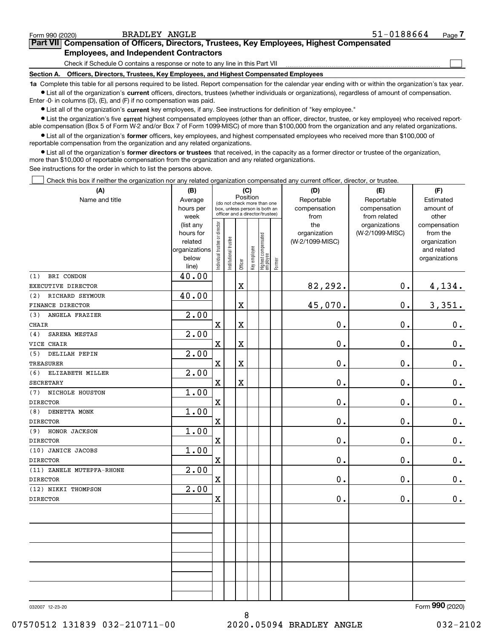| 032007 12-23-20 |                               |
|-----------------|-------------------------------|
|                 | 07570512 131839 032-210711-00 |

07570512 131839 032-210711-00 2020.05094 BRADLEY ANGLE 032-2102

# **7Part VII Compensation of Officers, Directors, Trustees, Key Employees, Highest Compensated Employees, and Independent Contractors**

#### Check if Schedule O contains a response or note to any line in this Part VII

**Section A. Officers, Directors, Trustees, Key Employees, and Highest Compensated Employees**

**1a**  Complete this table for all persons required to be listed. Report compensation for the calendar year ending with or within the organization's tax year. **•** List all of the organization's current officers, directors, trustees (whether individuals or organizations), regardless of amount of compensation.

 $\bullet$  List all of the organization's  $\,$ current key employees, if any. See instructions for definition of "key employee." Enter -0- in columns (D), (E), and (F) if no compensation was paid.

**•** List the organization's five current highest compensated employees (other than an officer, director, trustee, or key employee) who received reportable compensation (Box 5 of Form W-2 and/or Box 7 of Form 1099-MISC) of more than \$100,000 from the organization and any related organizations.

**•** List all of the organization's former officers, key employees, and highest compensated employees who received more than \$100,000 of reportable compensation from the organization and any related organizations.

**former directors or trustees**  ¥ List all of the organization's that received, in the capacity as a former director or trustee of the organization, more than \$10,000 of reportable compensation from the organization and any related organizations.

See instructions for the order in which to list the persons above.

Check this box if neither the organization nor any related organization compensated any current officer, director, or trustee.  $\mathcal{L}^{\text{max}}$ 

| (A)                       | (B)                                                                  |                                | (C)                                                                                             |                         |              |                                 |        | (D)                                    | (E)                                        | (F)                                                                      |
|---------------------------|----------------------------------------------------------------------|--------------------------------|-------------------------------------------------------------------------------------------------|-------------------------|--------------|---------------------------------|--------|----------------------------------------|--------------------------------------------|--------------------------------------------------------------------------|
| Name and title            | Average<br>hours per<br>week                                         |                                | (do not check more than one<br>box, unless person is both an<br>officer and a director/trustee) | Position                |              |                                 |        | Reportable<br>compensation<br>from     | Reportable<br>compensation<br>from related | Estimated<br>amount of<br>other                                          |
|                           | (list any<br>hours for<br>related<br>organizations<br>below<br>line) | Individual trustee or director | Institutional trustee                                                                           | Officer                 | Key employee | Highest compensated<br>employee | Former | the<br>organization<br>(W-2/1099-MISC) | organizations<br>(W-2/1099-MISC)           | compensation<br>from the<br>organization<br>and related<br>organizations |
| BRI CONDON<br>(1)         | 40.00                                                                |                                |                                                                                                 |                         |              |                                 |        |                                        |                                            |                                                                          |
| EXECUTIVE DIRECTOR        |                                                                      |                                |                                                                                                 | $\mathbf X$             |              |                                 |        | 82,292.                                | 0.                                         | 4,134.                                                                   |
| RICHARD SEYMOUR<br>(2)    | 40.00                                                                |                                |                                                                                                 |                         |              |                                 |        |                                        |                                            |                                                                          |
| FINANCE DIRECTOR          |                                                                      |                                |                                                                                                 | $\mathbf X$             |              |                                 |        | 45,070.                                | $\mathbf 0$ .                              | 3,351.                                                                   |
| (3)<br>ANGELA FRAZIER     | 2.00                                                                 |                                |                                                                                                 |                         |              |                                 |        |                                        |                                            |                                                                          |
| <b>CHAIR</b>              |                                                                      | $\mathbf X$                    |                                                                                                 | $\overline{\mathbf{X}}$ |              |                                 |        | 0.                                     | 0.                                         | 0.                                                                       |
| SARENA MESTAS<br>(4)      | 2.00                                                                 |                                |                                                                                                 |                         |              |                                 |        |                                        |                                            |                                                                          |
| VICE CHAIR                |                                                                      | $\mathbf X$                    |                                                                                                 | $\mathbf X$             |              |                                 |        | 0.                                     | 0.                                         | $0_{\cdot}$                                                              |
| (5)<br>DELILAH PEPIN      | 2.00                                                                 |                                |                                                                                                 |                         |              |                                 |        |                                        |                                            |                                                                          |
| <b>TREASURER</b>          |                                                                      | $\mathbf X$                    |                                                                                                 | $\mathbf X$             |              |                                 |        | 0.                                     | 0.                                         | $0_{.}$                                                                  |
| ELIZABETH MILLER<br>(6)   | 2.00                                                                 |                                |                                                                                                 |                         |              |                                 |        |                                        |                                            |                                                                          |
| <b>SECRETARY</b>          |                                                                      | $\mathbf X$                    |                                                                                                 | $\overline{\textbf{X}}$ |              |                                 |        | 0.                                     | 0.                                         | $0_{.}$                                                                  |
| NICHOLE HOUSTON<br>(7)    | 1.00                                                                 |                                |                                                                                                 |                         |              |                                 |        |                                        |                                            |                                                                          |
| <b>DIRECTOR</b>           |                                                                      | $\mathbf x$                    |                                                                                                 |                         |              |                                 |        | 0.                                     | 0.                                         | $\mathbf 0$ .                                                            |
| (8)<br>DENETTA MONK       | 1.00                                                                 |                                |                                                                                                 |                         |              |                                 |        |                                        |                                            |                                                                          |
| <b>DIRECTOR</b>           |                                                                      | $\mathbf X$                    |                                                                                                 |                         |              |                                 |        | 0.                                     | 0.                                         | $\mathbf 0$ .                                                            |
| (9)<br>HONOR JACKSON      | 1.00                                                                 |                                |                                                                                                 |                         |              |                                 |        |                                        |                                            |                                                                          |
| <b>DIRECTOR</b>           |                                                                      | $\mathbf X$                    |                                                                                                 |                         |              |                                 |        | 0.                                     | $\mathbf 0$ .                              | $0_{.}$                                                                  |
| (10) JANICE JACOBS        | 1.00                                                                 |                                |                                                                                                 |                         |              |                                 |        |                                        |                                            |                                                                          |
| <b>DIRECTOR</b>           |                                                                      | $\mathbf X$                    |                                                                                                 |                         |              |                                 |        | 0.                                     | 0.                                         | $\mathbf 0$ .                                                            |
| (11) ZANELE MUTEPFA-RHONE | 2.00                                                                 |                                |                                                                                                 |                         |              |                                 |        |                                        |                                            |                                                                          |
| <b>DIRECTOR</b>           |                                                                      | $\mathbf x$                    |                                                                                                 |                         |              |                                 |        | 0.                                     | 0.                                         | $0_{.}$                                                                  |
| (12) NIKKI THOMPSON       | 2.00                                                                 |                                |                                                                                                 |                         |              |                                 |        |                                        |                                            |                                                                          |
| <b>DIRECTOR</b>           |                                                                      | $\mathbf x$                    |                                                                                                 |                         |              |                                 |        | 0.                                     | 0.                                         | $\mathbf 0$ .                                                            |
|                           |                                                                      |                                |                                                                                                 |                         |              |                                 |        |                                        |                                            |                                                                          |
|                           |                                                                      |                                |                                                                                                 |                         |              |                                 |        |                                        |                                            |                                                                          |
|                           |                                                                      |                                |                                                                                                 |                         |              |                                 |        |                                        |                                            |                                                                          |
|                           |                                                                      |                                |                                                                                                 |                         |              |                                 |        |                                        |                                            |                                                                          |
|                           |                                                                      |                                |                                                                                                 |                         |              |                                 |        |                                        |                                            |                                                                          |
| 032007 12-23-20           |                                                                      |                                |                                                                                                 |                         |              |                                 |        |                                        |                                            | Form 990 (2020)                                                          |

8

 $\mathcal{L}^{\text{max}}$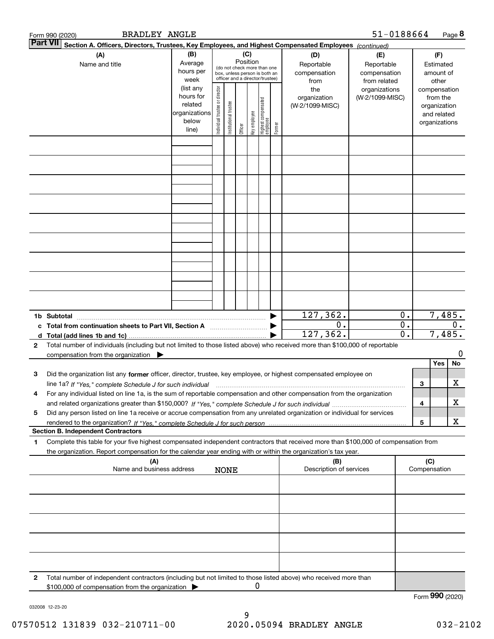|                 | <b>BRADLEY ANGLE</b><br>Form 990 (2020)                                                                                                                                                                                                                              |                                                                      | 51-0188664                     |                                                                                                                    |         |              | Page 8                            |        |                                        |                                                   |                                                          |                                               |                                        |       |
|-----------------|----------------------------------------------------------------------------------------------------------------------------------------------------------------------------------------------------------------------------------------------------------------------|----------------------------------------------------------------------|--------------------------------|--------------------------------------------------------------------------------------------------------------------|---------|--------------|-----------------------------------|--------|----------------------------------------|---------------------------------------------------|----------------------------------------------------------|-----------------------------------------------|----------------------------------------|-------|
| <b>Part VII</b> | Section A. Officers, Directors, Trustees, Key Employees, and Highest Compensated Employees (continued)                                                                                                                                                               | (D)                                                                  |                                |                                                                                                                    |         |              |                                   |        |                                        |                                                   |                                                          |                                               |                                        |       |
|                 | (B)<br>(A)<br>Average<br>Name and title<br>hours per<br>week                                                                                                                                                                                                         |                                                                      |                                | (C)<br>Position<br>(do not check more than one<br>box, unless person is both an<br>officer and a director/trustee) |         |              |                                   |        |                                        | (E)<br>Reportable<br>compensation<br>from related |                                                          |                                               | (F)<br>Estimated<br>amount of<br>other |       |
|                 |                                                                                                                                                                                                                                                                      | (list any<br>hours for<br>related<br>organizations<br>below<br>line) | Individual trustee or director | Institutional trustee                                                                                              | Officer | key employee | Highest compensated<br>  employee | Former | the<br>organization<br>(W-2/1099-MISC) | organizations<br>(W-2/1099-MISC)                  |                                                          | compensation<br>organization<br>organizations | from the<br>and related                |       |
|                 |                                                                                                                                                                                                                                                                      |                                                                      |                                |                                                                                                                    |         |              |                                   |        |                                        |                                                   |                                                          |                                               |                                        |       |
|                 |                                                                                                                                                                                                                                                                      |                                                                      |                                |                                                                                                                    |         |              |                                   |        |                                        |                                                   |                                                          |                                               |                                        |       |
|                 |                                                                                                                                                                                                                                                                      |                                                                      |                                |                                                                                                                    |         |              |                                   |        |                                        |                                                   |                                                          |                                               |                                        |       |
|                 |                                                                                                                                                                                                                                                                      |                                                                      |                                |                                                                                                                    |         |              |                                   |        |                                        |                                                   |                                                          |                                               |                                        |       |
|                 |                                                                                                                                                                                                                                                                      |                                                                      |                                |                                                                                                                    |         |              |                                   |        |                                        |                                                   |                                                          |                                               |                                        |       |
|                 |                                                                                                                                                                                                                                                                      |                                                                      |                                |                                                                                                                    |         |              |                                   |        |                                        |                                                   |                                                          |                                               |                                        |       |
|                 |                                                                                                                                                                                                                                                                      |                                                                      |                                |                                                                                                                    |         |              |                                   |        |                                        |                                                   |                                                          |                                               |                                        |       |
|                 |                                                                                                                                                                                                                                                                      |                                                                      |                                |                                                                                                                    |         |              |                                   |        |                                        |                                                   |                                                          |                                               |                                        |       |
|                 |                                                                                                                                                                                                                                                                      |                                                                      |                                |                                                                                                                    |         |              |                                   |        |                                        |                                                   |                                                          |                                               |                                        |       |
|                 | 1b Subtotal                                                                                                                                                                                                                                                          |                                                                      |                                |                                                                                                                    |         |              |                                   |        | 127,362.                               |                                                   | 0.                                                       |                                               | 7,485.                                 |       |
|                 | c Total from continuation sheets to Part VII, Section A                                                                                                                                                                                                              |                                                                      |                                |                                                                                                                    |         |              |                                   |        | 0.<br>127, 362.                        |                                                   | $\overline{\mathbf{0}}$ .<br>$\overline{\mathfrak{0}}$ . |                                               | 7,485.                                 | $0$ . |
| 2               | Total number of individuals (including but not limited to those listed above) who received more than \$100,000 of reportable<br>compensation from the organization $\blacktriangleright$                                                                             |                                                                      |                                |                                                                                                                    |         |              |                                   |        |                                        |                                                   |                                                          |                                               |                                        | 0     |
|                 |                                                                                                                                                                                                                                                                      |                                                                      |                                |                                                                                                                    |         |              |                                   |        |                                        |                                                   |                                                          |                                               | Yes                                    | No    |
| 3               | Did the organization list any former officer, director, trustee, key employee, or highest compensated employee on<br>line 1a? If "Yes," complete Schedule J for such individual manufactured contained and the 1a? If "Yes," complete Schedule J for such individual |                                                                      |                                |                                                                                                                    |         |              |                                   |        |                                        |                                                   |                                                          | 3                                             |                                        | x     |
| 4               | For any individual listed on line 1a, is the sum of reportable compensation and other compensation from the organization                                                                                                                                             |                                                                      |                                |                                                                                                                    |         |              |                                   |        |                                        |                                                   |                                                          | 4                                             |                                        | х     |
| 5               | Did any person listed on line 1a receive or accrue compensation from any unrelated organization or individual for services                                                                                                                                           |                                                                      |                                |                                                                                                                    |         |              |                                   |        |                                        |                                                   |                                                          | 5                                             |                                        | X     |
|                 | <b>Section B. Independent Contractors</b>                                                                                                                                                                                                                            |                                                                      |                                |                                                                                                                    |         |              |                                   |        |                                        |                                                   |                                                          |                                               |                                        |       |
| 1               | Complete this table for your five highest compensated independent contractors that received more than \$100,000 of compensation from<br>the organization. Report compensation for the calendar year ending with or within the organization's tax year.               |                                                                      |                                |                                                                                                                    |         |              |                                   |        |                                        |                                                   |                                                          |                                               |                                        |       |
|                 | (A)<br>Name and business address                                                                                                                                                                                                                                     |                                                                      |                                | <b>NONE</b>                                                                                                        |         |              |                                   |        | (B)<br>Description of services         |                                                   |                                                          | (C)<br>Compensation                           |                                        |       |
|                 |                                                                                                                                                                                                                                                                      |                                                                      |                                |                                                                                                                    |         |              |                                   |        |                                        |                                                   |                                                          |                                               |                                        |       |
|                 |                                                                                                                                                                                                                                                                      |                                                                      |                                |                                                                                                                    |         |              |                                   |        |                                        |                                                   |                                                          |                                               |                                        |       |
|                 |                                                                                                                                                                                                                                                                      |                                                                      |                                |                                                                                                                    |         |              |                                   |        |                                        |                                                   |                                                          |                                               |                                        |       |
|                 |                                                                                                                                                                                                                                                                      |                                                                      |                                |                                                                                                                    |         |              |                                   |        |                                        |                                                   |                                                          |                                               |                                        |       |
|                 |                                                                                                                                                                                                                                                                      |                                                                      |                                |                                                                                                                    |         |              |                                   |        |                                        |                                                   |                                                          |                                               |                                        |       |
| 2               | Total number of independent contractors (including but not limited to those listed above) who received more than<br>\$100,000 of compensation from the organization                                                                                                  |                                                                      |                                |                                                                                                                    |         | U            |                                   |        |                                        |                                                   |                                                          |                                               | $\overline{\phantom{a}}$               |       |

032008 12-23-20

Form (2020) **990**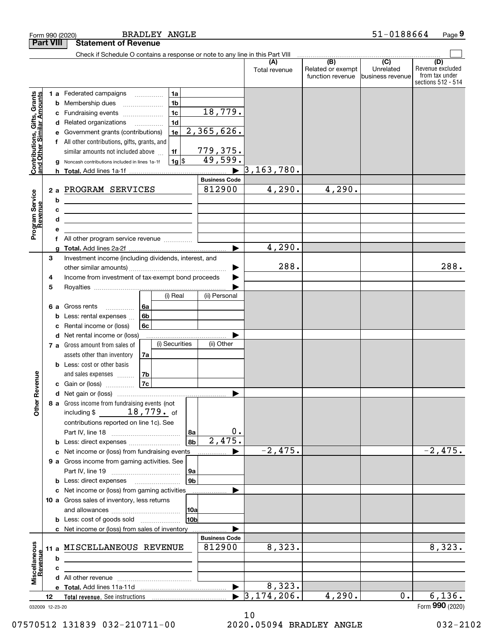|                                                                                         | <b>Part VIII</b> | <b>Statement of Revenue</b>                                                                                                                                                                                                                                                                                                                                                                                                                                                                                                                                                                                                                                                                                                                     |                                                                                                                                                                                      |
|-----------------------------------------------------------------------------------------|------------------|-------------------------------------------------------------------------------------------------------------------------------------------------------------------------------------------------------------------------------------------------------------------------------------------------------------------------------------------------------------------------------------------------------------------------------------------------------------------------------------------------------------------------------------------------------------------------------------------------------------------------------------------------------------------------------------------------------------------------------------------------|--------------------------------------------------------------------------------------------------------------------------------------------------------------------------------------|
|                                                                                         |                  | Check if Schedule O contains a response or note to any line in this Part VIII                                                                                                                                                                                                                                                                                                                                                                                                                                                                                                                                                                                                                                                                   |                                                                                                                                                                                      |
|                                                                                         |                  |                                                                                                                                                                                                                                                                                                                                                                                                                                                                                                                                                                                                                                                                                                                                                 | (B)<br>$\overline{C}$<br>(D)<br>Revenue excluded<br>Unrelated<br>Related or exempt<br>Total revenue<br>from tax under<br>function revenue<br> business revenue<br>sections 512 - 514 |
| Contributions, Gifts, Grants<br>and Other Similar Amounts<br>Program Service<br>Revenue |                  | 1a<br><b>1 a</b> Federated campaigns<br>1 <sub>b</sub><br>Membership dues<br>b<br>18,779.<br>1 <sub>c</sub><br>Fundraising events<br>1 <sub>d</sub><br>d Related organizations<br>2,365,626.<br>1e<br>e Government grants (contributions)<br>All other contributions, gifts, grants, and<br>779,375.<br>1f<br>similar amounts not included above<br>49,599.<br>$1g$ \$<br>Noncash contributions included in lines 1a-1f<br><b>Business Code</b><br>812900<br>2 a PROGRAM SERVICES<br>b<br>the control of the control of the control of the control of the control of<br>c<br>the control of the control of the control of the control of the control of<br>d<br>the contract of the contract of the contract of the contract of the contract of | 3, 163, 780.<br>4,290.<br>4,290.                                                                                                                                                     |
|                                                                                         |                  | All other program service revenue                                                                                                                                                                                                                                                                                                                                                                                                                                                                                                                                                                                                                                                                                                               |                                                                                                                                                                                      |
|                                                                                         | 3<br>4<br>5      | Investment income (including dividends, interest, and<br>Income from investment of tax-exempt bond proceeds                                                                                                                                                                                                                                                                                                                                                                                                                                                                                                                                                                                                                                     | 4,290.<br>▶<br>288.<br>288.                                                                                                                                                          |
|                                                                                         | 6а               | (i) Real<br>(ii) Personal<br>Gross rents<br>6a<br>.<br>6 <sub>b</sub><br>Less: rental expenses<br>b<br>6c<br>Rental income or (loss)<br>d Net rental income or (loss)<br>(i) Securities<br>(ii) Other<br>7 a Gross amount from sales of<br>assets other than inventory<br>7a<br><b>b</b> Less: cost or other basis                                                                                                                                                                                                                                                                                                                                                                                                                              |                                                                                                                                                                                      |
| Revenue<br>Othe                                                                         |                  | 7b<br>and sales expenses<br> 7c <br>c Gain or (loss)<br>8 a Gross income from fundraising events (not<br>$18$ , $779$ . of<br>including $$$<br>contributions reported on line 1c). See<br>  8a                                                                                                                                                                                                                                                                                                                                                                                                                                                                                                                                                  | $\boldsymbol{0}$ .                                                                                                                                                                   |
|                                                                                         |                  | 2,475.<br>8b<br><b>b</b> Less: direct expenses<br>c Net income or (loss) from fundraising events<br>9 a Gross income from gaming activities. See<br>  9a<br>9 <sub>b</sub><br><b>b</b> Less: direct expenses <b>manually</b>                                                                                                                                                                                                                                                                                                                                                                                                                                                                                                                    | $-2,475.$<br>$-2,475.$                                                                                                                                                               |
|                                                                                         |                  | c Net income or (loss) from gaming activities<br>10 a Gross sales of inventory, less returns<br> 10a<br>10bl<br><b>b</b> Less: cost of goods sold                                                                                                                                                                                                                                                                                                                                                                                                                                                                                                                                                                                               |                                                                                                                                                                                      |
| Miscellaneous<br>Revenue                                                                |                  | c Net income or (loss) from sales of inventory<br><b>Business Code</b><br>812900<br>11 a MISCELLANEOUS REVENUE<br>b<br><u> 1989 - Johann Stein, mars and de Brandenburg and de Brandenburg and de Brandenburg and de Brandenburg and de</u>                                                                                                                                                                                                                                                                                                                                                                                                                                                                                                     | 8,323.<br>8,323.                                                                                                                                                                     |
|                                                                                         | 12               | с                                                                                                                                                                                                                                                                                                                                                                                                                                                                                                                                                                                                                                                                                                                                               | 8,323.<br>▶<br>$\blacktriangleright$ 3,174,206.<br>4,290.<br>6,136.<br>0.                                                                                                            |
|                                                                                         | 032009 12-23-20  |                                                                                                                                                                                                                                                                                                                                                                                                                                                                                                                                                                                                                                                                                                                                                 | Form 990 (2020)                                                                                                                                                                      |

Form 990 (2020) BRADLEY ANGLE 51-0188664 Page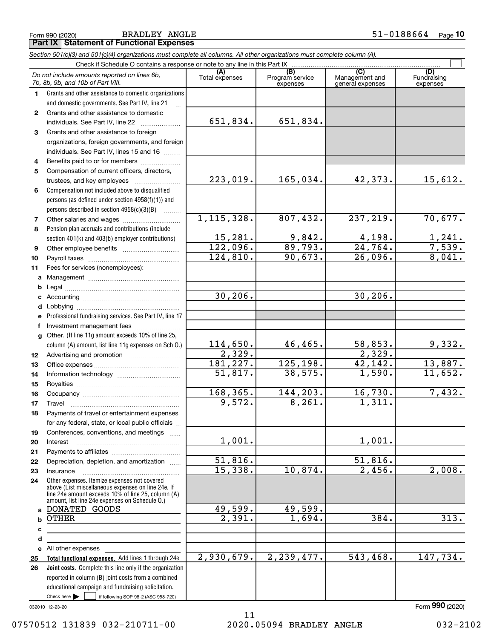**Part IX Statement of Functional Expenses** BRADLEY ANGLE

|              | Section 501(c)(3) and 501(c)(4) organizations must complete all columns. All other organizations must complete column (A).                                                                                 |                          |                                    |                                           |                                |
|--------------|------------------------------------------------------------------------------------------------------------------------------------------------------------------------------------------------------------|--------------------------|------------------------------------|-------------------------------------------|--------------------------------|
|              | Check if Schedule O contains a response or note to any line in this Part IX                                                                                                                                |                          |                                    |                                           |                                |
|              | Do not include amounts reported on lines 6b,<br>7b, 8b, 9b, and 10b of Part VIII.                                                                                                                          | (A)<br>Total expenses    | (B)<br>Program service<br>expenses | (C)<br>Management and<br>general expenses | (D)<br>Fundraising<br>expenses |
| 1.           | Grants and other assistance to domestic organizations                                                                                                                                                      |                          |                                    |                                           |                                |
|              | and domestic governments. See Part IV, line 21                                                                                                                                                             |                          |                                    |                                           |                                |
| $\mathbf{2}$ | Grants and other assistance to domestic                                                                                                                                                                    |                          |                                    |                                           |                                |
|              | individuals. See Part IV, line 22                                                                                                                                                                          | 651,834.                 | 651,834.                           |                                           |                                |
| 3            | Grants and other assistance to foreign                                                                                                                                                                     |                          |                                    |                                           |                                |
|              | organizations, foreign governments, and foreign                                                                                                                                                            |                          |                                    |                                           |                                |
|              | individuals. See Part IV, lines 15 and 16                                                                                                                                                                  |                          |                                    |                                           |                                |
| 4            | Benefits paid to or for members                                                                                                                                                                            |                          |                                    |                                           |                                |
| 5            | Compensation of current officers, directors,                                                                                                                                                               |                          |                                    |                                           |                                |
|              | trustees, and key employees                                                                                                                                                                                | 223,019.                 | 165,034.                           | 42,373.                                   | 15,612.                        |
| 6            | Compensation not included above to disqualified                                                                                                                                                            |                          |                                    |                                           |                                |
|              | persons (as defined under section 4958(f)(1)) and                                                                                                                                                          |                          |                                    |                                           |                                |
|              | persons described in section 4958(c)(3)(B)                                                                                                                                                                 |                          |                                    |                                           |                                |
| 7            |                                                                                                                                                                                                            | 1, 115, 328.             | 807,432.                           | 237,219.                                  | 70,677.                        |
| 8            | Pension plan accruals and contributions (include                                                                                                                                                           |                          |                                    |                                           |                                |
|              | section 401(k) and 403(b) employer contributions)                                                                                                                                                          | $\frac{15,281}{122,096}$ | $\frac{9,842}{89,793}$             | $\frac{4,198}{24,764}$                    | $\frac{1,241}{7,539}$          |
| 9            |                                                                                                                                                                                                            |                          |                                    |                                           |                                |
| 10           |                                                                                                                                                                                                            | 124,810.                 | 90,673.                            | 26,096.                                   | 8,041.                         |
| 11           | Fees for services (nonemployees):                                                                                                                                                                          |                          |                                    |                                           |                                |
| a            |                                                                                                                                                                                                            |                          |                                    |                                           |                                |
| b            |                                                                                                                                                                                                            | 30, 206.                 |                                    | 30, 206.                                  |                                |
| c            |                                                                                                                                                                                                            |                          |                                    |                                           |                                |
| d            |                                                                                                                                                                                                            |                          |                                    |                                           |                                |
| е            | Professional fundraising services. See Part IV, line 17                                                                                                                                                    |                          |                                    |                                           |                                |
| f            | Investment management fees                                                                                                                                                                                 |                          |                                    |                                           |                                |
| g            | Other. (If line 11g amount exceeds 10% of line 25,                                                                                                                                                         | 114,650.                 | 46,465.                            | 58,853.                                   | 9,332.                         |
|              | column (A) amount, list line 11g expenses on Sch O.)                                                                                                                                                       | 2,329.                   |                                    | 2,329.                                    |                                |
| 12           |                                                                                                                                                                                                            | 181, 227.                | 125,198.                           | 42, 142.                                  | 13,887.                        |
| 13<br>14     |                                                                                                                                                                                                            | 51,817.                  | 38,575.                            | 1,590.                                    | 11,652.                        |
| 15           |                                                                                                                                                                                                            |                          |                                    |                                           |                                |
| 16           |                                                                                                                                                                                                            | 168,365.                 | 144,203.                           | 16,730.                                   | 7,432.                         |
| 17           |                                                                                                                                                                                                            | 9,572.                   | 8,261.                             | 1,311.                                    |                                |
| 18           | Payments of travel or entertainment expenses                                                                                                                                                               |                          |                                    |                                           |                                |
|              | for any federal, state, or local public officials                                                                                                                                                          |                          |                                    |                                           |                                |
| 19           | Conferences, conventions, and meetings                                                                                                                                                                     |                          |                                    |                                           |                                |
| 20           | Interest                                                                                                                                                                                                   | 1,001.                   |                                    | 1,001.                                    |                                |
| 21           |                                                                                                                                                                                                            |                          |                                    |                                           |                                |
| 22           | Depreciation, depletion, and amortization                                                                                                                                                                  | $\overline{51,816}$ .    |                                    | 51,816.                                   |                                |
| 23           | Insurance                                                                                                                                                                                                  | 15,338.                  | 10,874.                            | 2,456.                                    | 2,008.                         |
| 24           | Other expenses. Itemize expenses not covered<br>above (List miscellaneous expenses on line 24e. If<br>line 24e amount exceeds 10% of line 25, column (A)<br>amount, list line 24e expenses on Schedule O.) |                          |                                    |                                           |                                |
| a            | DONATED GOODS                                                                                                                                                                                              | 49,599.                  | 49,599.                            |                                           |                                |
| b            | <b>OTHER</b>                                                                                                                                                                                               | $\overline{2,391}$ .     | 1,694.                             | 384.                                      | $\overline{313}$ .             |
| с            |                                                                                                                                                                                                            |                          |                                    |                                           |                                |
| d            |                                                                                                                                                                                                            |                          |                                    |                                           |                                |
|              | e All other expenses                                                                                                                                                                                       |                          |                                    |                                           |                                |
| 25           | Total functional expenses. Add lines 1 through 24e                                                                                                                                                         | 2,930,679.               | 2,239,477.                         | 543, 468.                                 | 147,734.                       |
| 26           | Joint costs. Complete this line only if the organization                                                                                                                                                   |                          |                                    |                                           |                                |
|              | reported in column (B) joint costs from a combined                                                                                                                                                         |                          |                                    |                                           |                                |
|              | educational campaign and fundraising solicitation.                                                                                                                                                         |                          |                                    |                                           |                                |
|              | Check here $\blacktriangleright$<br>if following SOP 98-2 (ASC 958-720)                                                                                                                                    |                          |                                    |                                           |                                |

032010 12-23-20

Form (2020) **990**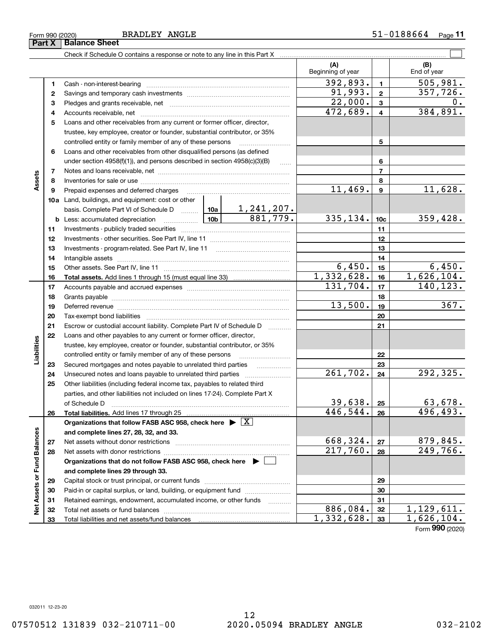BRADLEY ANGLE

Form 990 (2020) Page

|                             | Part X | <b>Balance Sheet</b>                                                                                                                                                                                                           |            |                         |                          |                         |                         |
|-----------------------------|--------|--------------------------------------------------------------------------------------------------------------------------------------------------------------------------------------------------------------------------------|------------|-------------------------|--------------------------|-------------------------|-------------------------|
|                             |        | Check if Schedule O contains a response or note to any line in this Part X [11] Check if Schedule O contains a response or note to any line in this Part X                                                                     |            |                         |                          |                         |                         |
|                             |        |                                                                                                                                                                                                                                |            |                         | (A)<br>Beginning of year |                         | (B)<br>End of year      |
|                             | 1      |                                                                                                                                                                                                                                | 392,893.   | $\mathbf{1}$            | 505,981.                 |                         |                         |
|                             | 2      |                                                                                                                                                                                                                                | 91,993.    | $\overline{\mathbf{2}}$ | 357,726.                 |                         |                         |
|                             | З      |                                                                                                                                                                                                                                |            |                         | $\overline{22,000}$ .    | $\mathbf{3}$            | 0.                      |
|                             | 4      |                                                                                                                                                                                                                                |            |                         | 472,689.                 | $\overline{\mathbf{4}}$ | 384,891.                |
|                             | 5      | Loans and other receivables from any current or former officer, director,                                                                                                                                                      |            |                         |                          |                         |                         |
|                             |        | trustee, key employee, creator or founder, substantial contributor, or 35%                                                                                                                                                     |            |                         |                          |                         |                         |
|                             |        | controlled entity or family member of any of these persons                                                                                                                                                                     |            |                         |                          | 5                       |                         |
|                             | 6      | Loans and other receivables from other disqualified persons (as defined                                                                                                                                                        |            |                         |                          |                         |                         |
|                             |        | under section $4958(f)(1)$ , and persons described in section $4958(c)(3)(B)$                                                                                                                                                  |            | $\ldots$                |                          | 6                       |                         |
|                             | 7      |                                                                                                                                                                                                                                |            |                         |                          | $\overline{7}$          |                         |
| Assets                      | 8      |                                                                                                                                                                                                                                |            |                         |                          | 8                       |                         |
|                             | 9      | Prepaid expenses and deferred charges                                                                                                                                                                                          |            |                         | 11,469.                  | $\mathbf{9}$            | 11,628.                 |
|                             |        | <b>10a</b> Land, buildings, and equipment: cost or other                                                                                                                                                                       |            |                         |                          |                         |                         |
|                             |        | basis. Complete Part VI of Schedule D  10a                                                                                                                                                                                     |            | <u>1,241,207.</u>       |                          |                         |                         |
|                             |        | <u>  10b</u><br><b>b</b> Less: accumulated depreciation                                                                                                                                                                        |            | 881,779.                | 335,134.                 | 10 <sub>c</sub>         | 359,428.                |
|                             | 11     |                                                                                                                                                                                                                                |            |                         |                          | 11                      |                         |
|                             | 12     |                                                                                                                                                                                                                                |            |                         |                          | 12                      |                         |
|                             | 13     |                                                                                                                                                                                                                                |            |                         | 13                       |                         |                         |
|                             | 14     |                                                                                                                                                                                                                                |            |                         |                          | 14                      |                         |
|                             | 15     |                                                                                                                                                                                                                                | 6,450.     | 15                      | 6,450.                   |                         |                         |
|                             | 16     |                                                                                                                                                                                                                                | 1,332,628. | 16                      | 1,626,104.               |                         |                         |
|                             | 17     |                                                                                                                                                                                                                                | 131,704.   | 17                      | 140, 123.                |                         |                         |
|                             | 18     |                                                                                                                                                                                                                                |            |                         |                          | 18                      |                         |
|                             | 19     | Deferred revenue manual contracts and contracts are contracted and contract and contract are contracted and contract are contracted and contract are contracted and contract are contracted and contract are contracted and co |            |                         | 13,500.                  | 19                      | 367.                    |
|                             | 20     |                                                                                                                                                                                                                                |            |                         |                          | 20                      |                         |
|                             | 21     | Escrow or custodial account liability. Complete Part IV of Schedule D                                                                                                                                                          |            | .                       |                          | 21                      |                         |
|                             | 22     | Loans and other payables to any current or former officer, director,                                                                                                                                                           |            |                         |                          |                         |                         |
|                             |        | trustee, key employee, creator or founder, substantial contributor, or 35%                                                                                                                                                     |            |                         |                          |                         |                         |
| Liabilities                 |        | controlled entity or family member of any of these persons                                                                                                                                                                     |            |                         |                          | 22                      |                         |
|                             | 23     | Secured mortgages and notes payable to unrelated third parties                                                                                                                                                                 |            |                         | 261,702.                 | 23                      | 292,325.                |
|                             | 24     | Unsecured notes and loans payable to unrelated third parties                                                                                                                                                                   |            |                         |                          | 24                      |                         |
|                             | 25     | Other liabilities (including federal income tax, payables to related third                                                                                                                                                     |            |                         |                          |                         |                         |
|                             |        | parties, and other liabilities not included on lines 17-24). Complete Part X<br>of Schedule D                                                                                                                                  |            |                         | 39,638.                  | 25                      | 63,678.                 |
|                             | 26     | Total liabilities. Add lines 17 through 25                                                                                                                                                                                     | 446,544.   | 26                      | 496,493.                 |                         |                         |
|                             |        | Organizations that follow FASB ASC 958, check here $\blacktriangleright \boxed{X}$                                                                                                                                             |            |                         |                          |                         |                         |
|                             |        | and complete lines 27, 28, 32, and 33.                                                                                                                                                                                         |            |                         |                          |                         |                         |
|                             | 27     |                                                                                                                                                                                                                                | 668,324.   | 27                      | 879,845.                 |                         |                         |
|                             | 28     | Net assets with donor restrictions                                                                                                                                                                                             |            |                         | 217,760.                 | 28                      | 249,766.                |
|                             |        | Organizations that do not follow FASB ASC 958, check here $\blacktriangleright$                                                                                                                                                |            |                         |                          |                         |                         |
|                             |        | and complete lines 29 through 33.                                                                                                                                                                                              |            |                         |                          |                         |                         |
|                             | 29     |                                                                                                                                                                                                                                |            |                         |                          | 29                      |                         |
|                             | 30     | Paid-in or capital surplus, or land, building, or equipment fund                                                                                                                                                               |            |                         |                          | 30                      |                         |
|                             | 31     | Retained earnings, endowment, accumulated income, or other funds                                                                                                                                                               |            | .                       |                          | 31                      |                         |
| Net Assets or Fund Balances | 32     | Total net assets or fund balances                                                                                                                                                                                              |            |                         | 886,084.                 | 32                      | 1,129,611.              |
|                             | 33     |                                                                                                                                                                                                                                |            |                         | 1,332,628.               | 33                      | $\overline{1,626,104.}$ |
|                             |        |                                                                                                                                                                                                                                |            |                         |                          |                         | Form 990 (2020)         |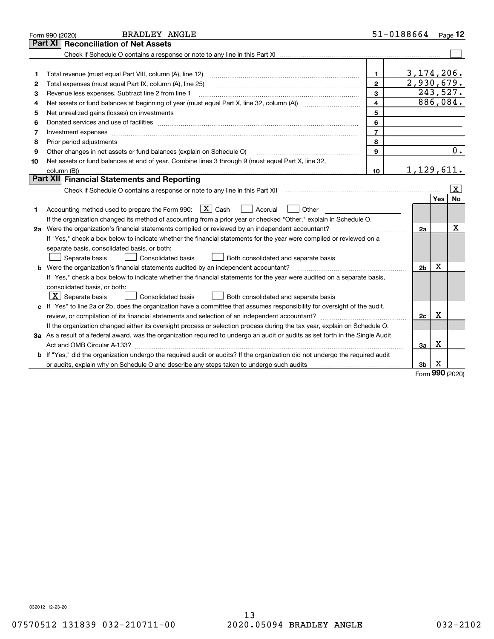| Part XI<br>3, 174, 206.<br>$\mathbf{1}$<br>1<br>2,930,679.<br>$\mathbf{2}$<br>2<br>243,527.<br>3<br>Revenue less expenses. Subtract line 2 from line 1<br>з<br>886,084.<br>$\overline{\mathbf{4}}$<br>4<br>5<br>5<br>6<br>6<br>$\overline{7}$<br>7<br>8<br>Prior period adjustments www.communication.communication.com/news/communication.com/news/communication.com/new<br>8<br>9<br>Other changes in net assets or fund balances (explain on Schedule O)<br>9<br>Net assets or fund balances at end of year. Combine lines 3 through 9 (must equal Part X, line 32,<br>10<br>1,129,611.<br>10<br>Part XII Financial Statements and Reporting<br>$\overline{\mathbf{x}}$<br><b>Yes</b><br><b>No</b><br>Accounting method used to prepare the Form 990: $\boxed{X}$ Cash<br>Accrual<br>Other<br>and the state<br>1<br>If the organization changed its method of accounting from a prior year or checked "Other," explain in Schedule O.<br>x<br>2a Were the organization's financial statements compiled or reviewed by an independent accountant?<br>2a<br>If "Yes," check a box below to indicate whether the financial statements for the year were compiled or reviewed on a<br>separate basis, consolidated basis, or both:<br>Separate basis<br>Consolidated basis<br>Both consolidated and separate basis<br>X<br><b>b</b> Were the organization's financial statements audited by an independent accountant?<br>2 <sub>b</sub><br>If "Yes," check a box below to indicate whether the financial statements for the year were audited on a separate basis,<br>consolidated basis, or both:<br>$\lfloor x \rfloor$ Separate basis<br><b>Consolidated basis</b><br>Both consolidated and separate basis<br>c If "Yes" to line 2a or 2b, does the organization have a committee that assumes responsibility for oversight of the audit,<br>Х<br>2c<br>If the organization changed either its oversight process or selection process during the tax year, explain on Schedule O.<br>3a As a result of a federal award, was the organization required to undergo an audit or audits as set forth in the Single Audit<br>Х<br>За<br>b If "Yes," did the organization undergo the required audit or audits? If the organization did not undergo the required audit<br>х<br>3b | <b>BRADLEY ANGLE</b><br>Form 990 (2020) | 51-0188664 |  | Page 12 |
|--------------------------------------------------------------------------------------------------------------------------------------------------------------------------------------------------------------------------------------------------------------------------------------------------------------------------------------------------------------------------------------------------------------------------------------------------------------------------------------------------------------------------------------------------------------------------------------------------------------------------------------------------------------------------------------------------------------------------------------------------------------------------------------------------------------------------------------------------------------------------------------------------------------------------------------------------------------------------------------------------------------------------------------------------------------------------------------------------------------------------------------------------------------------------------------------------------------------------------------------------------------------------------------------------------------------------------------------------------------------------------------------------------------------------------------------------------------------------------------------------------------------------------------------------------------------------------------------------------------------------------------------------------------------------------------------------------------------------------------------------------------------------------------------------------------------------------------------------------------------------------------------------------------------------------------------------------------------------------------------------------------------------------------------------------------------------------------------------------------------------------------------------------------------------------------------------------------------------------------------------------------------------------|-----------------------------------------|------------|--|---------|
|                                                                                                                                                                                                                                                                                                                                                                                                                                                                                                                                                                                                                                                                                                                                                                                                                                                                                                                                                                                                                                                                                                                                                                                                                                                                                                                                                                                                                                                                                                                                                                                                                                                                                                                                                                                                                                                                                                                                                                                                                                                                                                                                                                                                                                                                                | <b>Reconciliation of Net Assets</b>     |            |  |         |
|                                                                                                                                                                                                                                                                                                                                                                                                                                                                                                                                                                                                                                                                                                                                                                                                                                                                                                                                                                                                                                                                                                                                                                                                                                                                                                                                                                                                                                                                                                                                                                                                                                                                                                                                                                                                                                                                                                                                                                                                                                                                                                                                                                                                                                                                                |                                         |            |  |         |
|                                                                                                                                                                                                                                                                                                                                                                                                                                                                                                                                                                                                                                                                                                                                                                                                                                                                                                                                                                                                                                                                                                                                                                                                                                                                                                                                                                                                                                                                                                                                                                                                                                                                                                                                                                                                                                                                                                                                                                                                                                                                                                                                                                                                                                                                                |                                         |            |  |         |
|                                                                                                                                                                                                                                                                                                                                                                                                                                                                                                                                                                                                                                                                                                                                                                                                                                                                                                                                                                                                                                                                                                                                                                                                                                                                                                                                                                                                                                                                                                                                                                                                                                                                                                                                                                                                                                                                                                                                                                                                                                                                                                                                                                                                                                                                                |                                         |            |  |         |
|                                                                                                                                                                                                                                                                                                                                                                                                                                                                                                                                                                                                                                                                                                                                                                                                                                                                                                                                                                                                                                                                                                                                                                                                                                                                                                                                                                                                                                                                                                                                                                                                                                                                                                                                                                                                                                                                                                                                                                                                                                                                                                                                                                                                                                                                                |                                         |            |  |         |
|                                                                                                                                                                                                                                                                                                                                                                                                                                                                                                                                                                                                                                                                                                                                                                                                                                                                                                                                                                                                                                                                                                                                                                                                                                                                                                                                                                                                                                                                                                                                                                                                                                                                                                                                                                                                                                                                                                                                                                                                                                                                                                                                                                                                                                                                                |                                         |            |  |         |
|                                                                                                                                                                                                                                                                                                                                                                                                                                                                                                                                                                                                                                                                                                                                                                                                                                                                                                                                                                                                                                                                                                                                                                                                                                                                                                                                                                                                                                                                                                                                                                                                                                                                                                                                                                                                                                                                                                                                                                                                                                                                                                                                                                                                                                                                                |                                         |            |  |         |
|                                                                                                                                                                                                                                                                                                                                                                                                                                                                                                                                                                                                                                                                                                                                                                                                                                                                                                                                                                                                                                                                                                                                                                                                                                                                                                                                                                                                                                                                                                                                                                                                                                                                                                                                                                                                                                                                                                                                                                                                                                                                                                                                                                                                                                                                                |                                         |            |  |         |
|                                                                                                                                                                                                                                                                                                                                                                                                                                                                                                                                                                                                                                                                                                                                                                                                                                                                                                                                                                                                                                                                                                                                                                                                                                                                                                                                                                                                                                                                                                                                                                                                                                                                                                                                                                                                                                                                                                                                                                                                                                                                                                                                                                                                                                                                                |                                         |            |  |         |
|                                                                                                                                                                                                                                                                                                                                                                                                                                                                                                                                                                                                                                                                                                                                                                                                                                                                                                                                                                                                                                                                                                                                                                                                                                                                                                                                                                                                                                                                                                                                                                                                                                                                                                                                                                                                                                                                                                                                                                                                                                                                                                                                                                                                                                                                                |                                         |            |  |         |
|                                                                                                                                                                                                                                                                                                                                                                                                                                                                                                                                                                                                                                                                                                                                                                                                                                                                                                                                                                                                                                                                                                                                                                                                                                                                                                                                                                                                                                                                                                                                                                                                                                                                                                                                                                                                                                                                                                                                                                                                                                                                                                                                                                                                                                                                                |                                         |            |  |         |
|                                                                                                                                                                                                                                                                                                                                                                                                                                                                                                                                                                                                                                                                                                                                                                                                                                                                                                                                                                                                                                                                                                                                                                                                                                                                                                                                                                                                                                                                                                                                                                                                                                                                                                                                                                                                                                                                                                                                                                                                                                                                                                                                                                                                                                                                                |                                         |            |  | 0.      |
|                                                                                                                                                                                                                                                                                                                                                                                                                                                                                                                                                                                                                                                                                                                                                                                                                                                                                                                                                                                                                                                                                                                                                                                                                                                                                                                                                                                                                                                                                                                                                                                                                                                                                                                                                                                                                                                                                                                                                                                                                                                                                                                                                                                                                                                                                |                                         |            |  |         |
|                                                                                                                                                                                                                                                                                                                                                                                                                                                                                                                                                                                                                                                                                                                                                                                                                                                                                                                                                                                                                                                                                                                                                                                                                                                                                                                                                                                                                                                                                                                                                                                                                                                                                                                                                                                                                                                                                                                                                                                                                                                                                                                                                                                                                                                                                |                                         |            |  |         |
|                                                                                                                                                                                                                                                                                                                                                                                                                                                                                                                                                                                                                                                                                                                                                                                                                                                                                                                                                                                                                                                                                                                                                                                                                                                                                                                                                                                                                                                                                                                                                                                                                                                                                                                                                                                                                                                                                                                                                                                                                                                                                                                                                                                                                                                                                |                                         |            |  |         |
|                                                                                                                                                                                                                                                                                                                                                                                                                                                                                                                                                                                                                                                                                                                                                                                                                                                                                                                                                                                                                                                                                                                                                                                                                                                                                                                                                                                                                                                                                                                                                                                                                                                                                                                                                                                                                                                                                                                                                                                                                                                                                                                                                                                                                                                                                |                                         |            |  |         |
|                                                                                                                                                                                                                                                                                                                                                                                                                                                                                                                                                                                                                                                                                                                                                                                                                                                                                                                                                                                                                                                                                                                                                                                                                                                                                                                                                                                                                                                                                                                                                                                                                                                                                                                                                                                                                                                                                                                                                                                                                                                                                                                                                                                                                                                                                |                                         |            |  |         |
|                                                                                                                                                                                                                                                                                                                                                                                                                                                                                                                                                                                                                                                                                                                                                                                                                                                                                                                                                                                                                                                                                                                                                                                                                                                                                                                                                                                                                                                                                                                                                                                                                                                                                                                                                                                                                                                                                                                                                                                                                                                                                                                                                                                                                                                                                |                                         |            |  |         |
|                                                                                                                                                                                                                                                                                                                                                                                                                                                                                                                                                                                                                                                                                                                                                                                                                                                                                                                                                                                                                                                                                                                                                                                                                                                                                                                                                                                                                                                                                                                                                                                                                                                                                                                                                                                                                                                                                                                                                                                                                                                                                                                                                                                                                                                                                |                                         |            |  |         |
|                                                                                                                                                                                                                                                                                                                                                                                                                                                                                                                                                                                                                                                                                                                                                                                                                                                                                                                                                                                                                                                                                                                                                                                                                                                                                                                                                                                                                                                                                                                                                                                                                                                                                                                                                                                                                                                                                                                                                                                                                                                                                                                                                                                                                                                                                |                                         |            |  |         |
|                                                                                                                                                                                                                                                                                                                                                                                                                                                                                                                                                                                                                                                                                                                                                                                                                                                                                                                                                                                                                                                                                                                                                                                                                                                                                                                                                                                                                                                                                                                                                                                                                                                                                                                                                                                                                                                                                                                                                                                                                                                                                                                                                                                                                                                                                |                                         |            |  |         |
|                                                                                                                                                                                                                                                                                                                                                                                                                                                                                                                                                                                                                                                                                                                                                                                                                                                                                                                                                                                                                                                                                                                                                                                                                                                                                                                                                                                                                                                                                                                                                                                                                                                                                                                                                                                                                                                                                                                                                                                                                                                                                                                                                                                                                                                                                |                                         |            |  |         |
|                                                                                                                                                                                                                                                                                                                                                                                                                                                                                                                                                                                                                                                                                                                                                                                                                                                                                                                                                                                                                                                                                                                                                                                                                                                                                                                                                                                                                                                                                                                                                                                                                                                                                                                                                                                                                                                                                                                                                                                                                                                                                                                                                                                                                                                                                |                                         |            |  |         |
|                                                                                                                                                                                                                                                                                                                                                                                                                                                                                                                                                                                                                                                                                                                                                                                                                                                                                                                                                                                                                                                                                                                                                                                                                                                                                                                                                                                                                                                                                                                                                                                                                                                                                                                                                                                                                                                                                                                                                                                                                                                                                                                                                                                                                                                                                |                                         |            |  |         |
|                                                                                                                                                                                                                                                                                                                                                                                                                                                                                                                                                                                                                                                                                                                                                                                                                                                                                                                                                                                                                                                                                                                                                                                                                                                                                                                                                                                                                                                                                                                                                                                                                                                                                                                                                                                                                                                                                                                                                                                                                                                                                                                                                                                                                                                                                |                                         |            |  |         |
|                                                                                                                                                                                                                                                                                                                                                                                                                                                                                                                                                                                                                                                                                                                                                                                                                                                                                                                                                                                                                                                                                                                                                                                                                                                                                                                                                                                                                                                                                                                                                                                                                                                                                                                                                                                                                                                                                                                                                                                                                                                                                                                                                                                                                                                                                |                                         |            |  |         |
|                                                                                                                                                                                                                                                                                                                                                                                                                                                                                                                                                                                                                                                                                                                                                                                                                                                                                                                                                                                                                                                                                                                                                                                                                                                                                                                                                                                                                                                                                                                                                                                                                                                                                                                                                                                                                                                                                                                                                                                                                                                                                                                                                                                                                                                                                |                                         |            |  |         |
|                                                                                                                                                                                                                                                                                                                                                                                                                                                                                                                                                                                                                                                                                                                                                                                                                                                                                                                                                                                                                                                                                                                                                                                                                                                                                                                                                                                                                                                                                                                                                                                                                                                                                                                                                                                                                                                                                                                                                                                                                                                                                                                                                                                                                                                                                |                                         |            |  |         |
|                                                                                                                                                                                                                                                                                                                                                                                                                                                                                                                                                                                                                                                                                                                                                                                                                                                                                                                                                                                                                                                                                                                                                                                                                                                                                                                                                                                                                                                                                                                                                                                                                                                                                                                                                                                                                                                                                                                                                                                                                                                                                                                                                                                                                                                                                |                                         |            |  |         |
|                                                                                                                                                                                                                                                                                                                                                                                                                                                                                                                                                                                                                                                                                                                                                                                                                                                                                                                                                                                                                                                                                                                                                                                                                                                                                                                                                                                                                                                                                                                                                                                                                                                                                                                                                                                                                                                                                                                                                                                                                                                                                                                                                                                                                                                                                |                                         |            |  |         |
|                                                                                                                                                                                                                                                                                                                                                                                                                                                                                                                                                                                                                                                                                                                                                                                                                                                                                                                                                                                                                                                                                                                                                                                                                                                                                                                                                                                                                                                                                                                                                                                                                                                                                                                                                                                                                                                                                                                                                                                                                                                                                                                                                                                                                                                                                |                                         |            |  |         |
|                                                                                                                                                                                                                                                                                                                                                                                                                                                                                                                                                                                                                                                                                                                                                                                                                                                                                                                                                                                                                                                                                                                                                                                                                                                                                                                                                                                                                                                                                                                                                                                                                                                                                                                                                                                                                                                                                                                                                                                                                                                                                                                                                                                                                                                                                |                                         |            |  |         |
|                                                                                                                                                                                                                                                                                                                                                                                                                                                                                                                                                                                                                                                                                                                                                                                                                                                                                                                                                                                                                                                                                                                                                                                                                                                                                                                                                                                                                                                                                                                                                                                                                                                                                                                                                                                                                                                                                                                                                                                                                                                                                                                                                                                                                                                                                |                                         |            |  |         |
| <u>nuu</u>                                                                                                                                                                                                                                                                                                                                                                                                                                                                                                                                                                                                                                                                                                                                                                                                                                                                                                                                                                                                                                                                                                                                                                                                                                                                                                                                                                                                                                                                                                                                                                                                                                                                                                                                                                                                                                                                                                                                                                                                                                                                                                                                                                                                                                                                     |                                         |            |  |         |

Form (2020) **990**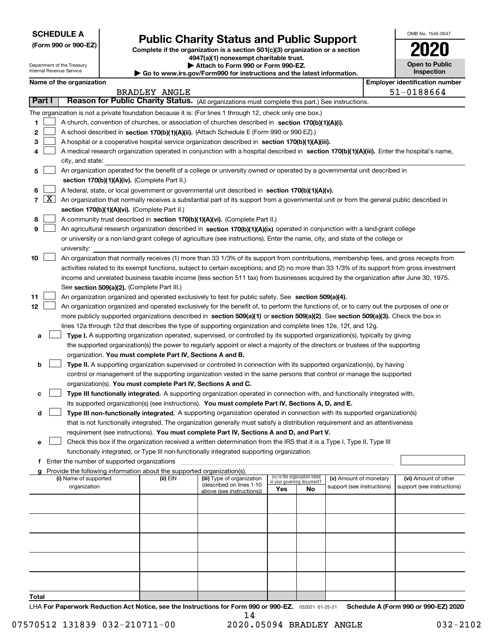| <b>SCHEDULE A</b> |  |
|-------------------|--|
|-------------------|--|

Department of the Treasury Internal Revenue Service

**(Form 990 or 990-EZ)**

### **Public Charity Status and Public Support**

**Complete if the organization is a section 501(c)(3) organization or a section 4947(a)(1) nonexempt charitable trust. | Attach to Form 990 or Form 990-EZ.** 

| ▶ Go to www.irs.gov/Form990 for instructions and the latest information. |
|--------------------------------------------------------------------------|

| OMB No. 1545-0047                   |
|-------------------------------------|
| 2020                                |
| <b>Open to Public</b><br>Inspection |

 $\blacksquare$ 

|       |                     | Name of the organization                                                                                                                                                                                             |                      |                                                       |                             |                                 |                            | <b>Employer identification number</b> |
|-------|---------------------|----------------------------------------------------------------------------------------------------------------------------------------------------------------------------------------------------------------------|----------------------|-------------------------------------------------------|-----------------------------|---------------------------------|----------------------------|---------------------------------------|
|       |                     |                                                                                                                                                                                                                      | <b>BRADLEY ANGLE</b> |                                                       |                             |                                 |                            | 51-0188664                            |
|       | Part I              | Reason for Public Charity Status. (All organizations must complete this part.) See instructions.                                                                                                                     |                      |                                                       |                             |                                 |                            |                                       |
|       |                     | The organization is not a private foundation because it is: (For lines 1 through 12, check only one box.)                                                                                                            |                      |                                                       |                             |                                 |                            |                                       |
| 1     |                     | A church, convention of churches, or association of churches described in section 170(b)(1)(A)(i).                                                                                                                   |                      |                                                       |                             |                                 |                            |                                       |
| 2     |                     | A school described in section 170(b)(1)(A)(ii). (Attach Schedule E (Form 990 or 990-EZ).)                                                                                                                            |                      |                                                       |                             |                                 |                            |                                       |
| 3     |                     | A hospital or a cooperative hospital service organization described in section $170(b)(1)(A)(iii)$ .                                                                                                                 |                      |                                                       |                             |                                 |                            |                                       |
|       |                     | A medical research organization operated in conjunction with a hospital described in section 170(b)(1)(A)(iii). Enter the hospital's name,                                                                           |                      |                                                       |                             |                                 |                            |                                       |
|       |                     | city, and state:                                                                                                                                                                                                     |                      |                                                       |                             |                                 |                            |                                       |
| 5     |                     | An organization operated for the benefit of a college or university owned or operated by a governmental unit described in                                                                                            |                      |                                                       |                             |                                 |                            |                                       |
|       |                     | section 170(b)(1)(A)(iv). (Complete Part II.)                                                                                                                                                                        |                      |                                                       |                             |                                 |                            |                                       |
| 6     |                     | A federal, state, or local government or governmental unit described in section 170(b)(1)(A)(v).                                                                                                                     |                      |                                                       |                             |                                 |                            |                                       |
| 7     | $\lfloor x \rfloor$ | An organization that normally receives a substantial part of its support from a governmental unit or from the general public described in                                                                            |                      |                                                       |                             |                                 |                            |                                       |
|       |                     | section 170(b)(1)(A)(vi). (Complete Part II.)                                                                                                                                                                        |                      |                                                       |                             |                                 |                            |                                       |
| 8     |                     | A community trust described in section 170(b)(1)(A)(vi). (Complete Part II.)                                                                                                                                         |                      |                                                       |                             |                                 |                            |                                       |
| 9     |                     | An agricultural research organization described in section 170(b)(1)(A)(ix) operated in conjunction with a land-grant college                                                                                        |                      |                                                       |                             |                                 |                            |                                       |
|       |                     | or university or a non-land-grant college of agriculture (see instructions). Enter the name, city, and state of the college or<br>university:                                                                        |                      |                                                       |                             |                                 |                            |                                       |
| 10    |                     | An organization that normally receives (1) more than 33 1/3% of its support from contributions, membership fees, and gross receipts from                                                                             |                      |                                                       |                             |                                 |                            |                                       |
|       |                     | activities related to its exempt functions, subject to certain exceptions; and (2) no more than 33 1/3% of its support from gross investment                                                                         |                      |                                                       |                             |                                 |                            |                                       |
|       |                     | income and unrelated business taxable income (less section 511 tax) from businesses acquired by the organization after June 30, 1975.                                                                                |                      |                                                       |                             |                                 |                            |                                       |
|       |                     | See section 509(a)(2). (Complete Part III.)                                                                                                                                                                          |                      |                                                       |                             |                                 |                            |                                       |
| 11    |                     | An organization organized and operated exclusively to test for public safety. See section 509(a)(4).                                                                                                                 |                      |                                                       |                             |                                 |                            |                                       |
| 12    |                     | An organization organized and operated exclusively for the benefit of, to perform the functions of, or to carry out the purposes of one or                                                                           |                      |                                                       |                             |                                 |                            |                                       |
|       |                     | more publicly supported organizations described in section 509(a)(1) or section 509(a)(2). See section 509(a)(3). Check the box in                                                                                   |                      |                                                       |                             |                                 |                            |                                       |
|       |                     | lines 12a through 12d that describes the type of supporting organization and complete lines 12e, 12f, and 12g.                                                                                                       |                      |                                                       |                             |                                 |                            |                                       |
| a     |                     | Type I. A supporting organization operated, supervised, or controlled by its supported organization(s), typically by giving                                                                                          |                      |                                                       |                             |                                 |                            |                                       |
|       |                     | the supported organization(s) the power to regularly appoint or elect a majority of the directors or trustees of the supporting                                                                                      |                      |                                                       |                             |                                 |                            |                                       |
|       |                     | organization. You must complete Part IV, Sections A and B.                                                                                                                                                           |                      |                                                       |                             |                                 |                            |                                       |
| b     |                     | Type II. A supporting organization supervised or controlled in connection with its supported organization(s), by having                                                                                              |                      |                                                       |                             |                                 |                            |                                       |
|       |                     | control or management of the supporting organization vested in the same persons that control or manage the supported                                                                                                 |                      |                                                       |                             |                                 |                            |                                       |
|       |                     | organization(s). You must complete Part IV, Sections A and C.                                                                                                                                                        |                      |                                                       |                             |                                 |                            |                                       |
| c     |                     | Type III functionally integrated. A supporting organization operated in connection with, and functionally integrated with,                                                                                           |                      |                                                       |                             |                                 |                            |                                       |
|       |                     | its supported organization(s) (see instructions). You must complete Part IV, Sections A, D, and E.                                                                                                                   |                      |                                                       |                             |                                 |                            |                                       |
| d     |                     | Type III non-functionally integrated. A supporting organization operated in connection with its supported organization(s)                                                                                            |                      |                                                       |                             |                                 |                            |                                       |
|       |                     | that is not functionally integrated. The organization generally must satisfy a distribution requirement and an attentiveness                                                                                         |                      |                                                       |                             |                                 |                            |                                       |
|       |                     | requirement (see instructions). You must complete Part IV, Sections A and D, and Part V.                                                                                                                             |                      |                                                       |                             |                                 |                            |                                       |
|       |                     | Check this box if the organization received a written determination from the IRS that it is a Type I, Type II, Type III<br>functionally integrated, or Type III non-functionally integrated supporting organization. |                      |                                                       |                             |                                 |                            |                                       |
|       |                     | f Enter the number of supported organizations                                                                                                                                                                        |                      |                                                       |                             |                                 |                            |                                       |
|       |                     | g Provide the following information about the supported organization(s).                                                                                                                                             |                      |                                                       |                             |                                 |                            |                                       |
|       |                     | (i) Name of supported                                                                                                                                                                                                | (ii) EIN             | (iii) Type of organization                            | in your governing document? | (iv) Is the organization listed | (v) Amount of monetary     | (vi) Amount of other                  |
|       |                     | organization                                                                                                                                                                                                         |                      | (described on lines 1-10<br>above (see instructions)) | Yes                         | No                              | support (see instructions) | support (see instructions)            |
|       |                     |                                                                                                                                                                                                                      |                      |                                                       |                             |                                 |                            |                                       |
|       |                     |                                                                                                                                                                                                                      |                      |                                                       |                             |                                 |                            |                                       |
|       |                     |                                                                                                                                                                                                                      |                      |                                                       |                             |                                 |                            |                                       |
|       |                     |                                                                                                                                                                                                                      |                      |                                                       |                             |                                 |                            |                                       |
|       |                     |                                                                                                                                                                                                                      |                      |                                                       |                             |                                 |                            |                                       |
|       |                     |                                                                                                                                                                                                                      |                      |                                                       |                             |                                 |                            |                                       |
|       |                     |                                                                                                                                                                                                                      |                      |                                                       |                             |                                 |                            |                                       |
|       |                     |                                                                                                                                                                                                                      |                      |                                                       |                             |                                 |                            |                                       |
|       |                     |                                                                                                                                                                                                                      |                      |                                                       |                             |                                 |                            |                                       |
| Total |                     |                                                                                                                                                                                                                      |                      |                                                       |                             |                                 |                            |                                       |

LHA For Paperwork Reduction Act Notice, see the Instructions for Form 990 or 990-EZ. <sub>032021</sub> o1-25-21 Schedule A (Form 990 or 990-EZ) 2020 14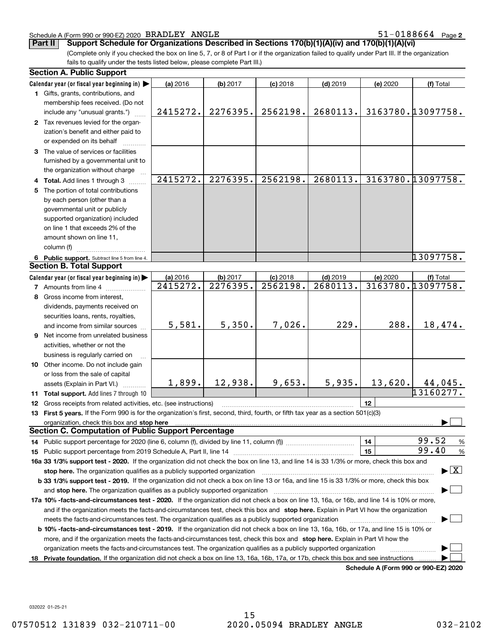#### Schedule A (Form 990 or 990-EZ) 2020 Page BRADLEY ANGLE 51-0188664

**2**

**Part II** Support Schedule for Organizations Described in Sections 170(b)(1)(A)(iv) and 170(b)(1)(A)(vi)

(Complete only if you checked the box on line 5, 7, or 8 of Part I or if the organization failed to qualify under Part III. If the organization fails to qualify under the tests listed below, please complete Part III.)

| Calendar year (or fiscal year beginning in)<br>$(d)$ 2019<br>(a) 2016<br>(b) 2017<br>$(c)$ 2018<br>(e) 2020<br>(f) Total<br>1 Gifts, grants, contributions, and<br>membership fees received. (Do not<br>3163780.13097758.<br>2276395.<br>2562198.<br>2680113.<br>2415272.<br>include any "unusual grants.")<br>2 Tax revenues levied for the organ-<br>ization's benefit and either paid to<br>or expended on its behalf<br>3 The value of services or facilities<br>furnished by a governmental unit to<br>the organization without charge<br>2415272.<br>2276395.<br>2562198.<br>2680113.<br>3163780.13097758.<br>4 Total. Add lines 1 through 3<br>5 The portion of total contributions<br>by each person (other than a<br>governmental unit or publicly<br>supported organization) included<br>on line 1 that exceeds 2% of the<br>amount shown on line 11,<br>column (f)<br>13097758.<br>6 Public support. Subtract line 5 from line 4.<br><b>Section B. Total Support</b><br>Calendar year (or fiscal year beginning in)<br>(a) 2016<br>(b) 2017<br>$(d)$ 2019<br>(e) 2020<br>$(c)$ 2018<br>(f) Total<br>3163780.13097758.<br>2276395.<br>2562198.<br>$\overline{2680113}$ .<br>2415272.<br><b>7</b> Amounts from line 4<br>8 Gross income from interest,<br>dividends, payments received on<br>securities loans, rents, royalties,<br>5,350.<br>229.<br>18,474.<br>5,581.<br>7,026.<br>288.<br>and income from similar sources<br>9 Net income from unrelated business<br>activities, whether or not the<br>business is regularly carried on<br>10 Other income. Do not include gain<br>or loss from the sale of capital<br>12,938.<br>9,653.<br>5,935.<br>13,620.<br>1,899.<br>44,045.<br>assets (Explain in Part VI.)<br>13160277.<br>11 Total support. Add lines 7 through 10<br>12<br>12 Gross receipts from related activities, etc. (see instructions)<br>13 First 5 years. If the Form 990 is for the organization's first, second, third, fourth, or fifth tax year as a section 501(c)(3)<br>organization, check this box and stop here<br><b>Section C. Computation of Public Support Percentage</b><br>99.52<br>14<br>%<br>14 Public support percentage for 2020 (line 6, column (f), divided by line 11, column (f) <i>mummumumum</i><br>99.40<br>15<br>%<br>16a 33 1/3% support test - 2020. If the organization did not check the box on line 13, and line 14 is 33 1/3% or more, check this box and<br>$\blacktriangleright$ $\boxed{\text{X}}$<br>stop here. The organization qualifies as a publicly supported organization<br>b 33 1/3% support test - 2019. If the organization did not check a box on line 13 or 16a, and line 15 is 33 1/3% or more, check this box<br>and stop here. The organization qualifies as a publicly supported organization<br>17a 10% -facts-and-circumstances test - 2020. If the organization did not check a box on line 13, 16a, or 16b, and line 14 is 10% or more,<br>and if the organization meets the facts-and-circumstances test, check this box and stop here. Explain in Part VI how the organization<br>meets the facts-and-circumstances test. The organization qualifies as a publicly supported organization<br><b>b 10% -facts-and-circumstances test - 2019.</b> If the organization did not check a box on line 13, 16a, 16b, or 17a, and line 15 is 10% or | <b>Section A. Public Support</b> |  |  |  |
|---------------------------------------------------------------------------------------------------------------------------------------------------------------------------------------------------------------------------------------------------------------------------------------------------------------------------------------------------------------------------------------------------------------------------------------------------------------------------------------------------------------------------------------------------------------------------------------------------------------------------------------------------------------------------------------------------------------------------------------------------------------------------------------------------------------------------------------------------------------------------------------------------------------------------------------------------------------------------------------------------------------------------------------------------------------------------------------------------------------------------------------------------------------------------------------------------------------------------------------------------------------------------------------------------------------------------------------------------------------------------------------------------------------------------------------------------------------------------------------------------------------------------------------------------------------------------------------------------------------------------------------------------------------------------------------------------------------------------------------------------------------------------------------------------------------------------------------------------------------------------------------------------------------------------------------------------------------------------------------------------------------------------------------------------------------------------------------------------------------------------------------------------------------------------------------------------------------------------------------------------------------------------------------------------------------------------------------------------------------------------------------------------------------------------------------------------------------------------------------------------------------------------------------------------------------------------------------------------------------------------------------------------------------------------------------------------------------------------------------------------------------------------------------------------------------------------------------------------------------------------------------------------------------------------------------------------------------------------------------------------------------------------------------------------------------------------------------------------------------------------------------------------------------------------------------------------------------------------------------------------------------------------------------------------------------------------------------|----------------------------------|--|--|--|
|                                                                                                                                                                                                                                                                                                                                                                                                                                                                                                                                                                                                                                                                                                                                                                                                                                                                                                                                                                                                                                                                                                                                                                                                                                                                                                                                                                                                                                                                                                                                                                                                                                                                                                                                                                                                                                                                                                                                                                                                                                                                                                                                                                                                                                                                                                                                                                                                                                                                                                                                                                                                                                                                                                                                                                                                                                                                                                                                                                                                                                                                                                                                                                                                                                                                                                                                       |                                  |  |  |  |
|                                                                                                                                                                                                                                                                                                                                                                                                                                                                                                                                                                                                                                                                                                                                                                                                                                                                                                                                                                                                                                                                                                                                                                                                                                                                                                                                                                                                                                                                                                                                                                                                                                                                                                                                                                                                                                                                                                                                                                                                                                                                                                                                                                                                                                                                                                                                                                                                                                                                                                                                                                                                                                                                                                                                                                                                                                                                                                                                                                                                                                                                                                                                                                                                                                                                                                                                       |                                  |  |  |  |
|                                                                                                                                                                                                                                                                                                                                                                                                                                                                                                                                                                                                                                                                                                                                                                                                                                                                                                                                                                                                                                                                                                                                                                                                                                                                                                                                                                                                                                                                                                                                                                                                                                                                                                                                                                                                                                                                                                                                                                                                                                                                                                                                                                                                                                                                                                                                                                                                                                                                                                                                                                                                                                                                                                                                                                                                                                                                                                                                                                                                                                                                                                                                                                                                                                                                                                                                       |                                  |  |  |  |
|                                                                                                                                                                                                                                                                                                                                                                                                                                                                                                                                                                                                                                                                                                                                                                                                                                                                                                                                                                                                                                                                                                                                                                                                                                                                                                                                                                                                                                                                                                                                                                                                                                                                                                                                                                                                                                                                                                                                                                                                                                                                                                                                                                                                                                                                                                                                                                                                                                                                                                                                                                                                                                                                                                                                                                                                                                                                                                                                                                                                                                                                                                                                                                                                                                                                                                                                       |                                  |  |  |  |
|                                                                                                                                                                                                                                                                                                                                                                                                                                                                                                                                                                                                                                                                                                                                                                                                                                                                                                                                                                                                                                                                                                                                                                                                                                                                                                                                                                                                                                                                                                                                                                                                                                                                                                                                                                                                                                                                                                                                                                                                                                                                                                                                                                                                                                                                                                                                                                                                                                                                                                                                                                                                                                                                                                                                                                                                                                                                                                                                                                                                                                                                                                                                                                                                                                                                                                                                       |                                  |  |  |  |
|                                                                                                                                                                                                                                                                                                                                                                                                                                                                                                                                                                                                                                                                                                                                                                                                                                                                                                                                                                                                                                                                                                                                                                                                                                                                                                                                                                                                                                                                                                                                                                                                                                                                                                                                                                                                                                                                                                                                                                                                                                                                                                                                                                                                                                                                                                                                                                                                                                                                                                                                                                                                                                                                                                                                                                                                                                                                                                                                                                                                                                                                                                                                                                                                                                                                                                                                       |                                  |  |  |  |
|                                                                                                                                                                                                                                                                                                                                                                                                                                                                                                                                                                                                                                                                                                                                                                                                                                                                                                                                                                                                                                                                                                                                                                                                                                                                                                                                                                                                                                                                                                                                                                                                                                                                                                                                                                                                                                                                                                                                                                                                                                                                                                                                                                                                                                                                                                                                                                                                                                                                                                                                                                                                                                                                                                                                                                                                                                                                                                                                                                                                                                                                                                                                                                                                                                                                                                                                       |                                  |  |  |  |
|                                                                                                                                                                                                                                                                                                                                                                                                                                                                                                                                                                                                                                                                                                                                                                                                                                                                                                                                                                                                                                                                                                                                                                                                                                                                                                                                                                                                                                                                                                                                                                                                                                                                                                                                                                                                                                                                                                                                                                                                                                                                                                                                                                                                                                                                                                                                                                                                                                                                                                                                                                                                                                                                                                                                                                                                                                                                                                                                                                                                                                                                                                                                                                                                                                                                                                                                       |                                  |  |  |  |
|                                                                                                                                                                                                                                                                                                                                                                                                                                                                                                                                                                                                                                                                                                                                                                                                                                                                                                                                                                                                                                                                                                                                                                                                                                                                                                                                                                                                                                                                                                                                                                                                                                                                                                                                                                                                                                                                                                                                                                                                                                                                                                                                                                                                                                                                                                                                                                                                                                                                                                                                                                                                                                                                                                                                                                                                                                                                                                                                                                                                                                                                                                                                                                                                                                                                                                                                       |                                  |  |  |  |
|                                                                                                                                                                                                                                                                                                                                                                                                                                                                                                                                                                                                                                                                                                                                                                                                                                                                                                                                                                                                                                                                                                                                                                                                                                                                                                                                                                                                                                                                                                                                                                                                                                                                                                                                                                                                                                                                                                                                                                                                                                                                                                                                                                                                                                                                                                                                                                                                                                                                                                                                                                                                                                                                                                                                                                                                                                                                                                                                                                                                                                                                                                                                                                                                                                                                                                                                       |                                  |  |  |  |
|                                                                                                                                                                                                                                                                                                                                                                                                                                                                                                                                                                                                                                                                                                                                                                                                                                                                                                                                                                                                                                                                                                                                                                                                                                                                                                                                                                                                                                                                                                                                                                                                                                                                                                                                                                                                                                                                                                                                                                                                                                                                                                                                                                                                                                                                                                                                                                                                                                                                                                                                                                                                                                                                                                                                                                                                                                                                                                                                                                                                                                                                                                                                                                                                                                                                                                                                       |                                  |  |  |  |
|                                                                                                                                                                                                                                                                                                                                                                                                                                                                                                                                                                                                                                                                                                                                                                                                                                                                                                                                                                                                                                                                                                                                                                                                                                                                                                                                                                                                                                                                                                                                                                                                                                                                                                                                                                                                                                                                                                                                                                                                                                                                                                                                                                                                                                                                                                                                                                                                                                                                                                                                                                                                                                                                                                                                                                                                                                                                                                                                                                                                                                                                                                                                                                                                                                                                                                                                       |                                  |  |  |  |
|                                                                                                                                                                                                                                                                                                                                                                                                                                                                                                                                                                                                                                                                                                                                                                                                                                                                                                                                                                                                                                                                                                                                                                                                                                                                                                                                                                                                                                                                                                                                                                                                                                                                                                                                                                                                                                                                                                                                                                                                                                                                                                                                                                                                                                                                                                                                                                                                                                                                                                                                                                                                                                                                                                                                                                                                                                                                                                                                                                                                                                                                                                                                                                                                                                                                                                                                       |                                  |  |  |  |
|                                                                                                                                                                                                                                                                                                                                                                                                                                                                                                                                                                                                                                                                                                                                                                                                                                                                                                                                                                                                                                                                                                                                                                                                                                                                                                                                                                                                                                                                                                                                                                                                                                                                                                                                                                                                                                                                                                                                                                                                                                                                                                                                                                                                                                                                                                                                                                                                                                                                                                                                                                                                                                                                                                                                                                                                                                                                                                                                                                                                                                                                                                                                                                                                                                                                                                                                       |                                  |  |  |  |
|                                                                                                                                                                                                                                                                                                                                                                                                                                                                                                                                                                                                                                                                                                                                                                                                                                                                                                                                                                                                                                                                                                                                                                                                                                                                                                                                                                                                                                                                                                                                                                                                                                                                                                                                                                                                                                                                                                                                                                                                                                                                                                                                                                                                                                                                                                                                                                                                                                                                                                                                                                                                                                                                                                                                                                                                                                                                                                                                                                                                                                                                                                                                                                                                                                                                                                                                       |                                  |  |  |  |
|                                                                                                                                                                                                                                                                                                                                                                                                                                                                                                                                                                                                                                                                                                                                                                                                                                                                                                                                                                                                                                                                                                                                                                                                                                                                                                                                                                                                                                                                                                                                                                                                                                                                                                                                                                                                                                                                                                                                                                                                                                                                                                                                                                                                                                                                                                                                                                                                                                                                                                                                                                                                                                                                                                                                                                                                                                                                                                                                                                                                                                                                                                                                                                                                                                                                                                                                       |                                  |  |  |  |
|                                                                                                                                                                                                                                                                                                                                                                                                                                                                                                                                                                                                                                                                                                                                                                                                                                                                                                                                                                                                                                                                                                                                                                                                                                                                                                                                                                                                                                                                                                                                                                                                                                                                                                                                                                                                                                                                                                                                                                                                                                                                                                                                                                                                                                                                                                                                                                                                                                                                                                                                                                                                                                                                                                                                                                                                                                                                                                                                                                                                                                                                                                                                                                                                                                                                                                                                       |                                  |  |  |  |
|                                                                                                                                                                                                                                                                                                                                                                                                                                                                                                                                                                                                                                                                                                                                                                                                                                                                                                                                                                                                                                                                                                                                                                                                                                                                                                                                                                                                                                                                                                                                                                                                                                                                                                                                                                                                                                                                                                                                                                                                                                                                                                                                                                                                                                                                                                                                                                                                                                                                                                                                                                                                                                                                                                                                                                                                                                                                                                                                                                                                                                                                                                                                                                                                                                                                                                                                       |                                  |  |  |  |
|                                                                                                                                                                                                                                                                                                                                                                                                                                                                                                                                                                                                                                                                                                                                                                                                                                                                                                                                                                                                                                                                                                                                                                                                                                                                                                                                                                                                                                                                                                                                                                                                                                                                                                                                                                                                                                                                                                                                                                                                                                                                                                                                                                                                                                                                                                                                                                                                                                                                                                                                                                                                                                                                                                                                                                                                                                                                                                                                                                                                                                                                                                                                                                                                                                                                                                                                       |                                  |  |  |  |
|                                                                                                                                                                                                                                                                                                                                                                                                                                                                                                                                                                                                                                                                                                                                                                                                                                                                                                                                                                                                                                                                                                                                                                                                                                                                                                                                                                                                                                                                                                                                                                                                                                                                                                                                                                                                                                                                                                                                                                                                                                                                                                                                                                                                                                                                                                                                                                                                                                                                                                                                                                                                                                                                                                                                                                                                                                                                                                                                                                                                                                                                                                                                                                                                                                                                                                                                       |                                  |  |  |  |
|                                                                                                                                                                                                                                                                                                                                                                                                                                                                                                                                                                                                                                                                                                                                                                                                                                                                                                                                                                                                                                                                                                                                                                                                                                                                                                                                                                                                                                                                                                                                                                                                                                                                                                                                                                                                                                                                                                                                                                                                                                                                                                                                                                                                                                                                                                                                                                                                                                                                                                                                                                                                                                                                                                                                                                                                                                                                                                                                                                                                                                                                                                                                                                                                                                                                                                                                       |                                  |  |  |  |
|                                                                                                                                                                                                                                                                                                                                                                                                                                                                                                                                                                                                                                                                                                                                                                                                                                                                                                                                                                                                                                                                                                                                                                                                                                                                                                                                                                                                                                                                                                                                                                                                                                                                                                                                                                                                                                                                                                                                                                                                                                                                                                                                                                                                                                                                                                                                                                                                                                                                                                                                                                                                                                                                                                                                                                                                                                                                                                                                                                                                                                                                                                                                                                                                                                                                                                                                       |                                  |  |  |  |
|                                                                                                                                                                                                                                                                                                                                                                                                                                                                                                                                                                                                                                                                                                                                                                                                                                                                                                                                                                                                                                                                                                                                                                                                                                                                                                                                                                                                                                                                                                                                                                                                                                                                                                                                                                                                                                                                                                                                                                                                                                                                                                                                                                                                                                                                                                                                                                                                                                                                                                                                                                                                                                                                                                                                                                                                                                                                                                                                                                                                                                                                                                                                                                                                                                                                                                                                       |                                  |  |  |  |
|                                                                                                                                                                                                                                                                                                                                                                                                                                                                                                                                                                                                                                                                                                                                                                                                                                                                                                                                                                                                                                                                                                                                                                                                                                                                                                                                                                                                                                                                                                                                                                                                                                                                                                                                                                                                                                                                                                                                                                                                                                                                                                                                                                                                                                                                                                                                                                                                                                                                                                                                                                                                                                                                                                                                                                                                                                                                                                                                                                                                                                                                                                                                                                                                                                                                                                                                       |                                  |  |  |  |
|                                                                                                                                                                                                                                                                                                                                                                                                                                                                                                                                                                                                                                                                                                                                                                                                                                                                                                                                                                                                                                                                                                                                                                                                                                                                                                                                                                                                                                                                                                                                                                                                                                                                                                                                                                                                                                                                                                                                                                                                                                                                                                                                                                                                                                                                                                                                                                                                                                                                                                                                                                                                                                                                                                                                                                                                                                                                                                                                                                                                                                                                                                                                                                                                                                                                                                                                       |                                  |  |  |  |
|                                                                                                                                                                                                                                                                                                                                                                                                                                                                                                                                                                                                                                                                                                                                                                                                                                                                                                                                                                                                                                                                                                                                                                                                                                                                                                                                                                                                                                                                                                                                                                                                                                                                                                                                                                                                                                                                                                                                                                                                                                                                                                                                                                                                                                                                                                                                                                                                                                                                                                                                                                                                                                                                                                                                                                                                                                                                                                                                                                                                                                                                                                                                                                                                                                                                                                                                       |                                  |  |  |  |
|                                                                                                                                                                                                                                                                                                                                                                                                                                                                                                                                                                                                                                                                                                                                                                                                                                                                                                                                                                                                                                                                                                                                                                                                                                                                                                                                                                                                                                                                                                                                                                                                                                                                                                                                                                                                                                                                                                                                                                                                                                                                                                                                                                                                                                                                                                                                                                                                                                                                                                                                                                                                                                                                                                                                                                                                                                                                                                                                                                                                                                                                                                                                                                                                                                                                                                                                       |                                  |  |  |  |
|                                                                                                                                                                                                                                                                                                                                                                                                                                                                                                                                                                                                                                                                                                                                                                                                                                                                                                                                                                                                                                                                                                                                                                                                                                                                                                                                                                                                                                                                                                                                                                                                                                                                                                                                                                                                                                                                                                                                                                                                                                                                                                                                                                                                                                                                                                                                                                                                                                                                                                                                                                                                                                                                                                                                                                                                                                                                                                                                                                                                                                                                                                                                                                                                                                                                                                                                       |                                  |  |  |  |
|                                                                                                                                                                                                                                                                                                                                                                                                                                                                                                                                                                                                                                                                                                                                                                                                                                                                                                                                                                                                                                                                                                                                                                                                                                                                                                                                                                                                                                                                                                                                                                                                                                                                                                                                                                                                                                                                                                                                                                                                                                                                                                                                                                                                                                                                                                                                                                                                                                                                                                                                                                                                                                                                                                                                                                                                                                                                                                                                                                                                                                                                                                                                                                                                                                                                                                                                       |                                  |  |  |  |
|                                                                                                                                                                                                                                                                                                                                                                                                                                                                                                                                                                                                                                                                                                                                                                                                                                                                                                                                                                                                                                                                                                                                                                                                                                                                                                                                                                                                                                                                                                                                                                                                                                                                                                                                                                                                                                                                                                                                                                                                                                                                                                                                                                                                                                                                                                                                                                                                                                                                                                                                                                                                                                                                                                                                                                                                                                                                                                                                                                                                                                                                                                                                                                                                                                                                                                                                       |                                  |  |  |  |
|                                                                                                                                                                                                                                                                                                                                                                                                                                                                                                                                                                                                                                                                                                                                                                                                                                                                                                                                                                                                                                                                                                                                                                                                                                                                                                                                                                                                                                                                                                                                                                                                                                                                                                                                                                                                                                                                                                                                                                                                                                                                                                                                                                                                                                                                                                                                                                                                                                                                                                                                                                                                                                                                                                                                                                                                                                                                                                                                                                                                                                                                                                                                                                                                                                                                                                                                       |                                  |  |  |  |
|                                                                                                                                                                                                                                                                                                                                                                                                                                                                                                                                                                                                                                                                                                                                                                                                                                                                                                                                                                                                                                                                                                                                                                                                                                                                                                                                                                                                                                                                                                                                                                                                                                                                                                                                                                                                                                                                                                                                                                                                                                                                                                                                                                                                                                                                                                                                                                                                                                                                                                                                                                                                                                                                                                                                                                                                                                                                                                                                                                                                                                                                                                                                                                                                                                                                                                                                       |                                  |  |  |  |
|                                                                                                                                                                                                                                                                                                                                                                                                                                                                                                                                                                                                                                                                                                                                                                                                                                                                                                                                                                                                                                                                                                                                                                                                                                                                                                                                                                                                                                                                                                                                                                                                                                                                                                                                                                                                                                                                                                                                                                                                                                                                                                                                                                                                                                                                                                                                                                                                                                                                                                                                                                                                                                                                                                                                                                                                                                                                                                                                                                                                                                                                                                                                                                                                                                                                                                                                       |                                  |  |  |  |
|                                                                                                                                                                                                                                                                                                                                                                                                                                                                                                                                                                                                                                                                                                                                                                                                                                                                                                                                                                                                                                                                                                                                                                                                                                                                                                                                                                                                                                                                                                                                                                                                                                                                                                                                                                                                                                                                                                                                                                                                                                                                                                                                                                                                                                                                                                                                                                                                                                                                                                                                                                                                                                                                                                                                                                                                                                                                                                                                                                                                                                                                                                                                                                                                                                                                                                                                       |                                  |  |  |  |
|                                                                                                                                                                                                                                                                                                                                                                                                                                                                                                                                                                                                                                                                                                                                                                                                                                                                                                                                                                                                                                                                                                                                                                                                                                                                                                                                                                                                                                                                                                                                                                                                                                                                                                                                                                                                                                                                                                                                                                                                                                                                                                                                                                                                                                                                                                                                                                                                                                                                                                                                                                                                                                                                                                                                                                                                                                                                                                                                                                                                                                                                                                                                                                                                                                                                                                                                       |                                  |  |  |  |
|                                                                                                                                                                                                                                                                                                                                                                                                                                                                                                                                                                                                                                                                                                                                                                                                                                                                                                                                                                                                                                                                                                                                                                                                                                                                                                                                                                                                                                                                                                                                                                                                                                                                                                                                                                                                                                                                                                                                                                                                                                                                                                                                                                                                                                                                                                                                                                                                                                                                                                                                                                                                                                                                                                                                                                                                                                                                                                                                                                                                                                                                                                                                                                                                                                                                                                                                       |                                  |  |  |  |
|                                                                                                                                                                                                                                                                                                                                                                                                                                                                                                                                                                                                                                                                                                                                                                                                                                                                                                                                                                                                                                                                                                                                                                                                                                                                                                                                                                                                                                                                                                                                                                                                                                                                                                                                                                                                                                                                                                                                                                                                                                                                                                                                                                                                                                                                                                                                                                                                                                                                                                                                                                                                                                                                                                                                                                                                                                                                                                                                                                                                                                                                                                                                                                                                                                                                                                                                       |                                  |  |  |  |
|                                                                                                                                                                                                                                                                                                                                                                                                                                                                                                                                                                                                                                                                                                                                                                                                                                                                                                                                                                                                                                                                                                                                                                                                                                                                                                                                                                                                                                                                                                                                                                                                                                                                                                                                                                                                                                                                                                                                                                                                                                                                                                                                                                                                                                                                                                                                                                                                                                                                                                                                                                                                                                                                                                                                                                                                                                                                                                                                                                                                                                                                                                                                                                                                                                                                                                                                       |                                  |  |  |  |
|                                                                                                                                                                                                                                                                                                                                                                                                                                                                                                                                                                                                                                                                                                                                                                                                                                                                                                                                                                                                                                                                                                                                                                                                                                                                                                                                                                                                                                                                                                                                                                                                                                                                                                                                                                                                                                                                                                                                                                                                                                                                                                                                                                                                                                                                                                                                                                                                                                                                                                                                                                                                                                                                                                                                                                                                                                                                                                                                                                                                                                                                                                                                                                                                                                                                                                                                       |                                  |  |  |  |
|                                                                                                                                                                                                                                                                                                                                                                                                                                                                                                                                                                                                                                                                                                                                                                                                                                                                                                                                                                                                                                                                                                                                                                                                                                                                                                                                                                                                                                                                                                                                                                                                                                                                                                                                                                                                                                                                                                                                                                                                                                                                                                                                                                                                                                                                                                                                                                                                                                                                                                                                                                                                                                                                                                                                                                                                                                                                                                                                                                                                                                                                                                                                                                                                                                                                                                                                       |                                  |  |  |  |
|                                                                                                                                                                                                                                                                                                                                                                                                                                                                                                                                                                                                                                                                                                                                                                                                                                                                                                                                                                                                                                                                                                                                                                                                                                                                                                                                                                                                                                                                                                                                                                                                                                                                                                                                                                                                                                                                                                                                                                                                                                                                                                                                                                                                                                                                                                                                                                                                                                                                                                                                                                                                                                                                                                                                                                                                                                                                                                                                                                                                                                                                                                                                                                                                                                                                                                                                       |                                  |  |  |  |
|                                                                                                                                                                                                                                                                                                                                                                                                                                                                                                                                                                                                                                                                                                                                                                                                                                                                                                                                                                                                                                                                                                                                                                                                                                                                                                                                                                                                                                                                                                                                                                                                                                                                                                                                                                                                                                                                                                                                                                                                                                                                                                                                                                                                                                                                                                                                                                                                                                                                                                                                                                                                                                                                                                                                                                                                                                                                                                                                                                                                                                                                                                                                                                                                                                                                                                                                       |                                  |  |  |  |
|                                                                                                                                                                                                                                                                                                                                                                                                                                                                                                                                                                                                                                                                                                                                                                                                                                                                                                                                                                                                                                                                                                                                                                                                                                                                                                                                                                                                                                                                                                                                                                                                                                                                                                                                                                                                                                                                                                                                                                                                                                                                                                                                                                                                                                                                                                                                                                                                                                                                                                                                                                                                                                                                                                                                                                                                                                                                                                                                                                                                                                                                                                                                                                                                                                                                                                                                       |                                  |  |  |  |
|                                                                                                                                                                                                                                                                                                                                                                                                                                                                                                                                                                                                                                                                                                                                                                                                                                                                                                                                                                                                                                                                                                                                                                                                                                                                                                                                                                                                                                                                                                                                                                                                                                                                                                                                                                                                                                                                                                                                                                                                                                                                                                                                                                                                                                                                                                                                                                                                                                                                                                                                                                                                                                                                                                                                                                                                                                                                                                                                                                                                                                                                                                                                                                                                                                                                                                                                       |                                  |  |  |  |
|                                                                                                                                                                                                                                                                                                                                                                                                                                                                                                                                                                                                                                                                                                                                                                                                                                                                                                                                                                                                                                                                                                                                                                                                                                                                                                                                                                                                                                                                                                                                                                                                                                                                                                                                                                                                                                                                                                                                                                                                                                                                                                                                                                                                                                                                                                                                                                                                                                                                                                                                                                                                                                                                                                                                                                                                                                                                                                                                                                                                                                                                                                                                                                                                                                                                                                                                       |                                  |  |  |  |
|                                                                                                                                                                                                                                                                                                                                                                                                                                                                                                                                                                                                                                                                                                                                                                                                                                                                                                                                                                                                                                                                                                                                                                                                                                                                                                                                                                                                                                                                                                                                                                                                                                                                                                                                                                                                                                                                                                                                                                                                                                                                                                                                                                                                                                                                                                                                                                                                                                                                                                                                                                                                                                                                                                                                                                                                                                                                                                                                                                                                                                                                                                                                                                                                                                                                                                                                       |                                  |  |  |  |
|                                                                                                                                                                                                                                                                                                                                                                                                                                                                                                                                                                                                                                                                                                                                                                                                                                                                                                                                                                                                                                                                                                                                                                                                                                                                                                                                                                                                                                                                                                                                                                                                                                                                                                                                                                                                                                                                                                                                                                                                                                                                                                                                                                                                                                                                                                                                                                                                                                                                                                                                                                                                                                                                                                                                                                                                                                                                                                                                                                                                                                                                                                                                                                                                                                                                                                                                       |                                  |  |  |  |
|                                                                                                                                                                                                                                                                                                                                                                                                                                                                                                                                                                                                                                                                                                                                                                                                                                                                                                                                                                                                                                                                                                                                                                                                                                                                                                                                                                                                                                                                                                                                                                                                                                                                                                                                                                                                                                                                                                                                                                                                                                                                                                                                                                                                                                                                                                                                                                                                                                                                                                                                                                                                                                                                                                                                                                                                                                                                                                                                                                                                                                                                                                                                                                                                                                                                                                                                       |                                  |  |  |  |
| more, and if the organization meets the facts-and-circumstances test, check this box and stop here. Explain in Part VI how the                                                                                                                                                                                                                                                                                                                                                                                                                                                                                                                                                                                                                                                                                                                                                                                                                                                                                                                                                                                                                                                                                                                                                                                                                                                                                                                                                                                                                                                                                                                                                                                                                                                                                                                                                                                                                                                                                                                                                                                                                                                                                                                                                                                                                                                                                                                                                                                                                                                                                                                                                                                                                                                                                                                                                                                                                                                                                                                                                                                                                                                                                                                                                                                                        |                                  |  |  |  |
| organization meets the facts-and-circumstances test. The organization qualifies as a publicly supported organization                                                                                                                                                                                                                                                                                                                                                                                                                                                                                                                                                                                                                                                                                                                                                                                                                                                                                                                                                                                                                                                                                                                                                                                                                                                                                                                                                                                                                                                                                                                                                                                                                                                                                                                                                                                                                                                                                                                                                                                                                                                                                                                                                                                                                                                                                                                                                                                                                                                                                                                                                                                                                                                                                                                                                                                                                                                                                                                                                                                                                                                                                                                                                                                                                  |                                  |  |  |  |
| 18 Private foundation. If the organization did not check a box on line 13, 16a, 16b, 17a, or 17b, check this box and see instructions                                                                                                                                                                                                                                                                                                                                                                                                                                                                                                                                                                                                                                                                                                                                                                                                                                                                                                                                                                                                                                                                                                                                                                                                                                                                                                                                                                                                                                                                                                                                                                                                                                                                                                                                                                                                                                                                                                                                                                                                                                                                                                                                                                                                                                                                                                                                                                                                                                                                                                                                                                                                                                                                                                                                                                                                                                                                                                                                                                                                                                                                                                                                                                                                 |                                  |  |  |  |

**Schedule A (Form 990 or 990-EZ) 2020**

032022 01-25-21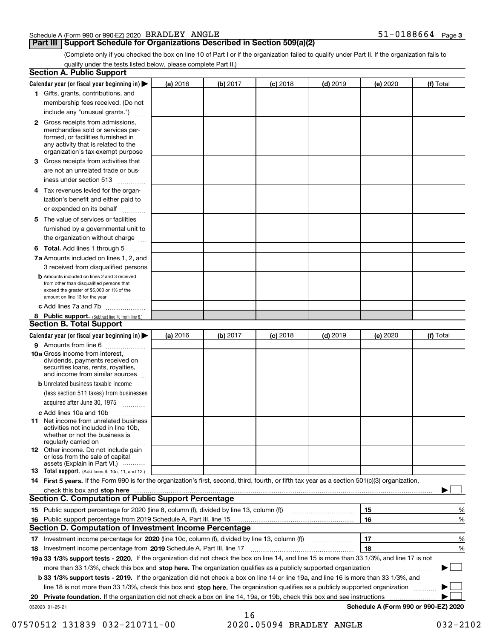#### Schedule A (Form 990 or 990-EZ) 2020 Page BRADLEY ANGLE 51-0188664

### **Part III Support Schedule for Organizations Described in Section 509(a)(2)**

(Complete only if you checked the box on line 10 of Part I or if the organization failed to qualify under Part II. If the organization fails to qualify under the tests listed below, please complete Part II.)

| <b>Section A. Public Support</b>                                                                                                                                                                                                                               |          |          |            |            |          |                                      |
|----------------------------------------------------------------------------------------------------------------------------------------------------------------------------------------------------------------------------------------------------------------|----------|----------|------------|------------|----------|--------------------------------------|
| Calendar year (or fiscal year beginning in) $\blacktriangleright$                                                                                                                                                                                              | (a) 2016 | (b) 2017 | $(c)$ 2018 | $(d)$ 2019 | (e) 2020 | (f) Total                            |
| 1 Gifts, grants, contributions, and                                                                                                                                                                                                                            |          |          |            |            |          |                                      |
| membership fees received. (Do not                                                                                                                                                                                                                              |          |          |            |            |          |                                      |
| include any "unusual grants.")                                                                                                                                                                                                                                 |          |          |            |            |          |                                      |
| 2 Gross receipts from admissions,<br>merchandise sold or services per-<br>formed, or facilities furnished in<br>any activity that is related to the<br>organization's tax-exempt purpose                                                                       |          |          |            |            |          |                                      |
| 3 Gross receipts from activities that<br>are not an unrelated trade or bus-                                                                                                                                                                                    |          |          |            |            |          |                                      |
| iness under section 513                                                                                                                                                                                                                                        |          |          |            |            |          |                                      |
| 4 Tax revenues levied for the organ-<br>ization's benefit and either paid to<br>or expended on its behalf<br>.                                                                                                                                                 |          |          |            |            |          |                                      |
| 5 The value of services or facilities<br>furnished by a governmental unit to<br>the organization without charge                                                                                                                                                |          |          |            |            |          |                                      |
| <b>6 Total.</b> Add lines 1 through 5                                                                                                                                                                                                                          |          |          |            |            |          |                                      |
| 7a Amounts included on lines 1, 2, and<br>3 received from disqualified persons                                                                                                                                                                                 |          |          |            |            |          |                                      |
| <b>b</b> Amounts included on lines 2 and 3 received<br>from other than disqualified persons that<br>exceed the greater of \$5,000 or 1% of the<br>amount on line 13 for the year                                                                               |          |          |            |            |          |                                      |
| c Add lines 7a and 7b                                                                                                                                                                                                                                          |          |          |            |            |          |                                      |
| 8 Public support. (Subtract line 7c from line 6.)<br><b>Section B. Total Support</b>                                                                                                                                                                           |          |          |            |            |          |                                      |
| Calendar year (or fiscal year beginning in) $\blacktriangleright$                                                                                                                                                                                              | (a) 2016 | (b) 2017 | $(c)$ 2018 | $(d)$ 2019 | (e) 2020 | (f) Total                            |
| 9 Amounts from line 6                                                                                                                                                                                                                                          |          |          |            |            |          |                                      |
| 10a Gross income from interest,<br>dividends, payments received on<br>securities loans, rents, royalties,<br>and income from similar sources                                                                                                                   |          |          |            |            |          |                                      |
| <b>b</b> Unrelated business taxable income<br>(less section 511 taxes) from businesses<br>acquired after June 30, 1975<br>1.1.1.1.1.1.1.1.1.1                                                                                                                  |          |          |            |            |          |                                      |
| c Add lines 10a and 10b                                                                                                                                                                                                                                        |          |          |            |            |          |                                      |
| <b>11</b> Net income from unrelated business<br>activities not included in line 10b.<br>whether or not the business is<br>regularly carried on                                                                                                                 |          |          |            |            |          |                                      |
| <b>12</b> Other income. Do not include gain<br>or loss from the sale of capital<br>assets (Explain in Part VI.)                                                                                                                                                |          |          |            |            |          |                                      |
| <b>13</b> Total support. (Add lines 9, 10c, 11, and 12.)                                                                                                                                                                                                       |          |          |            |            |          |                                      |
| 14 First 5 years. If the Form 990 is for the organization's first, second, third, fourth, or fifth tax year as a section 501(c)(3) organization,                                                                                                               |          |          |            |            |          |                                      |
| check this box and stop here <b>contractly contractly and structure and structure of the structure of the structure of the structure of the structure of the structure of the structure of the structure of the structure of the</b>                           |          |          |            |            |          |                                      |
| <b>Section C. Computation of Public Support Percentage</b>                                                                                                                                                                                                     |          |          |            |            |          |                                      |
|                                                                                                                                                                                                                                                                |          |          |            |            | 15       | %                                    |
| 16 Public support percentage from 2019 Schedule A, Part III, line 15                                                                                                                                                                                           |          |          |            |            | 16       | %                                    |
| <b>Section D. Computation of Investment Income Percentage</b>                                                                                                                                                                                                  |          |          |            |            |          |                                      |
| 17 Investment income percentage for 2020 (line 10c, column (f), divided by line 13, column (f))                                                                                                                                                                |          |          |            |            | 17       | %                                    |
| 18 Investment income percentage from 2019 Schedule A, Part III, line 17                                                                                                                                                                                        |          |          |            |            | 18       | %                                    |
| 19a 33 1/3% support tests - 2020. If the organization did not check the box on line 14, and line 15 is more than 33 1/3%, and line 17 is not                                                                                                                   |          |          |            |            |          |                                      |
| more than 33 1/3%, check this box and stop here. The organization qualifies as a publicly supported organization                                                                                                                                               |          |          |            |            |          |                                      |
| b 33 1/3% support tests - 2019. If the organization did not check a box on line 14 or line 19a, and line 16 is more than 33 1/3%, and                                                                                                                          |          |          |            |            |          |                                      |
| line 18 is not more than 33 1/3%, check this box and stop here. The organization qualifies as a publicly supported organization<br>20 Private foundation. If the organization did not check a box on line 14, 19a, or 19b, check this box and see instructions |          |          |            |            |          |                                      |
| 032023 01-25-21                                                                                                                                                                                                                                                |          |          |            |            |          | Schedule A (Form 990 or 990-EZ) 2020 |
|                                                                                                                                                                                                                                                                |          | 16       |            |            |          |                                      |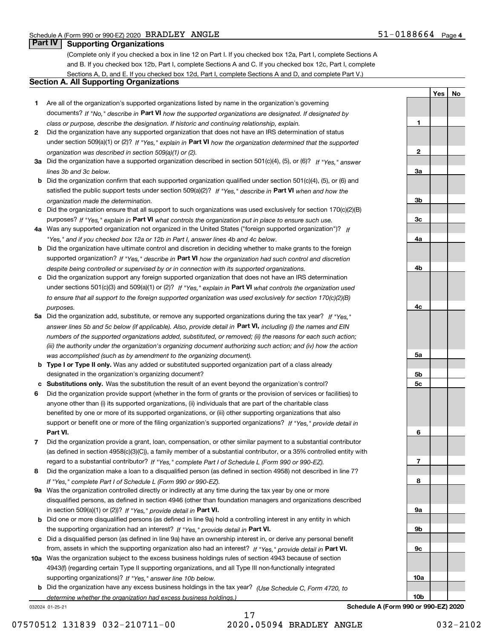**1**

**YesNo**

### **Part IV Supporting Organizations**

(Complete only if you checked a box in line 12 on Part I. If you checked box 12a, Part I, complete Sections A and B. If you checked box 12b, Part I, complete Sections A and C. If you checked box 12c, Part I, complete Sections A, D, and E. If you checked box 12d, Part I, complete Sections A and D, and complete Part V.)

#### **Section A. All Supporting Organizations**

- **1** Are all of the organization's supported organizations listed by name in the organization's governing documents? If "No," describe in **Part VI** how the supported organizations are designated. If designated by *class or purpose, describe the designation. If historic and continuing relationship, explain.*
- **2** Did the organization have any supported organization that does not have an IRS determination of status under section 509(a)(1) or (2)? If "Yes," explain in Part VI how the organization determined that the supported *organization was described in section 509(a)(1) or (2).*
- **3a** Did the organization have a supported organization described in section 501(c)(4), (5), or (6)? If "Yes," answer *lines 3b and 3c below.*
- **b** Did the organization confirm that each supported organization qualified under section 501(c)(4), (5), or (6) and satisfied the public support tests under section 509(a)(2)? If "Yes," describe in **Part VI** when and how the *organization made the determination.*
- **c**Did the organization ensure that all support to such organizations was used exclusively for section 170(c)(2)(B) purposes? If "Yes," explain in **Part VI** what controls the organization put in place to ensure such use.
- **4a***If* Was any supported organization not organized in the United States ("foreign supported organization")? *"Yes," and if you checked box 12a or 12b in Part I, answer lines 4b and 4c below.*
- **b** Did the organization have ultimate control and discretion in deciding whether to make grants to the foreign supported organization? If "Yes," describe in **Part VI** how the organization had such control and discretion *despite being controlled or supervised by or in connection with its supported organizations.*
- **c** Did the organization support any foreign supported organization that does not have an IRS determination under sections 501(c)(3) and 509(a)(1) or (2)? If "Yes," explain in **Part VI** what controls the organization used *to ensure that all support to the foreign supported organization was used exclusively for section 170(c)(2)(B) purposes.*
- **5a** Did the organization add, substitute, or remove any supported organizations during the tax year? If "Yes," answer lines 5b and 5c below (if applicable). Also, provide detail in **Part VI,** including (i) the names and EIN *numbers of the supported organizations added, substituted, or removed; (ii) the reasons for each such action; (iii) the authority under the organization's organizing document authorizing such action; and (iv) how the action was accomplished (such as by amendment to the organizing document).*
- **b** Type I or Type II only. Was any added or substituted supported organization part of a class already designated in the organization's organizing document?
- **cSubstitutions only.**  Was the substitution the result of an event beyond the organization's control?
- **6** Did the organization provide support (whether in the form of grants or the provision of services or facilities) to **Part VI.** *If "Yes," provide detail in* support or benefit one or more of the filing organization's supported organizations? anyone other than (i) its supported organizations, (ii) individuals that are part of the charitable class benefited by one or more of its supported organizations, or (iii) other supporting organizations that also
- **7**Did the organization provide a grant, loan, compensation, or other similar payment to a substantial contributor *If "Yes," complete Part I of Schedule L (Form 990 or 990-EZ).* regard to a substantial contributor? (as defined in section 4958(c)(3)(C)), a family member of a substantial contributor, or a 35% controlled entity with
- **8** Did the organization make a loan to a disqualified person (as defined in section 4958) not described in line 7? *If "Yes," complete Part I of Schedule L (Form 990 or 990-EZ).*
- **9a** Was the organization controlled directly or indirectly at any time during the tax year by one or more in section 509(a)(1) or (2))? If "Yes," *provide detail in* <code>Part VI.</code> disqualified persons, as defined in section 4946 (other than foundation managers and organizations described
- **b** Did one or more disqualified persons (as defined in line 9a) hold a controlling interest in any entity in which the supporting organization had an interest? If "Yes," provide detail in P**art VI**.
- **c**Did a disqualified person (as defined in line 9a) have an ownership interest in, or derive any personal benefit from, assets in which the supporting organization also had an interest? If "Yes," provide detail in P**art VI.**
- **10a** Was the organization subject to the excess business holdings rules of section 4943 because of section supporting organizations)? If "Yes," answer line 10b below. 4943(f) (regarding certain Type II supporting organizations, and all Type III non-functionally integrated
- **b** Did the organization have any excess business holdings in the tax year? (Use Schedule C, Form 4720, to *determine whether the organization had excess business holdings.)*

032024 01-25-21

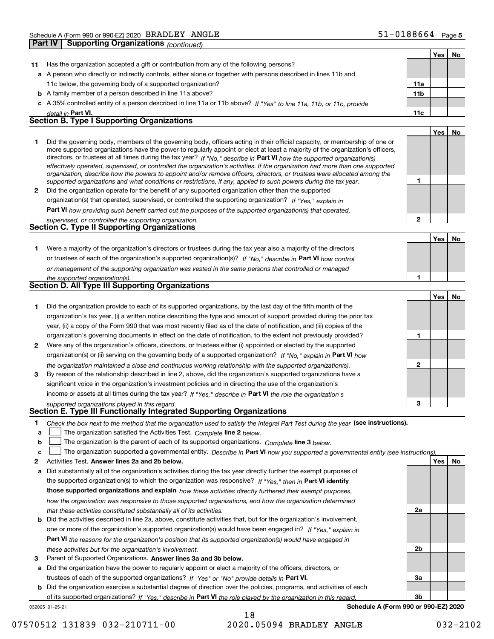|              |                                                                                                                                                                                                                                                                                                                                                                                                                                                                                                                                                                                                                                                      |              | Yes | No |
|--------------|------------------------------------------------------------------------------------------------------------------------------------------------------------------------------------------------------------------------------------------------------------------------------------------------------------------------------------------------------------------------------------------------------------------------------------------------------------------------------------------------------------------------------------------------------------------------------------------------------------------------------------------------------|--------------|-----|----|
| 11           | Has the organization accepted a gift or contribution from any of the following persons?                                                                                                                                                                                                                                                                                                                                                                                                                                                                                                                                                              |              |     |    |
|              | a A person who directly or indirectly controls, either alone or together with persons described in lines 11b and                                                                                                                                                                                                                                                                                                                                                                                                                                                                                                                                     |              |     |    |
|              | 11c below, the governing body of a supported organization?                                                                                                                                                                                                                                                                                                                                                                                                                                                                                                                                                                                           | 11a          |     |    |
|              | <b>b</b> A family member of a person described in line 11a above?                                                                                                                                                                                                                                                                                                                                                                                                                                                                                                                                                                                    | 11b          |     |    |
|              | c A 35% controlled entity of a person described in line 11a or 11b above? If "Yes" to line 11a, 11b, or 11c, provide                                                                                                                                                                                                                                                                                                                                                                                                                                                                                                                                 |              |     |    |
|              | detail in Part VI.                                                                                                                                                                                                                                                                                                                                                                                                                                                                                                                                                                                                                                   | 11c          |     |    |
|              | <b>Section B. Type I Supporting Organizations</b>                                                                                                                                                                                                                                                                                                                                                                                                                                                                                                                                                                                                    |              |     |    |
|              |                                                                                                                                                                                                                                                                                                                                                                                                                                                                                                                                                                                                                                                      |              | Yes | No |
| 1.           | Did the governing body, members of the governing body, officers acting in their official capacity, or membership of one or<br>more supported organizations have the power to regularly appoint or elect at least a majority of the organization's officers,<br>directors, or trustees at all times during the tax year? If "No," describe in Part VI how the supported organization(s)<br>effectively operated, supervised, or controlled the organization's activities. If the organization had more than one supported<br>organization, describe how the powers to appoint and/or remove officers, directors, or trustees were allocated among the |              |     |    |
|              | supported organizations and what conditions or restrictions, if any, applied to such powers during the tax year.                                                                                                                                                                                                                                                                                                                                                                                                                                                                                                                                     | 1            |     |    |
| 2            | Did the organization operate for the benefit of any supported organization other than the supported                                                                                                                                                                                                                                                                                                                                                                                                                                                                                                                                                  |              |     |    |
|              | organization(s) that operated, supervised, or controlled the supporting organization? If "Yes," explain in                                                                                                                                                                                                                                                                                                                                                                                                                                                                                                                                           |              |     |    |
|              | Part VI how providing such benefit carried out the purposes of the supported organization(s) that operated,<br>supervised, or controlled the supporting organization.                                                                                                                                                                                                                                                                                                                                                                                                                                                                                | $\mathbf{2}$ |     |    |
|              | <b>Section C. Type II Supporting Organizations</b>                                                                                                                                                                                                                                                                                                                                                                                                                                                                                                                                                                                                   |              |     |    |
|              |                                                                                                                                                                                                                                                                                                                                                                                                                                                                                                                                                                                                                                                      |              | Yes | No |
| 1.           | Were a majority of the organization's directors or trustees during the tax year also a majority of the directors                                                                                                                                                                                                                                                                                                                                                                                                                                                                                                                                     |              |     |    |
|              | or trustees of each of the organization's supported organization(s)? If "No," describe in Part VI how control                                                                                                                                                                                                                                                                                                                                                                                                                                                                                                                                        |              |     |    |
|              | or management of the supporting organization was vested in the same persons that controlled or managed                                                                                                                                                                                                                                                                                                                                                                                                                                                                                                                                               |              |     |    |
|              | the supported organization(s).                                                                                                                                                                                                                                                                                                                                                                                                                                                                                                                                                                                                                       | 1            |     |    |
|              | Section D. All Type III Supporting Organizations                                                                                                                                                                                                                                                                                                                                                                                                                                                                                                                                                                                                     |              |     |    |
|              |                                                                                                                                                                                                                                                                                                                                                                                                                                                                                                                                                                                                                                                      |              | Yes | No |
| 1.           | Did the organization provide to each of its supported organizations, by the last day of the fifth month of the                                                                                                                                                                                                                                                                                                                                                                                                                                                                                                                                       |              |     |    |
|              | organization's tax year, (i) a written notice describing the type and amount of support provided during the prior tax                                                                                                                                                                                                                                                                                                                                                                                                                                                                                                                                |              |     |    |
|              | year, (ii) a copy of the Form 990 that was most recently filed as of the date of notification, and (iii) copies of the                                                                                                                                                                                                                                                                                                                                                                                                                                                                                                                               |              |     |    |
|              | organization's governing documents in effect on the date of notification, to the extent not previously provided?                                                                                                                                                                                                                                                                                                                                                                                                                                                                                                                                     | 1            |     |    |
| 2            | Were any of the organization's officers, directors, or trustees either (i) appointed or elected by the supported                                                                                                                                                                                                                                                                                                                                                                                                                                                                                                                                     |              |     |    |
|              | organization(s) or (ii) serving on the governing body of a supported organization? If "No," explain in Part VI how                                                                                                                                                                                                                                                                                                                                                                                                                                                                                                                                   |              |     |    |
|              | the organization maintained a close and continuous working relationship with the supported organization(s).                                                                                                                                                                                                                                                                                                                                                                                                                                                                                                                                          | $\mathbf{2}$ |     |    |
| 3            | By reason of the relationship described in line 2, above, did the organization's supported organizations have a                                                                                                                                                                                                                                                                                                                                                                                                                                                                                                                                      |              |     |    |
|              | significant voice in the organization's investment policies and in directing the use of the organization's                                                                                                                                                                                                                                                                                                                                                                                                                                                                                                                                           |              |     |    |
|              | income or assets at all times during the tax year? If "Yes," describe in Part VI the role the organization's                                                                                                                                                                                                                                                                                                                                                                                                                                                                                                                                         |              |     |    |
|              | supported organizations played in this regard.                                                                                                                                                                                                                                                                                                                                                                                                                                                                                                                                                                                                       | з            |     |    |
|              | Section E. Type III Functionally Integrated Supporting Organizations                                                                                                                                                                                                                                                                                                                                                                                                                                                                                                                                                                                 |              |     |    |
| 1.<br>a<br>b | Check the box next to the method that the organization used to satisfy the Integral Part Test during the year (see instructions).<br>The organization satisfied the Activities Test. Complete line 2 below.<br>The organization is the parent of each of its supported organizations. Complete line 3 below.                                                                                                                                                                                                                                                                                                                                         |              |     |    |
| c<br>2       | The organization supported a governmental entity. Describe in Part VI how you supported a governmental entity (see instructions).<br>Activities Test. Answer lines 2a and 2b below.                                                                                                                                                                                                                                                                                                                                                                                                                                                                  |              | Yes | No |
| a            | Did substantially all of the organization's activities during the tax year directly further the exempt purposes of                                                                                                                                                                                                                                                                                                                                                                                                                                                                                                                                   |              |     |    |
|              | the supported organization(s) to which the organization was responsive? If "Yes," then in Part VI identify                                                                                                                                                                                                                                                                                                                                                                                                                                                                                                                                           |              |     |    |
|              | those supported organizations and explain how these activities directly furthered their exempt purposes,                                                                                                                                                                                                                                                                                                                                                                                                                                                                                                                                             |              |     |    |
|              | how the organization was responsive to those supported organizations, and how the organization determined                                                                                                                                                                                                                                                                                                                                                                                                                                                                                                                                            |              |     |    |
|              | that these activities constituted substantially all of its activities.                                                                                                                                                                                                                                                                                                                                                                                                                                                                                                                                                                               | 2a           |     |    |
|              | <b>b</b> Did the activities described in line 2a, above, constitute activities that, but for the organization's involvement,                                                                                                                                                                                                                                                                                                                                                                                                                                                                                                                         |              |     |    |
|              | one or more of the organization's supported organization(s) would have been engaged in? If "Yes," explain in                                                                                                                                                                                                                                                                                                                                                                                                                                                                                                                                         |              |     |    |
|              | <b>Part VI</b> the reasons for the organization's position that its supported organization(s) would have engaged in                                                                                                                                                                                                                                                                                                                                                                                                                                                                                                                                  |              |     |    |
|              | these activities but for the organization's involvement.                                                                                                                                                                                                                                                                                                                                                                                                                                                                                                                                                                                             | 2b           |     |    |
| з            | Parent of Supported Organizations. Answer lines 3a and 3b below.                                                                                                                                                                                                                                                                                                                                                                                                                                                                                                                                                                                     |              |     |    |
|              | a Did the organization have the power to regularly appoint or elect a majority of the officers, directors, or                                                                                                                                                                                                                                                                                                                                                                                                                                                                                                                                        |              |     |    |
|              | trustees of each of the supported organizations? If "Yes" or "No" provide details in Part VI.                                                                                                                                                                                                                                                                                                                                                                                                                                                                                                                                                        | За           |     |    |

**b** Did the organization exercise a substantial degree of direction over the policies, programs, and activities of each of its supported organizations? If "Yes," describe in Part VI the role played by the organization in this regard.

032025 01-25-21

**Schedule A (Form 990 or 990-EZ) 2020**

**3b**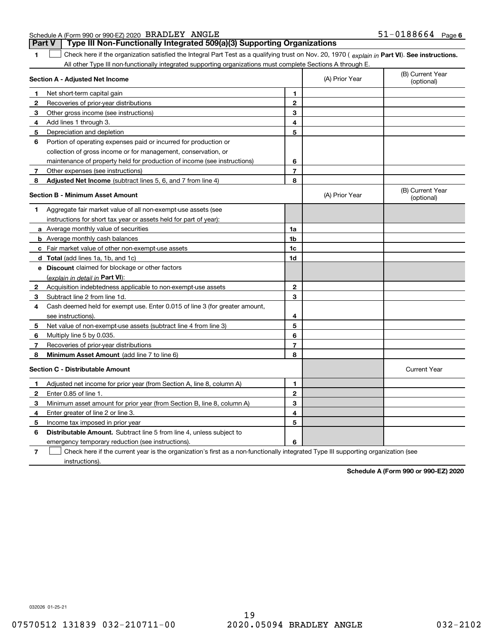|  | Schedule A (Form 990 or 990-EZ) 2020 BRADLEY ANGLE |                                                                                       | $51 - 0188664$ Page 6 |  |
|--|----------------------------------------------------|---------------------------------------------------------------------------------------|-----------------------|--|
|  |                                                    | <b>Part V</b> Type III Non-Functionally Integrated 509(a)(3) Supporting Organizations |                       |  |

**1**

1 Check here if the organization satisfied the Integral Part Test as a qualifying trust on Nov. 20, 1970 (explain in Part VI). See instructions. All other Type III non-functionally integrated supporting organizations must complete Sections A through E.

|              | Section A - Adjusted Net Income                                                                                                   |                | (A) Prior Year | (B) Current Year<br>(optional) |
|--------------|-----------------------------------------------------------------------------------------------------------------------------------|----------------|----------------|--------------------------------|
| 1.           | Net short-term capital gain                                                                                                       | 1              |                |                                |
| $\mathbf{2}$ | Recoveries of prior-year distributions                                                                                            | $\mathbf{2}$   |                |                                |
| 3            | Other gross income (see instructions)                                                                                             | 3              |                |                                |
| 4            | Add lines 1 through 3.                                                                                                            | 4              |                |                                |
| 5            | Depreciation and depletion                                                                                                        | 5              |                |                                |
| 6            | Portion of operating expenses paid or incurred for production or                                                                  |                |                |                                |
|              | collection of gross income or for management, conservation, or                                                                    |                |                |                                |
|              | maintenance of property held for production of income (see instructions)                                                          | 6              |                |                                |
| 7            | Other expenses (see instructions)                                                                                                 | $\overline{7}$ |                |                                |
| 8            | Adjusted Net Income (subtract lines 5, 6, and 7 from line 4)                                                                      | 8              |                |                                |
|              | <b>Section B - Minimum Asset Amount</b>                                                                                           |                | (A) Prior Year | (B) Current Year<br>(optional) |
| 1            | Aggregate fair market value of all non-exempt-use assets (see                                                                     |                |                |                                |
|              | instructions for short tax year or assets held for part of year):                                                                 |                |                |                                |
|              | <b>a</b> Average monthly value of securities                                                                                      | 1a             |                |                                |
|              | <b>b</b> Average monthly cash balances                                                                                            | 1b             |                |                                |
|              | c Fair market value of other non-exempt-use assets                                                                                | 1c             |                |                                |
|              | d Total (add lines 1a, 1b, and 1c)                                                                                                | 1d             |                |                                |
|              | e Discount claimed for blockage or other factors                                                                                  |                |                |                                |
|              | (explain in detail in Part VI):                                                                                                   |                |                |                                |
| $\mathbf{2}$ | Acquisition indebtedness applicable to non-exempt-use assets                                                                      | $\mathbf{2}$   |                |                                |
| 3            | Subtract line 2 from line 1d.                                                                                                     | 3              |                |                                |
| 4            | Cash deemed held for exempt use. Enter 0.015 of line 3 (for greater amount,                                                       |                |                |                                |
|              | see instructions)                                                                                                                 | 4              |                |                                |
| 5            | Net value of non-exempt-use assets (subtract line 4 from line 3)                                                                  | 5              |                |                                |
| 6            | Multiply line 5 by 0.035.                                                                                                         | 6              |                |                                |
| 7            | Recoveries of prior-year distributions                                                                                            | $\overline{7}$ |                |                                |
| 8            | Minimum Asset Amount (add line 7 to line 6)                                                                                       | 8              |                |                                |
|              | <b>Section C - Distributable Amount</b>                                                                                           |                |                | <b>Current Year</b>            |
| 1            | Adjusted net income for prior year (from Section A, line 8, column A)                                                             | 1              |                |                                |
| 2            | Enter 0.85 of line 1.                                                                                                             | $\overline{2}$ |                |                                |
| 3            | Minimum asset amount for prior year (from Section B, line 8, column A)                                                            | 3              |                |                                |
| 4            | Enter greater of line 2 or line 3.                                                                                                | 4              |                |                                |
| 5            | Income tax imposed in prior year                                                                                                  | 5              |                |                                |
| 6            | <b>Distributable Amount.</b> Subtract line 5 from line 4, unless subject to                                                       |                |                |                                |
|              | emergency temporary reduction (see instructions).                                                                                 | 6              |                |                                |
| 7            | Check here if the current year is the organization's first as a non-functionally integrated Type III supporting organization (see |                |                |                                |

**7**instructions).

**Schedule A (Form 990 or 990-EZ) 2020**

032026 01-25-21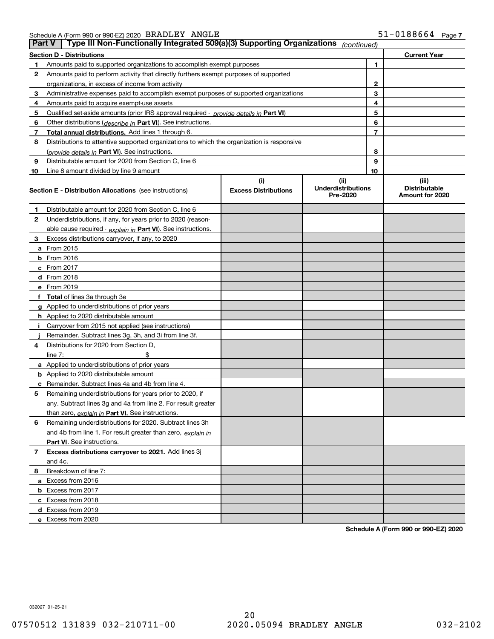| Schedule A (Form 990 or 990-EZ) 2020 $\,$ BRADLEY $\,$ ANGLE |  | 51-0188664 | Page, |
|--------------------------------------------------------------|--|------------|-------|
|                                                              |  |            |       |

| <b>Part V</b> | Type III Non-Functionally Integrated 509(a)(3) Supporting Organizations                    |                             | (continued)                           |    |                                         |
|---------------|--------------------------------------------------------------------------------------------|-----------------------------|---------------------------------------|----|-----------------------------------------|
|               | <b>Section D - Distributions</b>                                                           |                             |                                       |    | <b>Current Year</b>                     |
| 1             | Amounts paid to supported organizations to accomplish exempt purposes                      |                             |                                       | 1  |                                         |
| 2             | Amounts paid to perform activity that directly furthers exempt purposes of supported       |                             |                                       |    |                                         |
|               | organizations, in excess of income from activity                                           |                             |                                       | 2  |                                         |
| 3             | Administrative expenses paid to accomplish exempt purposes of supported organizations      |                             |                                       | 3  |                                         |
| 4             | Amounts paid to acquire exempt-use assets                                                  |                             |                                       | 4  |                                         |
| 5             | Qualified set-aside amounts (prior IRS approval required - provide details in Part VI)     |                             |                                       | 5  |                                         |
| 6             | Other distributions (describe in Part VI). See instructions.                               |                             |                                       | 6  |                                         |
| 7             | Total annual distributions. Add lines 1 through 6.                                         |                             |                                       | 7  |                                         |
| 8             | Distributions to attentive supported organizations to which the organization is responsive |                             |                                       |    |                                         |
|               | (provide details in Part VI). See instructions.                                            |                             |                                       | 8  |                                         |
| 9             | Distributable amount for 2020 from Section C, line 6                                       |                             |                                       | 9  |                                         |
| 10            | Line 8 amount divided by line 9 amount                                                     |                             |                                       | 10 |                                         |
|               |                                                                                            | (i)                         | (ii)                                  |    | (iii)                                   |
|               | <b>Section E - Distribution Allocations</b> (see instructions)                             | <b>Excess Distributions</b> | <b>Underdistributions</b><br>Pre-2020 |    | <b>Distributable</b><br>Amount for 2020 |
| 1             | Distributable amount for 2020 from Section C, line 6                                       |                             |                                       |    |                                         |
| 2             | Underdistributions, if any, for years prior to 2020 (reason-                               |                             |                                       |    |                                         |
|               | able cause required - explain in Part VI). See instructions.                               |                             |                                       |    |                                         |
| 3             | Excess distributions carryover, if any, to 2020                                            |                             |                                       |    |                                         |
|               | <b>a</b> From 2015                                                                         |                             |                                       |    |                                         |
|               | <b>b</b> From 2016                                                                         |                             |                                       |    |                                         |
|               | c From 2017                                                                                |                             |                                       |    |                                         |
|               | <b>d</b> From 2018                                                                         |                             |                                       |    |                                         |
|               | e From 2019                                                                                |                             |                                       |    |                                         |
|               | f Total of lines 3a through 3e                                                             |                             |                                       |    |                                         |
|               | g Applied to underdistributions of prior years                                             |                             |                                       |    |                                         |
|               | <b>h</b> Applied to 2020 distributable amount                                              |                             |                                       |    |                                         |
|               | Carryover from 2015 not applied (see instructions)                                         |                             |                                       |    |                                         |
|               | Remainder. Subtract lines 3g, 3h, and 3i from line 3f.                                     |                             |                                       |    |                                         |
| 4             | Distributions for 2020 from Section D,                                                     |                             |                                       |    |                                         |
|               | line $7:$                                                                                  |                             |                                       |    |                                         |
|               | a Applied to underdistributions of prior years                                             |                             |                                       |    |                                         |
|               | <b>b</b> Applied to 2020 distributable amount                                              |                             |                                       |    |                                         |
|               | c Remainder. Subtract lines 4a and 4b from line 4.                                         |                             |                                       |    |                                         |
| 5             | Remaining underdistributions for years prior to 2020, if                                   |                             |                                       |    |                                         |
|               | any. Subtract lines 3g and 4a from line 2. For result greater                              |                             |                                       |    |                                         |
|               | than zero, explain in Part VI. See instructions.                                           |                             |                                       |    |                                         |
| 6             | Remaining underdistributions for 2020. Subtract lines 3h                                   |                             |                                       |    |                                         |
|               | and 4b from line 1. For result greater than zero, explain in                               |                             |                                       |    |                                         |
|               | Part VI. See instructions.                                                                 |                             |                                       |    |                                         |
| 7             | Excess distributions carryover to 2021. Add lines 3j                                       |                             |                                       |    |                                         |
|               | and 4c.                                                                                    |                             |                                       |    |                                         |
| 8             | Breakdown of line 7:                                                                       |                             |                                       |    |                                         |
|               | a Excess from 2016                                                                         |                             |                                       |    |                                         |
|               | <b>b</b> Excess from 2017                                                                  |                             |                                       |    |                                         |
|               | c Excess from 2018                                                                         |                             |                                       |    |                                         |
|               | d Excess from 2019                                                                         |                             |                                       |    |                                         |
|               | e Excess from 2020                                                                         |                             |                                       |    |                                         |

**Schedule A (Form 990 or 990-EZ) 2020**

032027 01-25-21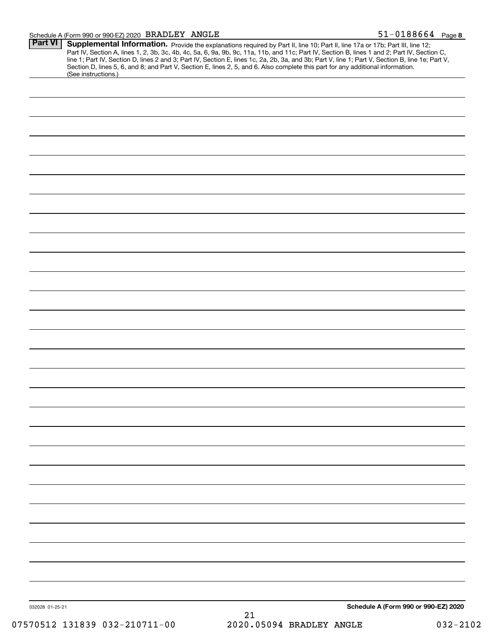#### Schedule A (Form 990 or 990-EZ) 2020 BRADLEY ANGLE 51−UI88664 Page  $\texttt{BRADLEY}$  angle

| <b>Part VI</b>  | Supplemental Information. Provide the explanations required by Part II, line 10; Part II, line 17a or 17b; Part III, line 12;<br>Part IV, Section A, lines 1, 2, 3b, 3c, 4b, 4c, 5a, 6, 9a, 9b, 9c, 11a, 11b, and 11c; Part IV, Section B, lines 1 and 2; Part IV, Section C, line 1; Part IV, Section D, lines 2 and 3; Part IV, Section E, lines 1c, 2a, 2b,<br>Section D, lines 5, 6, and 8; and Part V, Section E, lines 2, 5, and 6. Also complete this part for any additional information.<br>(See instructions.) |
|-----------------|--------------------------------------------------------------------------------------------------------------------------------------------------------------------------------------------------------------------------------------------------------------------------------------------------------------------------------------------------------------------------------------------------------------------------------------------------------------------------------------------------------------------------|
|                 |                                                                                                                                                                                                                                                                                                                                                                                                                                                                                                                          |
|                 |                                                                                                                                                                                                                                                                                                                                                                                                                                                                                                                          |
|                 |                                                                                                                                                                                                                                                                                                                                                                                                                                                                                                                          |
|                 |                                                                                                                                                                                                                                                                                                                                                                                                                                                                                                                          |
|                 |                                                                                                                                                                                                                                                                                                                                                                                                                                                                                                                          |
|                 |                                                                                                                                                                                                                                                                                                                                                                                                                                                                                                                          |
|                 |                                                                                                                                                                                                                                                                                                                                                                                                                                                                                                                          |
|                 |                                                                                                                                                                                                                                                                                                                                                                                                                                                                                                                          |
|                 |                                                                                                                                                                                                                                                                                                                                                                                                                                                                                                                          |
|                 |                                                                                                                                                                                                                                                                                                                                                                                                                                                                                                                          |
|                 |                                                                                                                                                                                                                                                                                                                                                                                                                                                                                                                          |
|                 |                                                                                                                                                                                                                                                                                                                                                                                                                                                                                                                          |
|                 |                                                                                                                                                                                                                                                                                                                                                                                                                                                                                                                          |
|                 |                                                                                                                                                                                                                                                                                                                                                                                                                                                                                                                          |
|                 |                                                                                                                                                                                                                                                                                                                                                                                                                                                                                                                          |
|                 |                                                                                                                                                                                                                                                                                                                                                                                                                                                                                                                          |
|                 |                                                                                                                                                                                                                                                                                                                                                                                                                                                                                                                          |
|                 |                                                                                                                                                                                                                                                                                                                                                                                                                                                                                                                          |
|                 |                                                                                                                                                                                                                                                                                                                                                                                                                                                                                                                          |
|                 |                                                                                                                                                                                                                                                                                                                                                                                                                                                                                                                          |
|                 |                                                                                                                                                                                                                                                                                                                                                                                                                                                                                                                          |
|                 |                                                                                                                                                                                                                                                                                                                                                                                                                                                                                                                          |
|                 |                                                                                                                                                                                                                                                                                                                                                                                                                                                                                                                          |
|                 |                                                                                                                                                                                                                                                                                                                                                                                                                                                                                                                          |
|                 |                                                                                                                                                                                                                                                                                                                                                                                                                                                                                                                          |
|                 |                                                                                                                                                                                                                                                                                                                                                                                                                                                                                                                          |
|                 |                                                                                                                                                                                                                                                                                                                                                                                                                                                                                                                          |
|                 |                                                                                                                                                                                                                                                                                                                                                                                                                                                                                                                          |
|                 |                                                                                                                                                                                                                                                                                                                                                                                                                                                                                                                          |
|                 |                                                                                                                                                                                                                                                                                                                                                                                                                                                                                                                          |
|                 |                                                                                                                                                                                                                                                                                                                                                                                                                                                                                                                          |
|                 |                                                                                                                                                                                                                                                                                                                                                                                                                                                                                                                          |
|                 |                                                                                                                                                                                                                                                                                                                                                                                                                                                                                                                          |
|                 |                                                                                                                                                                                                                                                                                                                                                                                                                                                                                                                          |
|                 |                                                                                                                                                                                                                                                                                                                                                                                                                                                                                                                          |
|                 |                                                                                                                                                                                                                                                                                                                                                                                                                                                                                                                          |
| 032028 01-25-21 | Schedule A (Form 990 or 990-EZ) 2020                                                                                                                                                                                                                                                                                                                                                                                                                                                                                     |
|                 | 21                                                                                                                                                                                                                                                                                                                                                                                                                                                                                                                       |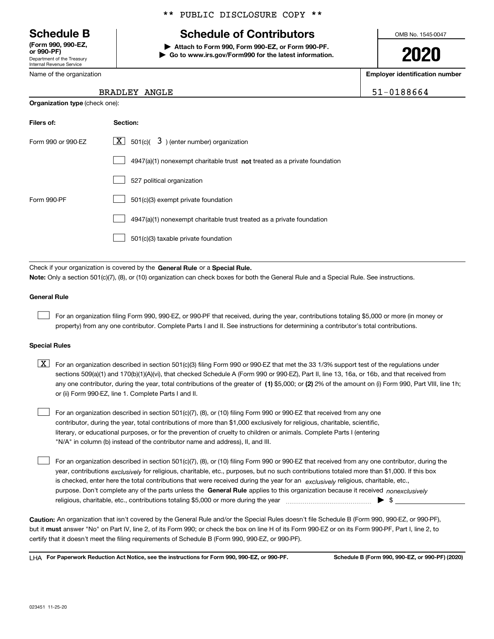Department of the Treasury Internal Revenue Service **(Form 990, 990-EZ, or 990-PF)**

Name of the organization

**Organization type** (check one):

#### \*\* PUBLIC DISCLOSURE COPY \*\*

# **Schedule B Schedule of Contributors**

**| Attach to Form 990, Form 990-EZ, or Form 990-PF. | Go to www.irs.gov/Form990 for the latest information.** OMB No. 1545-0047

**2020**

**Employer identification number**

| <b>BRADLEY ANGLE</b> | 51-0188664 |
|----------------------|------------|
|----------------------|------------|

| Filers of:         | Section:                                                                    |
|--------------------|-----------------------------------------------------------------------------|
| Form 990 or 990-EZ | $X$ 501(c)( 3) (enter number) organization                                  |
|                    | $4947(a)(1)$ nonexempt charitable trust not treated as a private foundation |
|                    | 527 political organization                                                  |
| Form 990-PF        | 501(c)(3) exempt private foundation                                         |
|                    | 4947(a)(1) nonexempt charitable trust treated as a private foundation       |
|                    | 501(c)(3) taxable private foundation                                        |

Check if your organization is covered by the **General Rule** or a **Special Rule. Note:**  Only a section 501(c)(7), (8), or (10) organization can check boxes for both the General Rule and a Special Rule. See instructions.

#### **General Rule**

 $\mathcal{L}^{\text{max}}$ 

For an organization filing Form 990, 990-EZ, or 990-PF that received, during the year, contributions totaling \$5,000 or more (in money or property) from any one contributor. Complete Parts I and II. See instructions for determining a contributor's total contributions.

#### **Special Rules**

any one contributor, during the year, total contributions of the greater of  $\,$  (1) \$5,000; or **(2)** 2% of the amount on (i) Form 990, Part VIII, line 1h;  $\boxed{\textbf{X}}$  For an organization described in section 501(c)(3) filing Form 990 or 990-EZ that met the 33 1/3% support test of the regulations under sections 509(a)(1) and 170(b)(1)(A)(vi), that checked Schedule A (Form 990 or 990-EZ), Part II, line 13, 16a, or 16b, and that received from or (ii) Form 990-EZ, line 1. Complete Parts I and II.

For an organization described in section 501(c)(7), (8), or (10) filing Form 990 or 990-EZ that received from any one contributor, during the year, total contributions of more than \$1,000 exclusively for religious, charitable, scientific, literary, or educational purposes, or for the prevention of cruelty to children or animals. Complete Parts I (entering "N/A" in column (b) instead of the contributor name and address), II, and III.  $\mathcal{L}^{\text{max}}$ 

purpose. Don't complete any of the parts unless the **General Rule** applies to this organization because it received *nonexclusively* year, contributions <sub>exclusively</sub> for religious, charitable, etc., purposes, but no such contributions totaled more than \$1,000. If this box is checked, enter here the total contributions that were received during the year for an  $\;$ exclusively religious, charitable, etc., For an organization described in section 501(c)(7), (8), or (10) filing Form 990 or 990-EZ that received from any one contributor, during the religious, charitable, etc., contributions totaling \$5,000 or more during the year  $\Box$ — $\Box$   $\Box$  $\mathcal{L}^{\text{max}}$ 

**Caution:**  An organization that isn't covered by the General Rule and/or the Special Rules doesn't file Schedule B (Form 990, 990-EZ, or 990-PF),  **must** but it answer "No" on Part IV, line 2, of its Form 990; or check the box on line H of its Form 990-EZ or on its Form 990-PF, Part I, line 2, to certify that it doesn't meet the filing requirements of Schedule B (Form 990, 990-EZ, or 990-PF).

**For Paperwork Reduction Act Notice, see the instructions for Form 990, 990-EZ, or 990-PF. Schedule B (Form 990, 990-EZ, or 990-PF) (2020)** LHA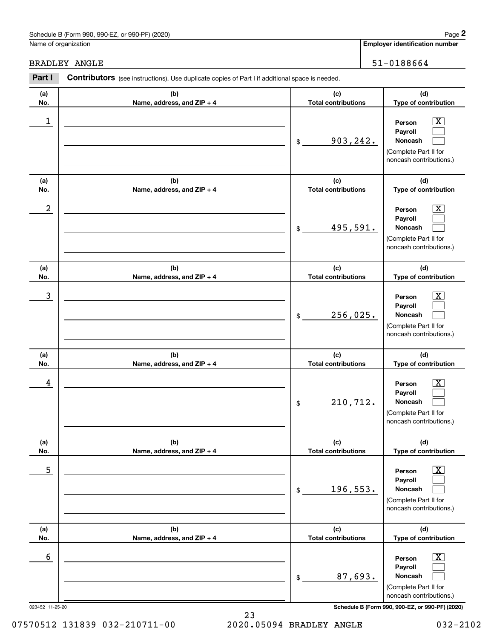#### Schedule B (Form 990, 990-EZ, or 990-PF) (2020) **Page 2** Page 2 and the state of the state of the state of the state of the state of the state of the state of the state of the state of the state of the state of the state o

Name of organization

**Employer identification number**

**PersonPayrollNoncash**

**PersonPayrollNoncash**

**PersonPayrollNoncash**

**PersonPayrollNoncash**

**PersonPayrollNoncash**

**(d)Type of contribution**

**(d)Type of contribution**

**(d)Type of contribution**

**(d) Type of contribution**

**(d) Type of contribution**

**(d)Type of contribution**

noncash contributions.)

BRADLEY ANGLE 51-0188664

#### **(a)No.(b)Name, address, and ZIP + 4 (c)Total contributions (a)No.(b)Name, address, and ZIP + 4 (c)Total contributions (a)No.(b)Name, address, and ZIP + 4 (c)Total contributions (a) No.(b) Name, address, and ZIP + 4 (c) Total contributions (a) No.(b) Name, address, and ZIP + 4 (c) Total contributions (a) No.(b)Name, address, and ZIP + 4 (c) Total contributions Contributors** (see instructions). Use duplicate copies of Part I if additional space is needed. \$(Complete Part II for noncash contributions.) \$(Complete Part II for noncash contributions.) \$(Complete Part II for noncash contributions.) \$(Complete Part II for noncash contributions.) \$(Complete Part II for noncash contributions.) \$(Complete Part II for **2Page 2** Chedule B (Form 990, 990-EZ, or 990-PF) (2020)<br>
Jame of organization<br> **2Part I 2Part I Contributors** (see instructions). Use duplicate copies of Part I if additional space is needed.  $\begin{array}{c|c|c|c|c|c} 1 & \hspace{1.5cm} & \hspace{1.5cm} & \hspace{1.5cm} & \hspace{1.5cm} & \hspace{1.5cm} & \hspace{1.5cm} & \hspace{1.5cm} & \hspace{1.5cm} & \hspace{1.5cm} & \hspace{1.5cm} & \hspace{1.5cm} & \hspace{1.5cm} & \hspace{1.5cm} & \hspace{1.5cm} & \hspace{1.5cm} & \hspace{1.5cm} & \hspace{1.5cm} & \hspace{1.5cm} & \hspace{1.5cm} & \hspace{1.5cm} &$ 903,242.  $2$  | Person  $\overline{\text{X}}$ 495,591.  $\overline{3}$  | Person  $\overline{X}$ 256,025.  $4$  | Person  $\overline{\text{X}}$ 210,712.  $\sim$  5 | Person X 196,553.  $\sim$  6 | Person X 87,693.

023452 11-25-20 **Schedule B (Form 990, 990-EZ, or 990-PF) (2020)**

**PersonPayrollNoncash**

 $|X|$  $\mathcal{L}^{\text{max}}$  $\mathcal{L}^{\text{max}}$ 

 $\boxed{\text{X}}$  $\mathcal{L}^{\text{max}}$  $\mathcal{L}^{\text{max}}$ 

 $|X|$  $\mathcal{L}^{\text{max}}$  $\mathcal{L}^{\text{max}}$ 

 $\boxed{\text{X}}$  $\mathcal{L}^{\text{max}}$  $\mathcal{L}^{\text{max}}$ 

 $\boxed{\text{X}}$  $\mathcal{L}^{\text{max}}$  $\mathcal{L}^{\text{max}}$ 

 $\boxed{\text{X}}$  $\mathcal{L}^{\text{max}}$  $\mathcal{L}^{\text{max}}$ 

### 07570512 131839 032-210711-00 2020.05094 BRADLEY ANGLE 032-2102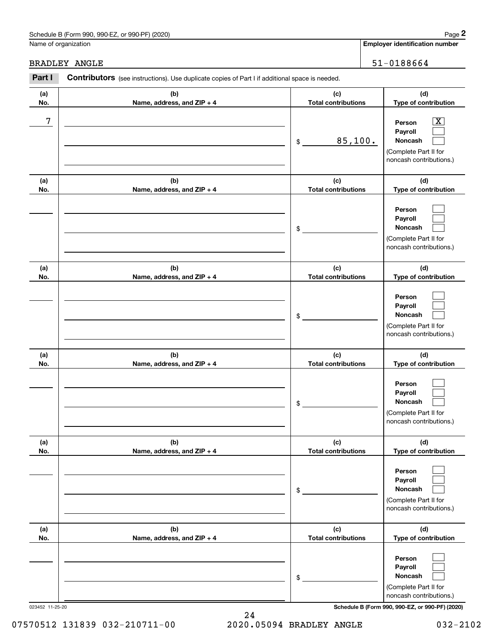#### Schedule B (Form 990, 990-EZ, or 990-PF) (2020) **Page 2** Page 2 and the state of the state of the state of the state of the state of the state of the state of the state of the state of the state of the state of the state o

Name of organization

**Employer identification number**

BRADLEY ANGLE 51-0188664

#### **(a)No.(b)Name, address, and ZIP + 4 (c)Total contributions (d)Type of contribution PersonPayrollNoncash (a)No.(b)Name, address, and ZIP + 4 (c)Total contributions (d)Type of contribution PersonPayrollNoncash (a)No.(b)Name, address, and ZIP + 4 (c)Total contributions (d)Type of contribution PersonPayrollNoncash (a) No.(b) Name, address, and ZIP + 4 (c) Total contributions (d) Type of contribution PersonPayrollNoncash(a) No.(b) Name, address, and ZIP + 4 (c) Total contributions (d) Type of contribution PersonPayrollNoncash(a) No.(b)Name, address, and ZIP + 4 (c) Total contributions (d)Type of contribution PersonPayrollNoncash Contributors** (see instructions). Use duplicate copies of Part I if additional space is needed. \$(Complete Part II for noncash contributions.) \$(Complete Part II for noncash contributions.) \$(Complete Part II for noncash contributions.) \$(Complete Part II for noncash contributions.) \$(Complete Part II for noncash contributions.) \$(Complete Part II for noncash contributions.) **2Page 2** Chedule B (Form 990, 990-EZ, or 990-PF) (2020)<br>
Jame of organization<br> **2Part I 2Part I Contributors** (see instructions). Use duplicate copies of Part I if additional space is needed.  $|X|$  $\mathcal{L}^{\text{max}}$  $\mathcal{L}^{\text{max}}$  $\mathcal{L}^{\text{max}}$  $\mathcal{L}^{\text{max}}$  $\mathcal{L}^{\text{max}}$  $\mathcal{L}^{\text{max}}$  $\mathcal{L}^{\text{max}}$  $\mathcal{L}^{\text{max}}$  $\mathcal{L}^{\text{max}}$  $\mathcal{L}^{\text{max}}$  $\mathcal{L}^{\text{max}}$  $\mathcal{L}^{\text{max}}$  $\mathcal{L}^{\text{max}}$  $\mathcal{L}^{\text{max}}$  $\mathcal{L}^{\text{max}}$  $\mathcal{L}^{\text{max}}$  $\mathcal{L}^{\text{max}}$ 7 X 85,100.

023452 11-25-20 **Schedule B (Form 990, 990-EZ, or 990-PF) (2020)**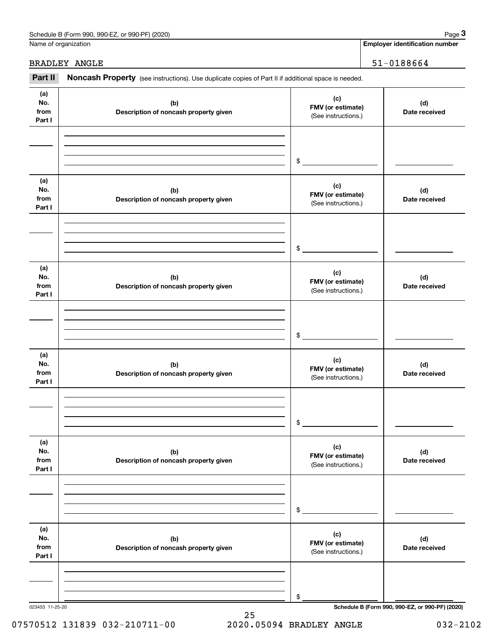| or 990-PF)<br>Schedule B (Form 990.<br>990-EZ<br>(2020) | Page |
|---------------------------------------------------------|------|
|                                                         |      |

|                              | Schedule B (Form 990, 990-EZ, or 990-PF) (2020)                                                     |                                                 | Page 3                                          |
|------------------------------|-----------------------------------------------------------------------------------------------------|-------------------------------------------------|-------------------------------------------------|
|                              | Name of organization                                                                                |                                                 | <b>Employer identification number</b>           |
|                              | BRADLEY ANGLE                                                                                       | 51-0188664                                      |                                                 |
| Part II                      | Noncash Property (see instructions). Use duplicate copies of Part II if additional space is needed. |                                                 |                                                 |
| (a)<br>No.<br>from<br>Part I | (c)<br>(b)<br>FMV (or estimate)<br>Description of noncash property given<br>(See instructions.)     |                                                 | (d)<br>Date received                            |
|                              |                                                                                                     | \$                                              |                                                 |
| (a)<br>No.<br>from<br>Part I | (b)<br>Description of noncash property given                                                        | (c)<br>FMV (or estimate)<br>(See instructions.) | (d)<br>Date received                            |
|                              |                                                                                                     | \$                                              |                                                 |
| (a)<br>No.<br>from<br>Part I | (b)<br>Description of noncash property given                                                        | (c)<br>FMV (or estimate)<br>(See instructions.) | (d)<br>Date received                            |
|                              |                                                                                                     | \$                                              |                                                 |
| (a)<br>No.<br>from<br>Part I | (b)<br>Description of noncash property given                                                        | (c)<br>FMV (or estimate)<br>(See instructions.) | (d)<br>Date received                            |
|                              |                                                                                                     | \$                                              |                                                 |
| (a)<br>No.<br>from<br>Part I | (b)<br>Description of noncash property given                                                        | (c)<br>FMV (or estimate)<br>(See instructions.) | (d)<br>Date received                            |
|                              |                                                                                                     | \$                                              |                                                 |
| (a)<br>No.<br>from<br>Part I | (b)<br>Description of noncash property given                                                        | (c)<br>FMV (or estimate)<br>(See instructions.) | (d)<br>Date received                            |
|                              |                                                                                                     | \$                                              |                                                 |
| 023453 11-25-20              |                                                                                                     |                                                 | Schedule B (Form 990, 990-EZ, or 990-PF) (2020) |

07570512 131839 032-210711-00 2020.05094 BRADLEY ANGLE 032-2102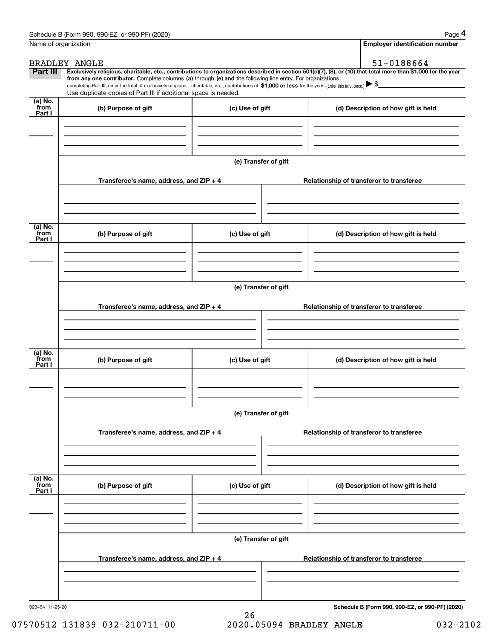|                           | Schedule B (Form 990, 990-EZ, or 990-PF) (2020)                                                                                                                                                                                                                                                 |                      | Page 4                                                                                                                                                         |  |  |  |
|---------------------------|-------------------------------------------------------------------------------------------------------------------------------------------------------------------------------------------------------------------------------------------------------------------------------------------------|----------------------|----------------------------------------------------------------------------------------------------------------------------------------------------------------|--|--|--|
|                           | Name of organization                                                                                                                                                                                                                                                                            |                      | <b>Employer identification number</b>                                                                                                                          |  |  |  |
|                           | <b>BRADLEY ANGLE</b>                                                                                                                                                                                                                                                                            |                      | 51-0188664                                                                                                                                                     |  |  |  |
| Part III                  |                                                                                                                                                                                                                                                                                                 |                      | Exclusively religious, charitable, etc., contributions to organizations described in section 501(c)(7), (8), or (10) that total more than \$1,000 for the year |  |  |  |
|                           | from any one contributor. Complete columns (a) through (e) and the following line entry. For organizations<br>completing Part III, enter the total of exclusively religious, charitable, etc., contributions of \$1,000 or less for the year. (Enter this info. once.) $\blacktriangleright$ \$ |                      |                                                                                                                                                                |  |  |  |
|                           | Use duplicate copies of Part III if additional space is needed.                                                                                                                                                                                                                                 |                      |                                                                                                                                                                |  |  |  |
| (a) No.<br>from<br>Part I | (b) Purpose of gift<br>(c) Use of gift                                                                                                                                                                                                                                                          |                      | (d) Description of how gift is held                                                                                                                            |  |  |  |
|                           |                                                                                                                                                                                                                                                                                                 |                      |                                                                                                                                                                |  |  |  |
|                           |                                                                                                                                                                                                                                                                                                 |                      |                                                                                                                                                                |  |  |  |
|                           |                                                                                                                                                                                                                                                                                                 | (e) Transfer of gift |                                                                                                                                                                |  |  |  |
|                           | Transferee's name, address, and ZIP + 4                                                                                                                                                                                                                                                         |                      | Relationship of transferor to transferee                                                                                                                       |  |  |  |
|                           |                                                                                                                                                                                                                                                                                                 |                      |                                                                                                                                                                |  |  |  |
| (a) No.<br>from<br>Part I | (b) Purpose of gift                                                                                                                                                                                                                                                                             | (c) Use of gift      | (d) Description of how gift is held                                                                                                                            |  |  |  |
|                           |                                                                                                                                                                                                                                                                                                 |                      |                                                                                                                                                                |  |  |  |
|                           |                                                                                                                                                                                                                                                                                                 |                      |                                                                                                                                                                |  |  |  |
|                           | (e) Transfer of gift                                                                                                                                                                                                                                                                            |                      |                                                                                                                                                                |  |  |  |
|                           | Transferee's name, address, and ZIP + 4                                                                                                                                                                                                                                                         |                      | Relationship of transferor to transferee                                                                                                                       |  |  |  |
|                           |                                                                                                                                                                                                                                                                                                 |                      |                                                                                                                                                                |  |  |  |
| (a) No.                   |                                                                                                                                                                                                                                                                                                 |                      |                                                                                                                                                                |  |  |  |
| from<br>Part I            | (b) Purpose of gift                                                                                                                                                                                                                                                                             | (c) Use of gift      | (d) Description of how gift is held                                                                                                                            |  |  |  |
|                           |                                                                                                                                                                                                                                                                                                 |                      |                                                                                                                                                                |  |  |  |
|                           | (e) Transfer of gift                                                                                                                                                                                                                                                                            |                      |                                                                                                                                                                |  |  |  |
|                           | Transferee's name, address, and ZIP + 4                                                                                                                                                                                                                                                         |                      | Relationship of transferor to transferee                                                                                                                       |  |  |  |
|                           |                                                                                                                                                                                                                                                                                                 |                      |                                                                                                                                                                |  |  |  |
|                           |                                                                                                                                                                                                                                                                                                 |                      |                                                                                                                                                                |  |  |  |
| (a) No.<br>from<br>Part I | (b) Purpose of gift                                                                                                                                                                                                                                                                             | (c) Use of gift      | (d) Description of how gift is held                                                                                                                            |  |  |  |
|                           |                                                                                                                                                                                                                                                                                                 |                      |                                                                                                                                                                |  |  |  |
|                           |                                                                                                                                                                                                                                                                                                 |                      |                                                                                                                                                                |  |  |  |
|                           | (e) Transfer of gift                                                                                                                                                                                                                                                                            |                      |                                                                                                                                                                |  |  |  |
|                           | Transferee's name, address, and ZIP + 4                                                                                                                                                                                                                                                         |                      | Relationship of transferor to transferee                                                                                                                       |  |  |  |
|                           |                                                                                                                                                                                                                                                                                                 |                      |                                                                                                                                                                |  |  |  |
| 023454 11-25-20           |                                                                                                                                                                                                                                                                                                 |                      | Schedule B (Form 990, 990-EZ, or 990-PF) (2020)                                                                                                                |  |  |  |

07570512 131839 032-210711-00 2020.05094 BRADLEY ANGLE 032-2102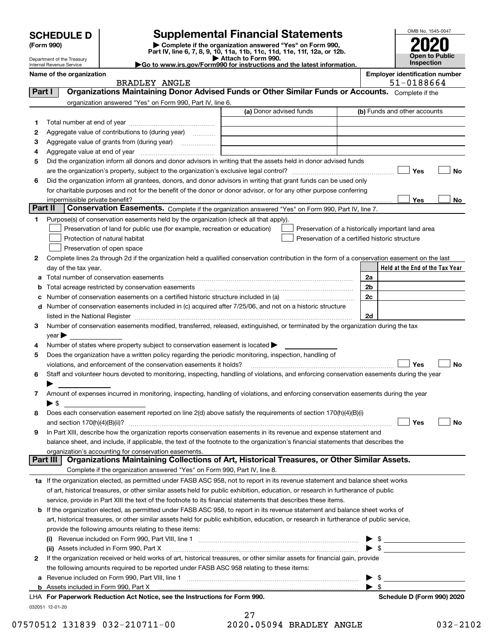| <b>SCHEDULE D</b> |
|-------------------|
|                   |

Department of the Treasury Internal Revenue Service

### **SCHEDULE D Supplemental Financial Statements**

(Form 990)<br>
Pepartment of the Treasury<br>
Department of the Treasury<br>
Department of the Treasury<br>
Department of the Treasury<br> **Co to www.irs.gov/Form990 for instructions and the latest information.**<br> **Co to www.irs.gov/Form9** 



|              | Name of the organization<br><b>BRADLEY ANGLE</b>                                                                                               |                                                |                              | <b>Employer identification number</b><br>51-0188664                                                                                                                                                                                                                                                                 |
|--------------|------------------------------------------------------------------------------------------------------------------------------------------------|------------------------------------------------|------------------------------|---------------------------------------------------------------------------------------------------------------------------------------------------------------------------------------------------------------------------------------------------------------------------------------------------------------------|
| Part I       | Organizations Maintaining Donor Advised Funds or Other Similar Funds or Accounts. Complete if the                                              |                                                |                              |                                                                                                                                                                                                                                                                                                                     |
|              | organization answered "Yes" on Form 990, Part IV, line 6.                                                                                      |                                                |                              |                                                                                                                                                                                                                                                                                                                     |
|              |                                                                                                                                                | (a) Donor advised funds                        |                              | (b) Funds and other accounts                                                                                                                                                                                                                                                                                        |
| 1.           |                                                                                                                                                |                                                |                              |                                                                                                                                                                                                                                                                                                                     |
| 2            | Aggregate value of contributions to (during year)                                                                                              |                                                |                              |                                                                                                                                                                                                                                                                                                                     |
| з            |                                                                                                                                                |                                                |                              |                                                                                                                                                                                                                                                                                                                     |
| 4            |                                                                                                                                                |                                                |                              |                                                                                                                                                                                                                                                                                                                     |
| 5            | Did the organization inform all donors and donor advisors in writing that the assets held in donor advised funds                               |                                                |                              |                                                                                                                                                                                                                                                                                                                     |
|              |                                                                                                                                                |                                                |                              | <b>No</b><br>Yes                                                                                                                                                                                                                                                                                                    |
| 6            | Did the organization inform all grantees, donors, and donor advisors in writing that grant funds can be used only                              |                                                |                              |                                                                                                                                                                                                                                                                                                                     |
|              | for charitable purposes and not for the benefit of the donor or donor advisor, or for any other purpose conferring                             |                                                |                              |                                                                                                                                                                                                                                                                                                                     |
|              |                                                                                                                                                |                                                |                              | Yes<br>No                                                                                                                                                                                                                                                                                                           |
| Part II      | Conservation Easements. Complete if the organization answered "Yes" on Form 990, Part IV, line 7.                                              |                                                |                              |                                                                                                                                                                                                                                                                                                                     |
| 1            | Purpose(s) of conservation easements held by the organization (check all that apply).                                                          |                                                |                              |                                                                                                                                                                                                                                                                                                                     |
|              | Preservation of land for public use (for example, recreation or education)                                                                     |                                                |                              | Preservation of a historically important land area                                                                                                                                                                                                                                                                  |
|              | Protection of natural habitat                                                                                                                  | Preservation of a certified historic structure |                              |                                                                                                                                                                                                                                                                                                                     |
|              | Preservation of open space                                                                                                                     |                                                |                              |                                                                                                                                                                                                                                                                                                                     |
| 2            | Complete lines 2a through 2d if the organization held a qualified conservation contribution in the form of a conservation easement on the last |                                                |                              |                                                                                                                                                                                                                                                                                                                     |
|              | day of the tax year.                                                                                                                           |                                                |                              | Held at the End of the Tax Year                                                                                                                                                                                                                                                                                     |
| а            |                                                                                                                                                |                                                | 2a                           |                                                                                                                                                                                                                                                                                                                     |
| b            | Total acreage restricted by conservation easements                                                                                             |                                                | 2 <sub>b</sub>               |                                                                                                                                                                                                                                                                                                                     |
| с            |                                                                                                                                                |                                                | 2c                           |                                                                                                                                                                                                                                                                                                                     |
|              | d Number of conservation easements included in (c) acquired after 7/25/06, and not on a historic structure                                     |                                                |                              |                                                                                                                                                                                                                                                                                                                     |
|              |                                                                                                                                                |                                                | 2d                           |                                                                                                                                                                                                                                                                                                                     |
| З.           | Number of conservation easements modified, transferred, released, extinguished, or terminated by the organization during the tax               |                                                |                              |                                                                                                                                                                                                                                                                                                                     |
|              | $year \blacktriangleright$                                                                                                                     |                                                |                              |                                                                                                                                                                                                                                                                                                                     |
| 4            | Number of states where property subject to conservation easement is located >                                                                  |                                                |                              |                                                                                                                                                                                                                                                                                                                     |
| 5            | Does the organization have a written policy regarding the periodic monitoring, inspection, handling of                                         |                                                |                              |                                                                                                                                                                                                                                                                                                                     |
|              | violations, and enforcement of the conservation easements it holds?                                                                            |                                                |                              | Yes<br><b>No</b>                                                                                                                                                                                                                                                                                                    |
| 6            | Staff and volunteer hours devoted to monitoring, inspecting, handling of violations, and enforcing conservation easements during the year      |                                                |                              |                                                                                                                                                                                                                                                                                                                     |
|              |                                                                                                                                                |                                                |                              |                                                                                                                                                                                                                                                                                                                     |
| 7            | Amount of expenses incurred in monitoring, inspecting, handling of violations, and enforcing conservation easements during the year            |                                                |                              |                                                                                                                                                                                                                                                                                                                     |
|              | $\blacktriangleright$ \$                                                                                                                       |                                                |                              |                                                                                                                                                                                                                                                                                                                     |
| 8            | Does each conservation easement reported on line 2(d) above satisfy the requirements of section 170(h)(4)(B)(i)                                |                                                |                              |                                                                                                                                                                                                                                                                                                                     |
|              |                                                                                                                                                |                                                |                              | Yes<br>No                                                                                                                                                                                                                                                                                                           |
|              | In Part XIII, describe how the organization reports conservation easements in its revenue and expense statement and                            |                                                |                              |                                                                                                                                                                                                                                                                                                                     |
|              | balance sheet, and include, if applicable, the text of the footnote to the organization's financial statements that describes the              |                                                |                              |                                                                                                                                                                                                                                                                                                                     |
|              | organization's accounting for conservation easements.                                                                                          |                                                |                              |                                                                                                                                                                                                                                                                                                                     |
| Part III     | Organizations Maintaining Collections of Art, Historical Treasures, or Other Similar Assets.                                                   |                                                |                              |                                                                                                                                                                                                                                                                                                                     |
|              | Complete if the organization answered "Yes" on Form 990, Part IV, line 8.                                                                      |                                                |                              |                                                                                                                                                                                                                                                                                                                     |
|              | 1a If the organization elected, as permitted under FASB ASC 958, not to report in its revenue statement and balance sheet works                |                                                |                              |                                                                                                                                                                                                                                                                                                                     |
|              | of art, historical treasures, or other similar assets held for public exhibition, education, or research in furtherance of public              |                                                |                              |                                                                                                                                                                                                                                                                                                                     |
|              | service, provide in Part XIII the text of the footnote to its financial statements that describes these items.                                 |                                                |                              |                                                                                                                                                                                                                                                                                                                     |
| b            | If the organization elected, as permitted under FASB ASC 958, to report in its revenue statement and balance sheet works of                    |                                                |                              |                                                                                                                                                                                                                                                                                                                     |
|              | art, historical treasures, or other similar assets held for public exhibition, education, or research in furtherance of public service,        |                                                |                              |                                                                                                                                                                                                                                                                                                                     |
|              | provide the following amounts relating to these items:                                                                                         |                                                |                              |                                                                                                                                                                                                                                                                                                                     |
|              |                                                                                                                                                |                                                |                              |                                                                                                                                                                                                                                                                                                                     |
|              | (ii) Assets included in Form 990, Part X                                                                                                       |                                                |                              | $\frac{1}{2}$ $\frac{1}{2}$ $\frac{1}{2}$ $\frac{1}{2}$ $\frac{1}{2}$ $\frac{1}{2}$ $\frac{1}{2}$ $\frac{1}{2}$ $\frac{1}{2}$ $\frac{1}{2}$ $\frac{1}{2}$ $\frac{1}{2}$ $\frac{1}{2}$ $\frac{1}{2}$ $\frac{1}{2}$ $\frac{1}{2}$ $\frac{1}{2}$ $\frac{1}{2}$ $\frac{1}{2}$ $\frac{1}{2}$ $\frac{1}{2}$ $\frac{1}{2}$ |
| $\mathbf{2}$ | If the organization received or held works of art, historical treasures, or other similar assets for financial gain, provide                   |                                                |                              |                                                                                                                                                                                                                                                                                                                     |
|              | the following amounts required to be reported under FASB ASC 958 relating to these items:                                                      |                                                |                              |                                                                                                                                                                                                                                                                                                                     |
|              |                                                                                                                                                |                                                |                              | <b>S</b>                                                                                                                                                                                                                                                                                                            |
| a            | Revenue included on Form 990, Part VIII, line 1 [2000] [2000] [2000] [2000] [3000] [3000] [3000] [3000] [3000                                  |                                                | ▶<br>$\blacktriangleright$ s |                                                                                                                                                                                                                                                                                                                     |
|              | LHA For Paperwork Reduction Act Notice, see the Instructions for Form 990.                                                                     |                                                |                              | Schedule D (Form 990) 2020                                                                                                                                                                                                                                                                                          |
|              |                                                                                                                                                |                                                |                              |                                                                                                                                                                                                                                                                                                                     |
|              | 032051 12-01-20                                                                                                                                | 27                                             |                              |                                                                                                                                                                                                                                                                                                                     |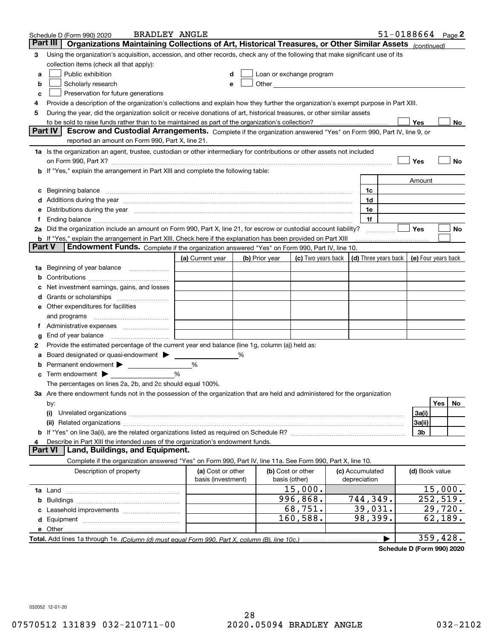| Organizations Maintaining Collections of Art, Historical Treasures, or Other Similar Assets (continued)<br>Part III<br>Using the organization's acquisition, accession, and other records, check any of the following that make significant use of its<br>3<br>collection items (check all that apply):<br>Public exhibition<br>Loan or exchange program<br>a<br>Other and the control of the control of the control of the control of the control of the control of the control of the control of the control of the control of the control of the control of the control of the control of th<br>Scholarly research<br>b<br>е<br>Preservation for future generations<br>c<br>Provide a description of the organization's collections and explain how they further the organization's exempt purpose in Part XIII.<br>4<br>During the year, did the organization solicit or receive donations of art, historical treasures, or other similar assets<br>5<br>to be sold to raise funds rather than to be maintained as part of the organization's collection?<br>Yes<br>No<br><b>Part IV</b><br>Escrow and Custodial Arrangements. Complete if the organization answered "Yes" on Form 990, Part IV, line 9, or<br>reported an amount on Form 990, Part X, line 21.<br>1a Is the organization an agent, trustee, custodian or other intermediary for contributions or other assets not included<br>Yes<br>No<br>b If "Yes," explain the arrangement in Part XIII and complete the following table:<br>Amount<br>Beginning balance<br>1c<br>Additions during the year manufactured and an anti-manufactured and the year manufactured and all the year manufactured and all the year manufactured and all the year manufactured and all the year manufactured and all the<br>1d<br>Distributions during the year manufactured and continuum and contact the year manufactured and contact the year<br>1e<br>1f<br>Yes<br>2a Did the organization include an amount on Form 990, Part X, line 21, for escrow or custodial account liability?<br>No<br><b>b</b> If "Yes," explain the arrangement in Part XIII. Check here if the explanation has been provided on Part XIII<br>Part V<br><b>Endowment Funds.</b> Complete if the organization answered "Yes" on Form 990, Part IV, line 10.<br>(d) Three years back<br>(a) Current year<br>(c) Two years back<br>(e) Four years back<br>(b) Prior year<br>Beginning of year balance<br>1a<br>Net investment earnings, gains, and losses<br>Other expenditures for facilities<br>е<br>and programs<br>End of year balance<br>g<br>Provide the estimated percentage of the current year end balance (line 1g, column (a)) held as:<br>2<br>Board designated or quasi-endowment<br>%<br>Permanent endowment<br>%<br>%<br>Term endowment ><br>с<br>The percentages on lines 2a, 2b, and 2c should equal 100%.<br>3a Are there endowment funds not in the possession of the organization that are held and administered for the organization<br>Yes<br>No<br>by:<br>3a(i)<br>(i)<br>3a(ii)<br>3b<br>Describe in Part XIII the intended uses of the organization's endowment funds.<br>Land, Buildings, and Equipment.<br>Part VI<br>Complete if the organization answered "Yes" on Form 990, Part IV, line 11a. See Form 990, Part X, line 10.<br>(a) Cost or other<br>(b) Cost or other<br>(c) Accumulated<br>(d) Book value | <b>BRADLEY ANGLE</b><br>Schedule D (Form 990) 2020 |  |  |  | $51 - 0188664$ Page 2 |  |
|------------------------------------------------------------------------------------------------------------------------------------------------------------------------------------------------------------------------------------------------------------------------------------------------------------------------------------------------------------------------------------------------------------------------------------------------------------------------------------------------------------------------------------------------------------------------------------------------------------------------------------------------------------------------------------------------------------------------------------------------------------------------------------------------------------------------------------------------------------------------------------------------------------------------------------------------------------------------------------------------------------------------------------------------------------------------------------------------------------------------------------------------------------------------------------------------------------------------------------------------------------------------------------------------------------------------------------------------------------------------------------------------------------------------------------------------------------------------------------------------------------------------------------------------------------------------------------------------------------------------------------------------------------------------------------------------------------------------------------------------------------------------------------------------------------------------------------------------------------------------------------------------------------------------------------------------------------------------------------------------------------------------------------------------------------------------------------------------------------------------------------------------------------------------------------------------------------------------------------------------------------------------------------------------------------------------------------------------------------------------------------------------------------------------------------------------------------------------------------------------------------------------------------------------------------------------------------------------------------------------------------------------------------------------------------------------------------------------------------------------------------------------------------------------------------------------------------------------------------------------------------------------------------------------------------------------------------------------------------------------------------------------------------------------------------------------------------------------------------------------------------------------------------------------------------------------------------------------------------------------------------------------------------------------------------------------------------------------------------------------|----------------------------------------------------|--|--|--|-----------------------|--|
|                                                                                                                                                                                                                                                                                                                                                                                                                                                                                                                                                                                                                                                                                                                                                                                                                                                                                                                                                                                                                                                                                                                                                                                                                                                                                                                                                                                                                                                                                                                                                                                                                                                                                                                                                                                                                                                                                                                                                                                                                                                                                                                                                                                                                                                                                                                                                                                                                                                                                                                                                                                                                                                                                                                                                                                                                                                                                                                                                                                                                                                                                                                                                                                                                                                                                                                                                                        |                                                    |  |  |  |                       |  |
|                                                                                                                                                                                                                                                                                                                                                                                                                                                                                                                                                                                                                                                                                                                                                                                                                                                                                                                                                                                                                                                                                                                                                                                                                                                                                                                                                                                                                                                                                                                                                                                                                                                                                                                                                                                                                                                                                                                                                                                                                                                                                                                                                                                                                                                                                                                                                                                                                                                                                                                                                                                                                                                                                                                                                                                                                                                                                                                                                                                                                                                                                                                                                                                                                                                                                                                                                                        |                                                    |  |  |  |                       |  |
|                                                                                                                                                                                                                                                                                                                                                                                                                                                                                                                                                                                                                                                                                                                                                                                                                                                                                                                                                                                                                                                                                                                                                                                                                                                                                                                                                                                                                                                                                                                                                                                                                                                                                                                                                                                                                                                                                                                                                                                                                                                                                                                                                                                                                                                                                                                                                                                                                                                                                                                                                                                                                                                                                                                                                                                                                                                                                                                                                                                                                                                                                                                                                                                                                                                                                                                                                                        |                                                    |  |  |  |                       |  |
|                                                                                                                                                                                                                                                                                                                                                                                                                                                                                                                                                                                                                                                                                                                                                                                                                                                                                                                                                                                                                                                                                                                                                                                                                                                                                                                                                                                                                                                                                                                                                                                                                                                                                                                                                                                                                                                                                                                                                                                                                                                                                                                                                                                                                                                                                                                                                                                                                                                                                                                                                                                                                                                                                                                                                                                                                                                                                                                                                                                                                                                                                                                                                                                                                                                                                                                                                                        |                                                    |  |  |  |                       |  |
|                                                                                                                                                                                                                                                                                                                                                                                                                                                                                                                                                                                                                                                                                                                                                                                                                                                                                                                                                                                                                                                                                                                                                                                                                                                                                                                                                                                                                                                                                                                                                                                                                                                                                                                                                                                                                                                                                                                                                                                                                                                                                                                                                                                                                                                                                                                                                                                                                                                                                                                                                                                                                                                                                                                                                                                                                                                                                                                                                                                                                                                                                                                                                                                                                                                                                                                                                                        |                                                    |  |  |  |                       |  |
|                                                                                                                                                                                                                                                                                                                                                                                                                                                                                                                                                                                                                                                                                                                                                                                                                                                                                                                                                                                                                                                                                                                                                                                                                                                                                                                                                                                                                                                                                                                                                                                                                                                                                                                                                                                                                                                                                                                                                                                                                                                                                                                                                                                                                                                                                                                                                                                                                                                                                                                                                                                                                                                                                                                                                                                                                                                                                                                                                                                                                                                                                                                                                                                                                                                                                                                                                                        |                                                    |  |  |  |                       |  |
|                                                                                                                                                                                                                                                                                                                                                                                                                                                                                                                                                                                                                                                                                                                                                                                                                                                                                                                                                                                                                                                                                                                                                                                                                                                                                                                                                                                                                                                                                                                                                                                                                                                                                                                                                                                                                                                                                                                                                                                                                                                                                                                                                                                                                                                                                                                                                                                                                                                                                                                                                                                                                                                                                                                                                                                                                                                                                                                                                                                                                                                                                                                                                                                                                                                                                                                                                                        |                                                    |  |  |  |                       |  |
|                                                                                                                                                                                                                                                                                                                                                                                                                                                                                                                                                                                                                                                                                                                                                                                                                                                                                                                                                                                                                                                                                                                                                                                                                                                                                                                                                                                                                                                                                                                                                                                                                                                                                                                                                                                                                                                                                                                                                                                                                                                                                                                                                                                                                                                                                                                                                                                                                                                                                                                                                                                                                                                                                                                                                                                                                                                                                                                                                                                                                                                                                                                                                                                                                                                                                                                                                                        |                                                    |  |  |  |                       |  |
|                                                                                                                                                                                                                                                                                                                                                                                                                                                                                                                                                                                                                                                                                                                                                                                                                                                                                                                                                                                                                                                                                                                                                                                                                                                                                                                                                                                                                                                                                                                                                                                                                                                                                                                                                                                                                                                                                                                                                                                                                                                                                                                                                                                                                                                                                                                                                                                                                                                                                                                                                                                                                                                                                                                                                                                                                                                                                                                                                                                                                                                                                                                                                                                                                                                                                                                                                                        |                                                    |  |  |  |                       |  |
|                                                                                                                                                                                                                                                                                                                                                                                                                                                                                                                                                                                                                                                                                                                                                                                                                                                                                                                                                                                                                                                                                                                                                                                                                                                                                                                                                                                                                                                                                                                                                                                                                                                                                                                                                                                                                                                                                                                                                                                                                                                                                                                                                                                                                                                                                                                                                                                                                                                                                                                                                                                                                                                                                                                                                                                                                                                                                                                                                                                                                                                                                                                                                                                                                                                                                                                                                                        |                                                    |  |  |  |                       |  |
|                                                                                                                                                                                                                                                                                                                                                                                                                                                                                                                                                                                                                                                                                                                                                                                                                                                                                                                                                                                                                                                                                                                                                                                                                                                                                                                                                                                                                                                                                                                                                                                                                                                                                                                                                                                                                                                                                                                                                                                                                                                                                                                                                                                                                                                                                                                                                                                                                                                                                                                                                                                                                                                                                                                                                                                                                                                                                                                                                                                                                                                                                                                                                                                                                                                                                                                                                                        |                                                    |  |  |  |                       |  |
|                                                                                                                                                                                                                                                                                                                                                                                                                                                                                                                                                                                                                                                                                                                                                                                                                                                                                                                                                                                                                                                                                                                                                                                                                                                                                                                                                                                                                                                                                                                                                                                                                                                                                                                                                                                                                                                                                                                                                                                                                                                                                                                                                                                                                                                                                                                                                                                                                                                                                                                                                                                                                                                                                                                                                                                                                                                                                                                                                                                                                                                                                                                                                                                                                                                                                                                                                                        |                                                    |  |  |  |                       |  |
|                                                                                                                                                                                                                                                                                                                                                                                                                                                                                                                                                                                                                                                                                                                                                                                                                                                                                                                                                                                                                                                                                                                                                                                                                                                                                                                                                                                                                                                                                                                                                                                                                                                                                                                                                                                                                                                                                                                                                                                                                                                                                                                                                                                                                                                                                                                                                                                                                                                                                                                                                                                                                                                                                                                                                                                                                                                                                                                                                                                                                                                                                                                                                                                                                                                                                                                                                                        |                                                    |  |  |  |                       |  |
|                                                                                                                                                                                                                                                                                                                                                                                                                                                                                                                                                                                                                                                                                                                                                                                                                                                                                                                                                                                                                                                                                                                                                                                                                                                                                                                                                                                                                                                                                                                                                                                                                                                                                                                                                                                                                                                                                                                                                                                                                                                                                                                                                                                                                                                                                                                                                                                                                                                                                                                                                                                                                                                                                                                                                                                                                                                                                                                                                                                                                                                                                                                                                                                                                                                                                                                                                                        |                                                    |  |  |  |                       |  |
|                                                                                                                                                                                                                                                                                                                                                                                                                                                                                                                                                                                                                                                                                                                                                                                                                                                                                                                                                                                                                                                                                                                                                                                                                                                                                                                                                                                                                                                                                                                                                                                                                                                                                                                                                                                                                                                                                                                                                                                                                                                                                                                                                                                                                                                                                                                                                                                                                                                                                                                                                                                                                                                                                                                                                                                                                                                                                                                                                                                                                                                                                                                                                                                                                                                                                                                                                                        |                                                    |  |  |  |                       |  |
|                                                                                                                                                                                                                                                                                                                                                                                                                                                                                                                                                                                                                                                                                                                                                                                                                                                                                                                                                                                                                                                                                                                                                                                                                                                                                                                                                                                                                                                                                                                                                                                                                                                                                                                                                                                                                                                                                                                                                                                                                                                                                                                                                                                                                                                                                                                                                                                                                                                                                                                                                                                                                                                                                                                                                                                                                                                                                                                                                                                                                                                                                                                                                                                                                                                                                                                                                                        |                                                    |  |  |  |                       |  |
|                                                                                                                                                                                                                                                                                                                                                                                                                                                                                                                                                                                                                                                                                                                                                                                                                                                                                                                                                                                                                                                                                                                                                                                                                                                                                                                                                                                                                                                                                                                                                                                                                                                                                                                                                                                                                                                                                                                                                                                                                                                                                                                                                                                                                                                                                                                                                                                                                                                                                                                                                                                                                                                                                                                                                                                                                                                                                                                                                                                                                                                                                                                                                                                                                                                                                                                                                                        |                                                    |  |  |  |                       |  |
|                                                                                                                                                                                                                                                                                                                                                                                                                                                                                                                                                                                                                                                                                                                                                                                                                                                                                                                                                                                                                                                                                                                                                                                                                                                                                                                                                                                                                                                                                                                                                                                                                                                                                                                                                                                                                                                                                                                                                                                                                                                                                                                                                                                                                                                                                                                                                                                                                                                                                                                                                                                                                                                                                                                                                                                                                                                                                                                                                                                                                                                                                                                                                                                                                                                                                                                                                                        |                                                    |  |  |  |                       |  |
|                                                                                                                                                                                                                                                                                                                                                                                                                                                                                                                                                                                                                                                                                                                                                                                                                                                                                                                                                                                                                                                                                                                                                                                                                                                                                                                                                                                                                                                                                                                                                                                                                                                                                                                                                                                                                                                                                                                                                                                                                                                                                                                                                                                                                                                                                                                                                                                                                                                                                                                                                                                                                                                                                                                                                                                                                                                                                                                                                                                                                                                                                                                                                                                                                                                                                                                                                                        |                                                    |  |  |  |                       |  |
|                                                                                                                                                                                                                                                                                                                                                                                                                                                                                                                                                                                                                                                                                                                                                                                                                                                                                                                                                                                                                                                                                                                                                                                                                                                                                                                                                                                                                                                                                                                                                                                                                                                                                                                                                                                                                                                                                                                                                                                                                                                                                                                                                                                                                                                                                                                                                                                                                                                                                                                                                                                                                                                                                                                                                                                                                                                                                                                                                                                                                                                                                                                                                                                                                                                                                                                                                                        |                                                    |  |  |  |                       |  |
|                                                                                                                                                                                                                                                                                                                                                                                                                                                                                                                                                                                                                                                                                                                                                                                                                                                                                                                                                                                                                                                                                                                                                                                                                                                                                                                                                                                                                                                                                                                                                                                                                                                                                                                                                                                                                                                                                                                                                                                                                                                                                                                                                                                                                                                                                                                                                                                                                                                                                                                                                                                                                                                                                                                                                                                                                                                                                                                                                                                                                                                                                                                                                                                                                                                                                                                                                                        |                                                    |  |  |  |                       |  |
|                                                                                                                                                                                                                                                                                                                                                                                                                                                                                                                                                                                                                                                                                                                                                                                                                                                                                                                                                                                                                                                                                                                                                                                                                                                                                                                                                                                                                                                                                                                                                                                                                                                                                                                                                                                                                                                                                                                                                                                                                                                                                                                                                                                                                                                                                                                                                                                                                                                                                                                                                                                                                                                                                                                                                                                                                                                                                                                                                                                                                                                                                                                                                                                                                                                                                                                                                                        |                                                    |  |  |  |                       |  |
|                                                                                                                                                                                                                                                                                                                                                                                                                                                                                                                                                                                                                                                                                                                                                                                                                                                                                                                                                                                                                                                                                                                                                                                                                                                                                                                                                                                                                                                                                                                                                                                                                                                                                                                                                                                                                                                                                                                                                                                                                                                                                                                                                                                                                                                                                                                                                                                                                                                                                                                                                                                                                                                                                                                                                                                                                                                                                                                                                                                                                                                                                                                                                                                                                                                                                                                                                                        |                                                    |  |  |  |                       |  |
|                                                                                                                                                                                                                                                                                                                                                                                                                                                                                                                                                                                                                                                                                                                                                                                                                                                                                                                                                                                                                                                                                                                                                                                                                                                                                                                                                                                                                                                                                                                                                                                                                                                                                                                                                                                                                                                                                                                                                                                                                                                                                                                                                                                                                                                                                                                                                                                                                                                                                                                                                                                                                                                                                                                                                                                                                                                                                                                                                                                                                                                                                                                                                                                                                                                                                                                                                                        |                                                    |  |  |  |                       |  |
|                                                                                                                                                                                                                                                                                                                                                                                                                                                                                                                                                                                                                                                                                                                                                                                                                                                                                                                                                                                                                                                                                                                                                                                                                                                                                                                                                                                                                                                                                                                                                                                                                                                                                                                                                                                                                                                                                                                                                                                                                                                                                                                                                                                                                                                                                                                                                                                                                                                                                                                                                                                                                                                                                                                                                                                                                                                                                                                                                                                                                                                                                                                                                                                                                                                                                                                                                                        |                                                    |  |  |  |                       |  |
|                                                                                                                                                                                                                                                                                                                                                                                                                                                                                                                                                                                                                                                                                                                                                                                                                                                                                                                                                                                                                                                                                                                                                                                                                                                                                                                                                                                                                                                                                                                                                                                                                                                                                                                                                                                                                                                                                                                                                                                                                                                                                                                                                                                                                                                                                                                                                                                                                                                                                                                                                                                                                                                                                                                                                                                                                                                                                                                                                                                                                                                                                                                                                                                                                                                                                                                                                                        |                                                    |  |  |  |                       |  |
|                                                                                                                                                                                                                                                                                                                                                                                                                                                                                                                                                                                                                                                                                                                                                                                                                                                                                                                                                                                                                                                                                                                                                                                                                                                                                                                                                                                                                                                                                                                                                                                                                                                                                                                                                                                                                                                                                                                                                                                                                                                                                                                                                                                                                                                                                                                                                                                                                                                                                                                                                                                                                                                                                                                                                                                                                                                                                                                                                                                                                                                                                                                                                                                                                                                                                                                                                                        |                                                    |  |  |  |                       |  |
|                                                                                                                                                                                                                                                                                                                                                                                                                                                                                                                                                                                                                                                                                                                                                                                                                                                                                                                                                                                                                                                                                                                                                                                                                                                                                                                                                                                                                                                                                                                                                                                                                                                                                                                                                                                                                                                                                                                                                                                                                                                                                                                                                                                                                                                                                                                                                                                                                                                                                                                                                                                                                                                                                                                                                                                                                                                                                                                                                                                                                                                                                                                                                                                                                                                                                                                                                                        |                                                    |  |  |  |                       |  |
|                                                                                                                                                                                                                                                                                                                                                                                                                                                                                                                                                                                                                                                                                                                                                                                                                                                                                                                                                                                                                                                                                                                                                                                                                                                                                                                                                                                                                                                                                                                                                                                                                                                                                                                                                                                                                                                                                                                                                                                                                                                                                                                                                                                                                                                                                                                                                                                                                                                                                                                                                                                                                                                                                                                                                                                                                                                                                                                                                                                                                                                                                                                                                                                                                                                                                                                                                                        |                                                    |  |  |  |                       |  |
|                                                                                                                                                                                                                                                                                                                                                                                                                                                                                                                                                                                                                                                                                                                                                                                                                                                                                                                                                                                                                                                                                                                                                                                                                                                                                                                                                                                                                                                                                                                                                                                                                                                                                                                                                                                                                                                                                                                                                                                                                                                                                                                                                                                                                                                                                                                                                                                                                                                                                                                                                                                                                                                                                                                                                                                                                                                                                                                                                                                                                                                                                                                                                                                                                                                                                                                                                                        |                                                    |  |  |  |                       |  |
|                                                                                                                                                                                                                                                                                                                                                                                                                                                                                                                                                                                                                                                                                                                                                                                                                                                                                                                                                                                                                                                                                                                                                                                                                                                                                                                                                                                                                                                                                                                                                                                                                                                                                                                                                                                                                                                                                                                                                                                                                                                                                                                                                                                                                                                                                                                                                                                                                                                                                                                                                                                                                                                                                                                                                                                                                                                                                                                                                                                                                                                                                                                                                                                                                                                                                                                                                                        |                                                    |  |  |  |                       |  |
|                                                                                                                                                                                                                                                                                                                                                                                                                                                                                                                                                                                                                                                                                                                                                                                                                                                                                                                                                                                                                                                                                                                                                                                                                                                                                                                                                                                                                                                                                                                                                                                                                                                                                                                                                                                                                                                                                                                                                                                                                                                                                                                                                                                                                                                                                                                                                                                                                                                                                                                                                                                                                                                                                                                                                                                                                                                                                                                                                                                                                                                                                                                                                                                                                                                                                                                                                                        |                                                    |  |  |  |                       |  |
|                                                                                                                                                                                                                                                                                                                                                                                                                                                                                                                                                                                                                                                                                                                                                                                                                                                                                                                                                                                                                                                                                                                                                                                                                                                                                                                                                                                                                                                                                                                                                                                                                                                                                                                                                                                                                                                                                                                                                                                                                                                                                                                                                                                                                                                                                                                                                                                                                                                                                                                                                                                                                                                                                                                                                                                                                                                                                                                                                                                                                                                                                                                                                                                                                                                                                                                                                                        |                                                    |  |  |  |                       |  |
|                                                                                                                                                                                                                                                                                                                                                                                                                                                                                                                                                                                                                                                                                                                                                                                                                                                                                                                                                                                                                                                                                                                                                                                                                                                                                                                                                                                                                                                                                                                                                                                                                                                                                                                                                                                                                                                                                                                                                                                                                                                                                                                                                                                                                                                                                                                                                                                                                                                                                                                                                                                                                                                                                                                                                                                                                                                                                                                                                                                                                                                                                                                                                                                                                                                                                                                                                                        |                                                    |  |  |  |                       |  |
|                                                                                                                                                                                                                                                                                                                                                                                                                                                                                                                                                                                                                                                                                                                                                                                                                                                                                                                                                                                                                                                                                                                                                                                                                                                                                                                                                                                                                                                                                                                                                                                                                                                                                                                                                                                                                                                                                                                                                                                                                                                                                                                                                                                                                                                                                                                                                                                                                                                                                                                                                                                                                                                                                                                                                                                                                                                                                                                                                                                                                                                                                                                                                                                                                                                                                                                                                                        |                                                    |  |  |  |                       |  |
|                                                                                                                                                                                                                                                                                                                                                                                                                                                                                                                                                                                                                                                                                                                                                                                                                                                                                                                                                                                                                                                                                                                                                                                                                                                                                                                                                                                                                                                                                                                                                                                                                                                                                                                                                                                                                                                                                                                                                                                                                                                                                                                                                                                                                                                                                                                                                                                                                                                                                                                                                                                                                                                                                                                                                                                                                                                                                                                                                                                                                                                                                                                                                                                                                                                                                                                                                                        |                                                    |  |  |  |                       |  |
|                                                                                                                                                                                                                                                                                                                                                                                                                                                                                                                                                                                                                                                                                                                                                                                                                                                                                                                                                                                                                                                                                                                                                                                                                                                                                                                                                                                                                                                                                                                                                                                                                                                                                                                                                                                                                                                                                                                                                                                                                                                                                                                                                                                                                                                                                                                                                                                                                                                                                                                                                                                                                                                                                                                                                                                                                                                                                                                                                                                                                                                                                                                                                                                                                                                                                                                                                                        |                                                    |  |  |  |                       |  |
|                                                                                                                                                                                                                                                                                                                                                                                                                                                                                                                                                                                                                                                                                                                                                                                                                                                                                                                                                                                                                                                                                                                                                                                                                                                                                                                                                                                                                                                                                                                                                                                                                                                                                                                                                                                                                                                                                                                                                                                                                                                                                                                                                                                                                                                                                                                                                                                                                                                                                                                                                                                                                                                                                                                                                                                                                                                                                                                                                                                                                                                                                                                                                                                                                                                                                                                                                                        |                                                    |  |  |  |                       |  |
|                                                                                                                                                                                                                                                                                                                                                                                                                                                                                                                                                                                                                                                                                                                                                                                                                                                                                                                                                                                                                                                                                                                                                                                                                                                                                                                                                                                                                                                                                                                                                                                                                                                                                                                                                                                                                                                                                                                                                                                                                                                                                                                                                                                                                                                                                                                                                                                                                                                                                                                                                                                                                                                                                                                                                                                                                                                                                                                                                                                                                                                                                                                                                                                                                                                                                                                                                                        |                                                    |  |  |  |                       |  |
|                                                                                                                                                                                                                                                                                                                                                                                                                                                                                                                                                                                                                                                                                                                                                                                                                                                                                                                                                                                                                                                                                                                                                                                                                                                                                                                                                                                                                                                                                                                                                                                                                                                                                                                                                                                                                                                                                                                                                                                                                                                                                                                                                                                                                                                                                                                                                                                                                                                                                                                                                                                                                                                                                                                                                                                                                                                                                                                                                                                                                                                                                                                                                                                                                                                                                                                                                                        |                                                    |  |  |  |                       |  |
|                                                                                                                                                                                                                                                                                                                                                                                                                                                                                                                                                                                                                                                                                                                                                                                                                                                                                                                                                                                                                                                                                                                                                                                                                                                                                                                                                                                                                                                                                                                                                                                                                                                                                                                                                                                                                                                                                                                                                                                                                                                                                                                                                                                                                                                                                                                                                                                                                                                                                                                                                                                                                                                                                                                                                                                                                                                                                                                                                                                                                                                                                                                                                                                                                                                                                                                                                                        |                                                    |  |  |  |                       |  |
|                                                                                                                                                                                                                                                                                                                                                                                                                                                                                                                                                                                                                                                                                                                                                                                                                                                                                                                                                                                                                                                                                                                                                                                                                                                                                                                                                                                                                                                                                                                                                                                                                                                                                                                                                                                                                                                                                                                                                                                                                                                                                                                                                                                                                                                                                                                                                                                                                                                                                                                                                                                                                                                                                                                                                                                                                                                                                                                                                                                                                                                                                                                                                                                                                                                                                                                                                                        |                                                    |  |  |  |                       |  |
|                                                                                                                                                                                                                                                                                                                                                                                                                                                                                                                                                                                                                                                                                                                                                                                                                                                                                                                                                                                                                                                                                                                                                                                                                                                                                                                                                                                                                                                                                                                                                                                                                                                                                                                                                                                                                                                                                                                                                                                                                                                                                                                                                                                                                                                                                                                                                                                                                                                                                                                                                                                                                                                                                                                                                                                                                                                                                                                                                                                                                                                                                                                                                                                                                                                                                                                                                                        |                                                    |  |  |  |                       |  |
| basis (investment)<br>basis (other)<br>depreciation                                                                                                                                                                                                                                                                                                                                                                                                                                                                                                                                                                                                                                                                                                                                                                                                                                                                                                                                                                                                                                                                                                                                                                                                                                                                                                                                                                                                                                                                                                                                                                                                                                                                                                                                                                                                                                                                                                                                                                                                                                                                                                                                                                                                                                                                                                                                                                                                                                                                                                                                                                                                                                                                                                                                                                                                                                                                                                                                                                                                                                                                                                                                                                                                                                                                                                                    | Description of property                            |  |  |  |                       |  |
| 15,000.<br>15,000.                                                                                                                                                                                                                                                                                                                                                                                                                                                                                                                                                                                                                                                                                                                                                                                                                                                                                                                                                                                                                                                                                                                                                                                                                                                                                                                                                                                                                                                                                                                                                                                                                                                                                                                                                                                                                                                                                                                                                                                                                                                                                                                                                                                                                                                                                                                                                                                                                                                                                                                                                                                                                                                                                                                                                                                                                                                                                                                                                                                                                                                                                                                                                                                                                                                                                                                                                     |                                                    |  |  |  |                       |  |
| $\overline{252,519}$ .<br>744,349.<br>996,868.<br>b                                                                                                                                                                                                                                                                                                                                                                                                                                                                                                                                                                                                                                                                                                                                                                                                                                                                                                                                                                                                                                                                                                                                                                                                                                                                                                                                                                                                                                                                                                                                                                                                                                                                                                                                                                                                                                                                                                                                                                                                                                                                                                                                                                                                                                                                                                                                                                                                                                                                                                                                                                                                                                                                                                                                                                                                                                                                                                                                                                                                                                                                                                                                                                                                                                                                                                                    |                                                    |  |  |  |                       |  |
| 68,751.<br>39,031.<br>29,720.                                                                                                                                                                                                                                                                                                                                                                                                                                                                                                                                                                                                                                                                                                                                                                                                                                                                                                                                                                                                                                                                                                                                                                                                                                                                                                                                                                                                                                                                                                                                                                                                                                                                                                                                                                                                                                                                                                                                                                                                                                                                                                                                                                                                                                                                                                                                                                                                                                                                                                                                                                                                                                                                                                                                                                                                                                                                                                                                                                                                                                                                                                                                                                                                                                                                                                                                          |                                                    |  |  |  |                       |  |
| 160,588.<br>98,399.<br>62,189.<br>d                                                                                                                                                                                                                                                                                                                                                                                                                                                                                                                                                                                                                                                                                                                                                                                                                                                                                                                                                                                                                                                                                                                                                                                                                                                                                                                                                                                                                                                                                                                                                                                                                                                                                                                                                                                                                                                                                                                                                                                                                                                                                                                                                                                                                                                                                                                                                                                                                                                                                                                                                                                                                                                                                                                                                                                                                                                                                                                                                                                                                                                                                                                                                                                                                                                                                                                                    |                                                    |  |  |  |                       |  |
| e Other.                                                                                                                                                                                                                                                                                                                                                                                                                                                                                                                                                                                                                                                                                                                                                                                                                                                                                                                                                                                                                                                                                                                                                                                                                                                                                                                                                                                                                                                                                                                                                                                                                                                                                                                                                                                                                                                                                                                                                                                                                                                                                                                                                                                                                                                                                                                                                                                                                                                                                                                                                                                                                                                                                                                                                                                                                                                                                                                                                                                                                                                                                                                                                                                                                                                                                                                                                               |                                                    |  |  |  |                       |  |
| 359,428.                                                                                                                                                                                                                                                                                                                                                                                                                                                                                                                                                                                                                                                                                                                                                                                                                                                                                                                                                                                                                                                                                                                                                                                                                                                                                                                                                                                                                                                                                                                                                                                                                                                                                                                                                                                                                                                                                                                                                                                                                                                                                                                                                                                                                                                                                                                                                                                                                                                                                                                                                                                                                                                                                                                                                                                                                                                                                                                                                                                                                                                                                                                                                                                                                                                                                                                                                               |                                                    |  |  |  |                       |  |

**Schedule D (Form 990) 2020**

032052 12-01-20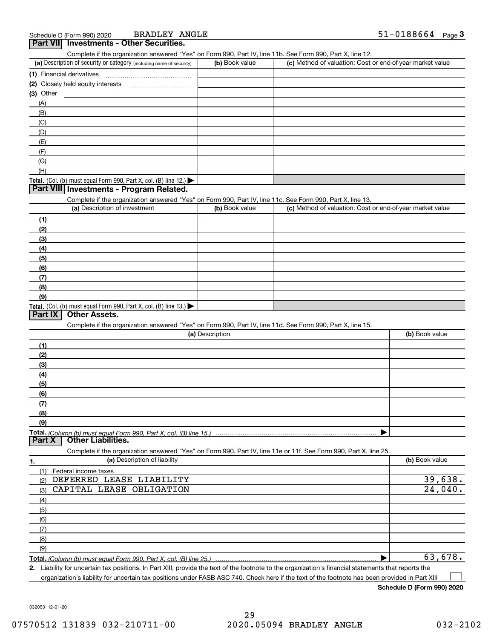| <b>BRADLEY ANGLE</b><br>Schedule D (Form 990) 2020                                                                                                |                 |                                                           | $51 - 0188664$ Page 3 |
|---------------------------------------------------------------------------------------------------------------------------------------------------|-----------------|-----------------------------------------------------------|-----------------------|
| Part VII Investments - Other Securities.                                                                                                          |                 |                                                           |                       |
| Complete if the organization answered "Yes" on Form 990, Part IV, line 11b. See Form 990, Part X, line 12.                                        |                 |                                                           |                       |
| (a) Description of security or category (including name of security)                                                                              | (b) Book value  | (c) Method of valuation: Cost or end-of-year market value |                       |
|                                                                                                                                                   |                 |                                                           |                       |
| (2) Closely held equity interests [111] [2] Closely held equity interests                                                                         |                 |                                                           |                       |
| (3) Other                                                                                                                                         |                 |                                                           |                       |
| (A)                                                                                                                                               |                 |                                                           |                       |
| (B)                                                                                                                                               |                 |                                                           |                       |
| (C)                                                                                                                                               |                 |                                                           |                       |
| (D)                                                                                                                                               |                 |                                                           |                       |
| (E)                                                                                                                                               |                 |                                                           |                       |
| (F)                                                                                                                                               |                 |                                                           |                       |
| (G)                                                                                                                                               |                 |                                                           |                       |
| (H)                                                                                                                                               |                 |                                                           |                       |
| Total. (Col. (b) must equal Form 990, Part X, col. (B) line 12.)                                                                                  |                 |                                                           |                       |
| Part VIII Investments - Program Related.                                                                                                          |                 |                                                           |                       |
| Complete if the organization answered "Yes" on Form 990, Part IV, line 11c. See Form 990, Part X, line 13.                                        |                 |                                                           |                       |
| (a) Description of investment                                                                                                                     | (b) Book value  | (c) Method of valuation: Cost or end-of-year market value |                       |
| (1)                                                                                                                                               |                 |                                                           |                       |
| (2)                                                                                                                                               |                 |                                                           |                       |
| (3)                                                                                                                                               |                 |                                                           |                       |
| (4)                                                                                                                                               |                 |                                                           |                       |
| (5)                                                                                                                                               |                 |                                                           |                       |
| (6)                                                                                                                                               |                 |                                                           |                       |
| (7)                                                                                                                                               |                 |                                                           |                       |
| (8)                                                                                                                                               |                 |                                                           |                       |
| (9)                                                                                                                                               |                 |                                                           |                       |
| Total. (Col. (b) must equal Form 990, Part X, col. (B) line 13.)                                                                                  |                 |                                                           |                       |
| Other Assets.<br>Part IX                                                                                                                          |                 |                                                           |                       |
| Complete if the organization answered "Yes" on Form 990, Part IV, line 11d. See Form 990, Part X, line 15.                                        |                 |                                                           |                       |
|                                                                                                                                                   | (a) Description |                                                           | (b) Book value        |
| (1)                                                                                                                                               |                 |                                                           |                       |
| (2)                                                                                                                                               |                 |                                                           |                       |
|                                                                                                                                                   |                 |                                                           |                       |
| (3)                                                                                                                                               |                 |                                                           |                       |
| (4)                                                                                                                                               |                 |                                                           |                       |
| (5)                                                                                                                                               |                 |                                                           |                       |
| (6)                                                                                                                                               |                 |                                                           |                       |
| (7)                                                                                                                                               |                 |                                                           |                       |
| (8)                                                                                                                                               |                 |                                                           |                       |
| (9)                                                                                                                                               |                 |                                                           |                       |
| Total. (Column (b) must equal Form 990, Part X, col. (B) line 15.)<br>Part X<br><b>Other Liabilities.</b>                                         |                 |                                                           |                       |
|                                                                                                                                                   |                 |                                                           |                       |
| Complete if the organization answered "Yes" on Form 990, Part IV, line 11e or 11f. See Form 990, Part X, line 25.<br>(a) Description of liability |                 |                                                           | (b) Book value        |
| 1.                                                                                                                                                |                 |                                                           |                       |
| (1)<br>Federal income taxes                                                                                                                       |                 |                                                           |                       |
| DEFERRED LEASE LIABILITY<br>(2)                                                                                                                   |                 |                                                           | 39,638.               |
| CAPITAL LEASE OBLIGATION<br>(3)                                                                                                                   |                 |                                                           | 24,040.               |
| (4)                                                                                                                                               |                 |                                                           |                       |
| (5)                                                                                                                                               |                 |                                                           |                       |
| (6)                                                                                                                                               |                 |                                                           |                       |
| (7)                                                                                                                                               |                 |                                                           |                       |
| (8)                                                                                                                                               |                 |                                                           |                       |
| (9)                                                                                                                                               |                 |                                                           |                       |
|                                                                                                                                                   |                 |                                                           | 63,678.               |
|                                                                                                                                                   |                 |                                                           |                       |

**2.** Liability for uncertain tax positions. In Part XIII, provide the text of the footnote to the organization's financial statements that reports the organization's liability for uncertain tax positions under FASB ASC 740. Check here if the text of the footnote has been provided in Part XIII  $\mathcal{L}^{\text{max}}$ 

**Schedule D (Form 990) 2020**

032053 12-01-20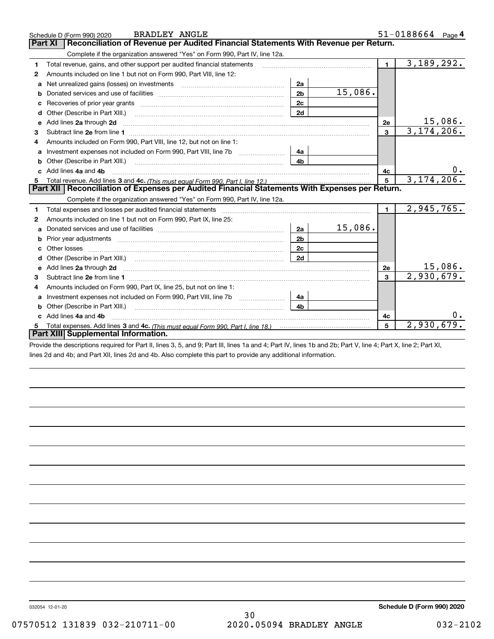|    | <b>BRADLEY ANGLE</b><br>Schedule D (Form 990) 2020                                                                                                                                                                                  |                |         |              | $51 - 0188664$ Page 4 |
|----|-------------------------------------------------------------------------------------------------------------------------------------------------------------------------------------------------------------------------------------|----------------|---------|--------------|-----------------------|
|    | Reconciliation of Revenue per Audited Financial Statements With Revenue per Return.<br><b>Part XI</b>                                                                                                                               |                |         |              |                       |
|    | Complete if the organization answered "Yes" on Form 990, Part IV, line 12a.                                                                                                                                                         |                |         |              |                       |
| 1  | Total revenue, gains, and other support per audited financial statements                                                                                                                                                            |                |         | $\mathbf{1}$ | 3,189,292.            |
| 2  | Amounts included on line 1 but not on Form 990, Part VIII, line 12:                                                                                                                                                                 |                |         |              |                       |
| a  |                                                                                                                                                                                                                                     | 2a             |         |              |                       |
| b  |                                                                                                                                                                                                                                     | 2 <sub>b</sub> | 15,086. |              |                       |
| c  | Recoveries of prior year grants [11] Recoveries of prior year grants [11] Recoveries of prior year grants                                                                                                                           | 2c             |         |              |                       |
| d  | Other (Describe in Part XIII.)                                                                                                                                                                                                      | 2d             |         |              |                       |
| е  | Add lines 2a through 2d                                                                                                                                                                                                             |                |         | 2e           | 15,086.               |
| 3  |                                                                                                                                                                                                                                     |                |         | $\mathbf{3}$ | 3, 174, 206.          |
| 4  | Amounts included on Form 990. Part VIII. line 12, but not on line 1:                                                                                                                                                                |                |         |              |                       |
|    | Investment expenses not included on Form 990, Part VIII, line 7b [100] [100] [100] [100] [100] [100] [100] [10                                                                                                                      | 4a             |         |              |                       |
| b  |                                                                                                                                                                                                                                     | 4 <sub>b</sub> |         |              |                       |
| c. | Add lines 4a and 4b                                                                                                                                                                                                                 |                |         | 4c           | υ.                    |
|    |                                                                                                                                                                                                                                     |                |         | 5            | 3,174,206.            |
|    | Part XII   Reconciliation of Expenses per Audited Financial Statements With Expenses per Return.                                                                                                                                    |                |         |              |                       |
|    | Complete if the organization answered "Yes" on Form 990, Part IV, line 12a.                                                                                                                                                         |                |         |              |                       |
| 1  | Total expenses and losses per audited financial statements [111] [12] content and a supercontent and statements and statements and statements and statements and statements and statements and statements and statements and s      |                |         | $\mathbf{1}$ | 2,945,765.            |
| 2  | Amounts included on line 1 but not on Form 990, Part IX, line 25:                                                                                                                                                                   |                |         |              |                       |
| a  |                                                                                                                                                                                                                                     | 2a             | 15,086. |              |                       |
| b  |                                                                                                                                                                                                                                     | 2 <sub>b</sub> |         |              |                       |
| c  |                                                                                                                                                                                                                                     | 2c             |         |              |                       |
| d  |                                                                                                                                                                                                                                     | 2d             |         |              |                       |
| е  | Add lines 2a through 2d <b>contained a contained a contained a contained a</b> contained a contained a contained a contained a contained a contained a contained a contained a contained a contained a contained a contained a cont |                |         | 2e           | 15,086.               |
| 3  |                                                                                                                                                                                                                                     |                |         | 3            | 2,930,679.            |
| 4  | Amounts included on Form 990, Part IX, line 25, but not on line 1:                                                                                                                                                                  |                |         |              |                       |
| a  | Investment expenses not included on Form 990, Part VIII, line 7b [1000000000000000000000000000000000                                                                                                                                | 4a             |         |              |                       |
| b  | Other (Describe in Part XIII.)                                                                                                                                                                                                      | 4b             |         |              |                       |
|    |                                                                                                                                                                                                                                     |                |         |              |                       |
|    | Add lines 4a and 4b                                                                                                                                                                                                                 |                |         | 4c           |                       |
|    | Part XIII Supplemental Information.                                                                                                                                                                                                 |                |         | 5            | 2,930,679.            |

Provide the descriptions required for Part II, lines 3, 5, and 9; Part III, lines 1a and 4; Part IV, lines 1b and 2b; Part V, line 4; Part X, line 2; Part XI, lines 2d and 4b; and Part XII, lines 2d and 4b. Also complete this part to provide any additional information.

032054 12-01-20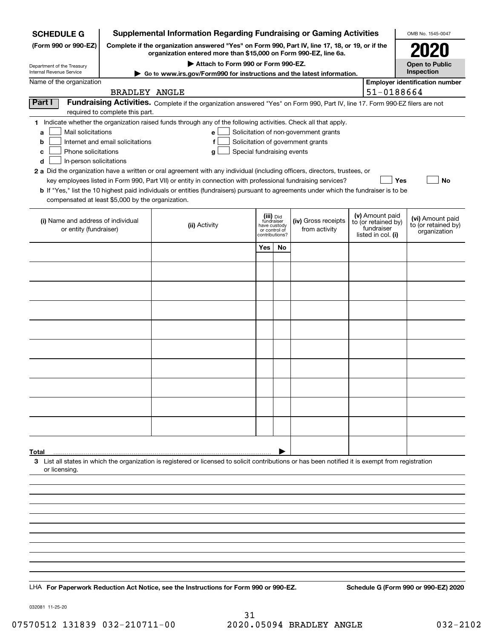| <b>SCHEDULE G</b>                                                                                                                             |                                                                                                                                                                     | <b>Supplemental Information Regarding Fundraising or Gaming Activities</b>                                                                                                                                                                                                                                                                                                                                                                                                                                                                         |                                                                            |           |                                                                            |  |                                                                            | OMB No. 1545-0047                                       |
|-----------------------------------------------------------------------------------------------------------------------------------------------|---------------------------------------------------------------------------------------------------------------------------------------------------------------------|----------------------------------------------------------------------------------------------------------------------------------------------------------------------------------------------------------------------------------------------------------------------------------------------------------------------------------------------------------------------------------------------------------------------------------------------------------------------------------------------------------------------------------------------------|----------------------------------------------------------------------------|-----------|----------------------------------------------------------------------------|--|----------------------------------------------------------------------------|---------------------------------------------------------|
| (Form 990 or 990-EZ)                                                                                                                          | Complete if the organization answered "Yes" on Form 990, Part IV, line 17, 18, or 19, or if the<br>organization entered more than \$15,000 on Form 990-EZ, line 6a. |                                                                                                                                                                                                                                                                                                                                                                                                                                                                                                                                                    |                                                                            |           |                                                                            |  |                                                                            |                                                         |
| Department of the Treasury                                                                                                                    |                                                                                                                                                                     | Attach to Form 990 or Form 990-EZ.                                                                                                                                                                                                                                                                                                                                                                                                                                                                                                                 |                                                                            |           |                                                                            |  |                                                                            | <b>Open to Public</b>                                   |
| Internal Revenue Service                                                                                                                      |                                                                                                                                                                     | ► Go to www.irs.gov/Form990 for instructions and the latest information.                                                                                                                                                                                                                                                                                                                                                                                                                                                                           |                                                                            |           |                                                                            |  |                                                                            | Inspection                                              |
| Name of the organization                                                                                                                      | <b>BRADLEY ANGLE</b>                                                                                                                                                |                                                                                                                                                                                                                                                                                                                                                                                                                                                                                                                                                    |                                                                            |           |                                                                            |  | 51-0188664                                                                 | <b>Employer identification number</b>                   |
| Part I                                                                                                                                        | required to complete this part.                                                                                                                                     | Fundraising Activities. Complete if the organization answered "Yes" on Form 990, Part IV, line 17. Form 990-EZ filers are not                                                                                                                                                                                                                                                                                                                                                                                                                      |                                                                            |           |                                                                            |  |                                                                            |                                                         |
| Mail solicitations<br>a<br>b<br>Phone solicitations<br>с<br>In-person solicitations<br>d<br>compensated at least \$5,000 by the organization. | Internet and email solicitations                                                                                                                                    | 1 Indicate whether the organization raised funds through any of the following activities. Check all that apply.<br>е<br>f<br>Special fundraising events<br>g<br>2 a Did the organization have a written or oral agreement with any individual (including officers, directors, trustees, or<br>key employees listed in Form 990, Part VII) or entity in connection with professional fundraising services?<br>b If "Yes," list the 10 highest paid individuals or entities (fundraisers) pursuant to agreements under which the fundraiser is to be |                                                                            |           | Solicitation of non-government grants<br>Solicitation of government grants |  | Yes                                                                        | <b>No</b>                                               |
| (i) Name and address of individual<br>or entity (fundraiser)                                                                                  |                                                                                                                                                                     | (ii) Activity                                                                                                                                                                                                                                                                                                                                                                                                                                                                                                                                      | (iii) Did<br>fundraiser<br>have custody<br>or control of<br>contributions? |           | (iv) Gross receipts<br>from activity                                       |  | (v) Amount paid<br>to (or retained by)<br>fundraiser<br>listed in col. (i) | (vi) Amount paid<br>to (or retained by)<br>organization |
|                                                                                                                                               |                                                                                                                                                                     |                                                                                                                                                                                                                                                                                                                                                                                                                                                                                                                                                    | Yes                                                                        | <b>No</b> |                                                                            |  |                                                                            |                                                         |
|                                                                                                                                               |                                                                                                                                                                     |                                                                                                                                                                                                                                                                                                                                                                                                                                                                                                                                                    |                                                                            |           |                                                                            |  |                                                                            |                                                         |
|                                                                                                                                               |                                                                                                                                                                     |                                                                                                                                                                                                                                                                                                                                                                                                                                                                                                                                                    |                                                                            |           |                                                                            |  |                                                                            |                                                         |
|                                                                                                                                               |                                                                                                                                                                     |                                                                                                                                                                                                                                                                                                                                                                                                                                                                                                                                                    |                                                                            |           |                                                                            |  |                                                                            |                                                         |
|                                                                                                                                               |                                                                                                                                                                     |                                                                                                                                                                                                                                                                                                                                                                                                                                                                                                                                                    |                                                                            |           |                                                                            |  |                                                                            |                                                         |
|                                                                                                                                               |                                                                                                                                                                     |                                                                                                                                                                                                                                                                                                                                                                                                                                                                                                                                                    |                                                                            |           |                                                                            |  |                                                                            |                                                         |
|                                                                                                                                               |                                                                                                                                                                     |                                                                                                                                                                                                                                                                                                                                                                                                                                                                                                                                                    |                                                                            |           |                                                                            |  |                                                                            |                                                         |
|                                                                                                                                               |                                                                                                                                                                     |                                                                                                                                                                                                                                                                                                                                                                                                                                                                                                                                                    |                                                                            |           |                                                                            |  |                                                                            |                                                         |
|                                                                                                                                               |                                                                                                                                                                     |                                                                                                                                                                                                                                                                                                                                                                                                                                                                                                                                                    |                                                                            |           |                                                                            |  |                                                                            |                                                         |
|                                                                                                                                               |                                                                                                                                                                     |                                                                                                                                                                                                                                                                                                                                                                                                                                                                                                                                                    |                                                                            |           |                                                                            |  |                                                                            |                                                         |
|                                                                                                                                               |                                                                                                                                                                     |                                                                                                                                                                                                                                                                                                                                                                                                                                                                                                                                                    |                                                                            |           |                                                                            |  |                                                                            |                                                         |
|                                                                                                                                               |                                                                                                                                                                     |                                                                                                                                                                                                                                                                                                                                                                                                                                                                                                                                                    |                                                                            |           |                                                                            |  |                                                                            |                                                         |
| Total<br>or licensing.                                                                                                                        |                                                                                                                                                                     | 3 List all states in which the organization is registered or licensed to solicit contributions or has been notified it is exempt from registration                                                                                                                                                                                                                                                                                                                                                                                                 |                                                                            |           |                                                                            |  |                                                                            |                                                         |
|                                                                                                                                               |                                                                                                                                                                     |                                                                                                                                                                                                                                                                                                                                                                                                                                                                                                                                                    |                                                                            |           |                                                                            |  |                                                                            |                                                         |
|                                                                                                                                               |                                                                                                                                                                     |                                                                                                                                                                                                                                                                                                                                                                                                                                                                                                                                                    |                                                                            |           |                                                                            |  |                                                                            |                                                         |
|                                                                                                                                               |                                                                                                                                                                     |                                                                                                                                                                                                                                                                                                                                                                                                                                                                                                                                                    |                                                                            |           |                                                                            |  |                                                                            |                                                         |
|                                                                                                                                               |                                                                                                                                                                     |                                                                                                                                                                                                                                                                                                                                                                                                                                                                                                                                                    |                                                                            |           |                                                                            |  |                                                                            |                                                         |
|                                                                                                                                               |                                                                                                                                                                     |                                                                                                                                                                                                                                                                                                                                                                                                                                                                                                                                                    |                                                                            |           |                                                                            |  |                                                                            |                                                         |
|                                                                                                                                               |                                                                                                                                                                     |                                                                                                                                                                                                                                                                                                                                                                                                                                                                                                                                                    |                                                                            |           |                                                                            |  |                                                                            |                                                         |
|                                                                                                                                               |                                                                                                                                                                     |                                                                                                                                                                                                                                                                                                                                                                                                                                                                                                                                                    |                                                                            |           |                                                                            |  |                                                                            |                                                         |
|                                                                                                                                               |                                                                                                                                                                     |                                                                                                                                                                                                                                                                                                                                                                                                                                                                                                                                                    |                                                                            |           |                                                                            |  |                                                                            |                                                         |
|                                                                                                                                               |                                                                                                                                                                     | LHA For Paperwork Reduction Act Notice, see the Instructions for Form 990 or 990-EZ.                                                                                                                                                                                                                                                                                                                                                                                                                                                               |                                                                            |           |                                                                            |  |                                                                            | Schedule G (Form 990 or 990-EZ) 2020                    |

032081 11-25-20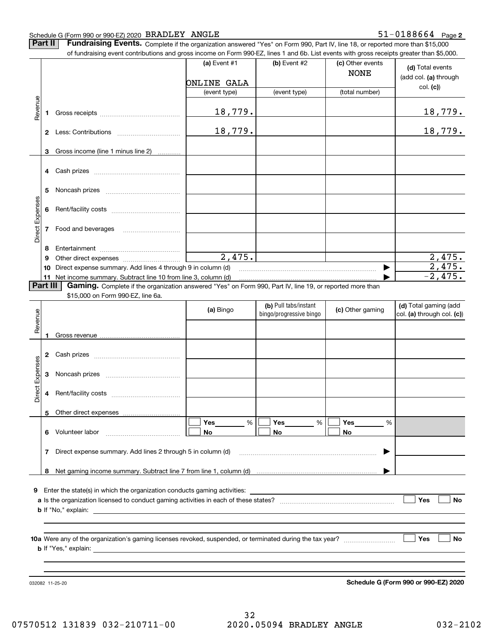#### Schedule G (Form 990 or 990-EZ) 2020 Page BRADLEY ANGLE 51-0188664

**2**

**Part II** | Fundraising Events. Complete if the organization answered "Yes" on Form 990, Part IV, line 18, or reported more than \$15,000

|                 |          | of fundraising event contributions and gross income on Form 990-EZ, lines 1 and 6b. List events with gross receipts greater than \$5,000. |                      |                         |                                 |                            |
|-----------------|----------|-------------------------------------------------------------------------------------------------------------------------------------------|----------------------|-------------------------|---------------------------------|----------------------------|
|                 |          |                                                                                                                                           | (a) Event #1         | (b) Event #2            | (c) Other events<br><b>NONE</b> | (d) Total events           |
|                 |          |                                                                                                                                           | ONLINE GALA          |                         |                                 | (add col. (a) through      |
|                 |          |                                                                                                                                           | (event type)         | (event type)            | (total number)                  | col. (c)                   |
|                 |          |                                                                                                                                           |                      |                         |                                 |                            |
| Revenue         | 1.       |                                                                                                                                           | 18,779.              |                         |                                 | <u>18,779.</u>             |
|                 |          |                                                                                                                                           | 18,779.              |                         |                                 | 18,779.                    |
|                 | 3        | Gross income (line 1 minus line 2)                                                                                                        |                      |                         |                                 |                            |
|                 |          |                                                                                                                                           |                      |                         |                                 |                            |
|                 | 5        |                                                                                                                                           |                      |                         |                                 |                            |
|                 | 6        |                                                                                                                                           |                      |                         |                                 |                            |
| Direct Expenses |          | 7 Food and beverages                                                                                                                      |                      |                         |                                 |                            |
|                 | 8        |                                                                                                                                           |                      |                         |                                 |                            |
|                 | 9        |                                                                                                                                           | $\overline{2,475}$ . |                         |                                 |                            |
|                 | 10       | Direct expense summary. Add lines 4 through 9 in column (d)                                                                               |                      |                         |                                 | $\frac{2,475}{2,475}$      |
|                 |          | 11 Net income summary. Subtract line 10 from line 3, column (d)                                                                           |                      |                         |                                 | $-2,475.$                  |
|                 | Part III | Gaming. Complete if the organization answered "Yes" on Form 990, Part IV, line 19, or reported more than                                  |                      |                         |                                 |                            |
|                 |          | \$15,000 on Form 990-EZ, line 6a.                                                                                                         |                      |                         |                                 |                            |
|                 |          |                                                                                                                                           | (a) Bingo            | (b) Pull tabs/instant   | (c) Other gaming                | (d) Total gaming (add      |
| Revenue         |          |                                                                                                                                           |                      | bingo/progressive bingo |                                 | col. (a) through col. (c)) |
|                 |          |                                                                                                                                           |                      |                         |                                 |                            |
|                 | 1        |                                                                                                                                           |                      |                         |                                 |                            |
|                 |          |                                                                                                                                           |                      |                         |                                 |                            |
|                 |          |                                                                                                                                           |                      |                         |                                 |                            |
|                 |          |                                                                                                                                           |                      |                         |                                 |                            |
| Expenses        | 3        |                                                                                                                                           |                      |                         |                                 |                            |
| <b>Direct</b>   |          |                                                                                                                                           |                      |                         |                                 |                            |
|                 |          |                                                                                                                                           |                      |                         |                                 |                            |
|                 |          | 5 Other direct expenses                                                                                                                   |                      |                         |                                 |                            |
|                 |          |                                                                                                                                           | %<br>Yes             | %<br>Yes                | Yes<br>%                        |                            |
|                 |          | 6 Volunteer labor                                                                                                                         | No                   | No                      | No                              |                            |
|                 | 7        | Direct expense summary. Add lines 2 through 5 in column (d)                                                                               |                      |                         |                                 |                            |
|                 |          |                                                                                                                                           |                      |                         |                                 |                            |
|                 |          |                                                                                                                                           |                      |                         |                                 |                            |
|                 |          |                                                                                                                                           |                      |                         |                                 |                            |
|                 |          | <b>9</b> Enter the state(s) in which the organization conducts gaming activities:                                                         |                      |                         |                                 |                            |
|                 |          |                                                                                                                                           |                      |                         |                                 | Yes<br>No                  |
|                 |          |                                                                                                                                           |                      |                         |                                 |                            |
|                 |          |                                                                                                                                           |                      |                         |                                 |                            |
|                 |          |                                                                                                                                           |                      |                         |                                 |                            |
|                 |          |                                                                                                                                           |                      |                         |                                 | Yes<br>No                  |
|                 |          |                                                                                                                                           |                      |                         |                                 |                            |
|                 |          |                                                                                                                                           |                      |                         |                                 |                            |
|                 |          |                                                                                                                                           |                      |                         |                                 |                            |

**Schedule G (Form 990 or 990-EZ) 2020**

032082 11-25-20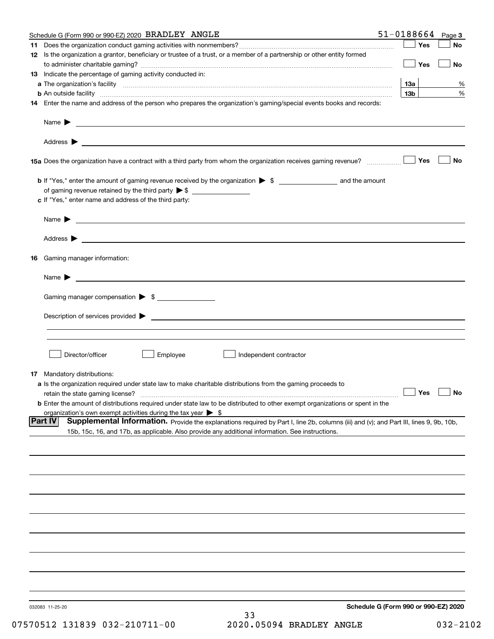|     | Schedule G (Form 990 or 990-EZ) 2020 BRADLEY ANGLE                                                                                                            | $51 - 0188664$ Page 3                |           |
|-----|---------------------------------------------------------------------------------------------------------------------------------------------------------------|--------------------------------------|-----------|
| 11. |                                                                                                                                                               | Yes                                  | No        |
|     | 12 Is the organization a grantor, beneficiary or trustee of a trust, or a member of a partnership or other entity formed                                      |                                      |           |
|     |                                                                                                                                                               | Yes                                  | <b>No</b> |
|     | <b>13</b> Indicate the percentage of gaming activity conducted in:                                                                                            |                                      |           |
|     |                                                                                                                                                               | 13a                                  | %         |
|     | <b>b</b> An outside facility <i>www.communicality www.communicality.communicality www.communicality www.communicality.communicality www.communicality.com</i> | 13 <sub>b</sub>                      | %         |
|     | 14 Enter the name and address of the person who prepares the organization's gaming/special events books and records:                                          |                                      |           |
|     |                                                                                                                                                               |                                      |           |
|     | Name $\triangleright$ $\square$                                                                                                                               |                                      |           |
|     |                                                                                                                                                               |                                      |           |
|     |                                                                                                                                                               |                                      |           |
|     |                                                                                                                                                               |                                      |           |
|     | 15a Does the organization have a contract with a third party from whom the organization receives gaming revenue?                                              | Yes                                  | No        |
|     |                                                                                                                                                               |                                      |           |
|     |                                                                                                                                                               |                                      |           |
|     |                                                                                                                                                               |                                      |           |
|     | c If "Yes," enter name and address of the third party:                                                                                                        |                                      |           |
|     |                                                                                                                                                               |                                      |           |
|     |                                                                                                                                                               |                                      |           |
|     | Name $\blacktriangleright$ $\bot$                                                                                                                             |                                      |           |
|     |                                                                                                                                                               |                                      |           |
|     |                                                                                                                                                               |                                      |           |
|     |                                                                                                                                                               |                                      |           |
|     | 16 Gaming manager information:                                                                                                                                |                                      |           |
|     |                                                                                                                                                               |                                      |           |
|     | Name $\blacktriangleright$ $\frac{1}{\sqrt{1-\frac{1}{2}}\left(1-\frac{1}{2}\right)}$                                                                         |                                      |           |
|     |                                                                                                                                                               |                                      |           |
|     | Gaming manager compensation > \$                                                                                                                              |                                      |           |
|     |                                                                                                                                                               |                                      |           |
|     |                                                                                                                                                               |                                      |           |
|     |                                                                                                                                                               |                                      |           |
|     |                                                                                                                                                               |                                      |           |
|     |                                                                                                                                                               |                                      |           |
|     | Director/officer<br>Employee<br>Independent contractor                                                                                                        |                                      |           |
|     |                                                                                                                                                               |                                      |           |
|     | 17 Mandatory distributions:                                                                                                                                   |                                      |           |
|     | a Is the organization required under state law to make charitable distributions from the gaming proceeds to                                                   |                                      |           |
|     | retain the state gaming license?                                                                                                                              | $\Box$ Yes $\Box$ No                 |           |
|     | <b>b</b> Enter the amount of distributions required under state law to be distributed to other exempt organizations or spent in the                           |                                      |           |
|     | organization's own exempt activities during the tax year $\triangleright$ \$                                                                                  |                                      |           |
|     | <b>Part IV</b><br>Supplemental Information. Provide the explanations required by Part I, line 2b, columns (iii) and (v); and Part III, lines 9, 9b, 10b,      |                                      |           |
|     | 15b, 15c, 16, and 17b, as applicable. Also provide any additional information. See instructions.                                                              |                                      |           |
|     |                                                                                                                                                               |                                      |           |
|     |                                                                                                                                                               |                                      |           |
|     |                                                                                                                                                               |                                      |           |
|     |                                                                                                                                                               |                                      |           |
|     |                                                                                                                                                               |                                      |           |
|     |                                                                                                                                                               |                                      |           |
|     |                                                                                                                                                               |                                      |           |
|     |                                                                                                                                                               |                                      |           |
|     |                                                                                                                                                               |                                      |           |
|     |                                                                                                                                                               |                                      |           |
|     |                                                                                                                                                               |                                      |           |
|     |                                                                                                                                                               |                                      |           |
|     |                                                                                                                                                               |                                      |           |
|     |                                                                                                                                                               |                                      |           |
|     |                                                                                                                                                               |                                      |           |
|     |                                                                                                                                                               |                                      |           |
|     |                                                                                                                                                               |                                      |           |
|     | 032083 11-25-20                                                                                                                                               | Schedule G (Form 990 or 990-EZ) 2020 |           |
|     | 33                                                                                                                                                            |                                      |           |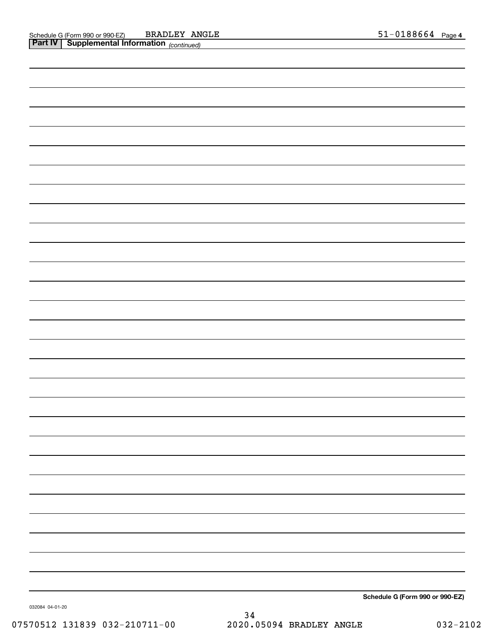| Schedule G (Form 990 or 990-EZ) |
|---------------------------------|

032084 04-01-20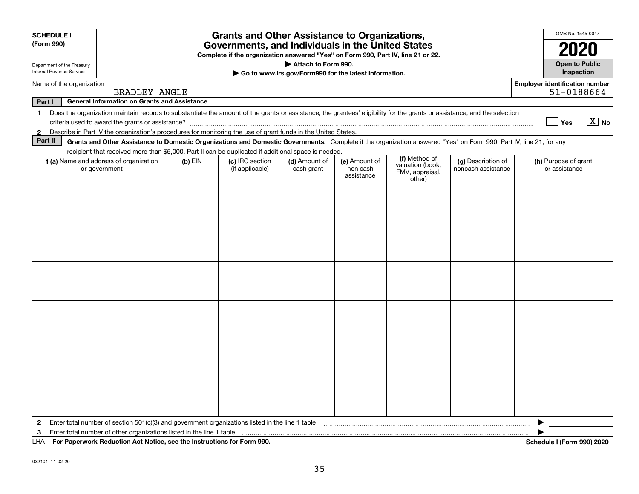| <b>SCHEDULE I</b>                                                                                                                                                                                           |                                                                                                                                                                          |           |                                    |                             |                                                       |                                               |                                          |                                       | OMB No. 1545-0047                     |                       |
|-------------------------------------------------------------------------------------------------------------------------------------------------------------------------------------------------------------|--------------------------------------------------------------------------------------------------------------------------------------------------------------------------|-----------|------------------------------------|-----------------------------|-------------------------------------------------------|-----------------------------------------------|------------------------------------------|---------------------------------------|---------------------------------------|-----------------------|
| <b>Grants and Other Assistance to Organizations,</b><br>(Form 990)<br>Governments, and Individuals in the United States<br>Complete if the organization answered "Yes" on Form 990, Part IV, line 21 or 22. |                                                                                                                                                                          |           |                                    |                             |                                                       |                                               | 2020                                     |                                       |                                       |                       |
| Department of the Treasury                                                                                                                                                                                  |                                                                                                                                                                          |           |                                    | Attach to Form 990.         |                                                       |                                               |                                          |                                       | <b>Open to Public</b>                 |                       |
| Internal Revenue Service                                                                                                                                                                                    |                                                                                                                                                                          |           |                                    |                             | Go to www.irs.gov/Form990 for the latest information. |                                               |                                          |                                       | Inspection                            |                       |
| Name of the organization                                                                                                                                                                                    | <b>BRADLEY ANGLE</b>                                                                                                                                                     |           |                                    |                             |                                                       |                                               |                                          | <b>Employer identification number</b> | 51-0188664                            |                       |
| Part I                                                                                                                                                                                                      | <b>General Information on Grants and Assistance</b>                                                                                                                      |           |                                    |                             |                                                       |                                               |                                          |                                       |                                       |                       |
| $\mathbf 1$                                                                                                                                                                                                 | Does the organization maintain records to substantiate the amount of the grants or assistance, the grantees' eligibility for the grants or assistance, and the selection |           |                                    |                             |                                                       |                                               |                                          |                                       | Yes                                   | $\boxed{\text{X}}$ No |
| $\mathbf{2}$                                                                                                                                                                                                | Describe in Part IV the organization's procedures for monitoring the use of grant funds in the United States.                                                            |           |                                    |                             |                                                       |                                               |                                          |                                       |                                       |                       |
| Part II                                                                                                                                                                                                     | Grants and Other Assistance to Domestic Organizations and Domestic Governments. Complete if the organization answered "Yes" on Form 990, Part IV, line 21, for any       |           |                                    |                             |                                                       |                                               |                                          |                                       |                                       |                       |
|                                                                                                                                                                                                             | recipient that received more than \$5,000. Part II can be duplicated if additional space is needed.                                                                      |           |                                    |                             |                                                       | (f) Method of                                 |                                          |                                       |                                       |                       |
|                                                                                                                                                                                                             | 1 (a) Name and address of organization<br>or government                                                                                                                  | $(b)$ EIN | (c) IRC section<br>(if applicable) | (d) Amount of<br>cash grant | (e) Amount of<br>non-cash<br>assistance               | valuation (book,<br>FMV, appraisal,<br>other) | (g) Description of<br>noncash assistance |                                       | (h) Purpose of grant<br>or assistance |                       |
|                                                                                                                                                                                                             |                                                                                                                                                                          |           |                                    |                             |                                                       |                                               |                                          |                                       |                                       |                       |
|                                                                                                                                                                                                             |                                                                                                                                                                          |           |                                    |                             |                                                       |                                               |                                          |                                       |                                       |                       |
|                                                                                                                                                                                                             |                                                                                                                                                                          |           |                                    |                             |                                                       |                                               |                                          |                                       |                                       |                       |
|                                                                                                                                                                                                             |                                                                                                                                                                          |           |                                    |                             |                                                       |                                               |                                          |                                       |                                       |                       |
|                                                                                                                                                                                                             |                                                                                                                                                                          |           |                                    |                             |                                                       |                                               |                                          |                                       |                                       |                       |
|                                                                                                                                                                                                             |                                                                                                                                                                          |           |                                    |                             |                                                       |                                               |                                          |                                       |                                       |                       |
|                                                                                                                                                                                                             |                                                                                                                                                                          |           |                                    |                             |                                                       |                                               |                                          |                                       |                                       |                       |
|                                                                                                                                                                                                             |                                                                                                                                                                          |           |                                    |                             |                                                       |                                               |                                          |                                       |                                       |                       |
|                                                                                                                                                                                                             |                                                                                                                                                                          |           |                                    |                             |                                                       |                                               |                                          |                                       |                                       |                       |
|                                                                                                                                                                                                             |                                                                                                                                                                          |           |                                    |                             |                                                       |                                               |                                          |                                       |                                       |                       |
|                                                                                                                                                                                                             |                                                                                                                                                                          |           |                                    |                             |                                                       |                                               |                                          |                                       |                                       |                       |
|                                                                                                                                                                                                             |                                                                                                                                                                          |           |                                    |                             |                                                       |                                               |                                          |                                       |                                       |                       |
|                                                                                                                                                                                                             |                                                                                                                                                                          |           |                                    |                             |                                                       |                                               |                                          |                                       |                                       |                       |
|                                                                                                                                                                                                             |                                                                                                                                                                          |           |                                    |                             |                                                       |                                               |                                          |                                       |                                       |                       |
|                                                                                                                                                                                                             |                                                                                                                                                                          |           |                                    |                             |                                                       |                                               |                                          |                                       |                                       |                       |
|                                                                                                                                                                                                             |                                                                                                                                                                          |           |                                    |                             |                                                       |                                               |                                          |                                       |                                       |                       |
|                                                                                                                                                                                                             |                                                                                                                                                                          |           |                                    |                             |                                                       |                                               |                                          |                                       |                                       |                       |
|                                                                                                                                                                                                             |                                                                                                                                                                          |           |                                    |                             |                                                       |                                               |                                          |                                       |                                       |                       |
| $\mathbf{2}$                                                                                                                                                                                                | Enter total number of section $501(c)(3)$ and government organizations listed in the line 1 table                                                                        |           |                                    |                             |                                                       |                                               |                                          |                                       |                                       |                       |
| 3                                                                                                                                                                                                           | Enter total number of other organizations listed in the line 1 table                                                                                                     |           |                                    |                             |                                                       |                                               |                                          |                                       |                                       |                       |
| LHA For Paperwork Reduction Act Notice, see the Instructions for Form 990.                                                                                                                                  |                                                                                                                                                                          |           |                                    |                             |                                                       |                                               |                                          |                                       | Schedule I (Form 990) 2020            |                       |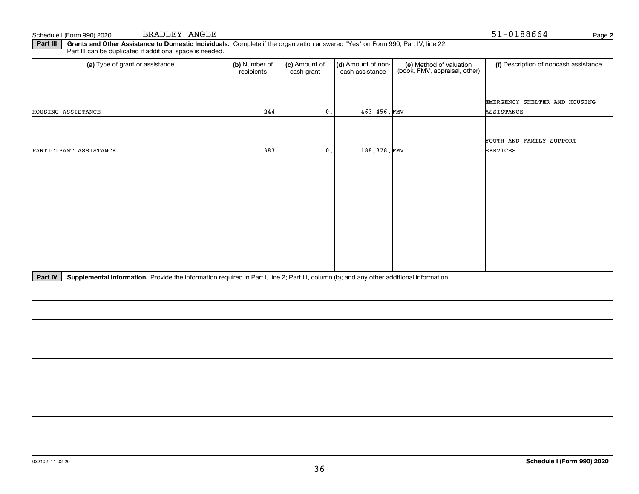**Part III | Grants and Other Assistance to Domestic Individuals. Complete if the organization answered "Yes" on Form 990, Part IV, line 22.** Part III can be duplicated if additional space is needed.

| (a) Type of grant or assistance | (b) Number of<br>recipients | (c) Amount of<br>cash grant | (d) Amount of non-<br>cash assistance | (e) Method of valuation<br>(book, FMV, appraisal, other) | (f) Description of noncash assistance |
|---------------------------------|-----------------------------|-----------------------------|---------------------------------------|----------------------------------------------------------|---------------------------------------|
|                                 |                             |                             |                                       |                                                          |                                       |
|                                 |                             |                             |                                       |                                                          | EMERGENCY SHELTER AND HOUSING         |
| HOUSING ASSISTANCE              | 244                         | $\mathbf{0}$ .              | 463,456.FMV                           |                                                          | ASSISTANCE                            |
|                                 |                             |                             |                                       |                                                          |                                       |
|                                 |                             |                             |                                       |                                                          | YOUTH AND FAMILY SUPPORT              |
| PARTICIPANT ASSISTANCE          | 383                         | $\mathbf{0}$ .              | 188,378.FMV                           |                                                          | SERVICES                              |
|                                 |                             |                             |                                       |                                                          |                                       |
|                                 |                             |                             |                                       |                                                          |                                       |
|                                 |                             |                             |                                       |                                                          |                                       |
|                                 |                             |                             |                                       |                                                          |                                       |
|                                 |                             |                             |                                       |                                                          |                                       |
|                                 |                             |                             |                                       |                                                          |                                       |
|                                 |                             |                             |                                       |                                                          |                                       |
|                                 |                             |                             |                                       |                                                          |                                       |
|                                 |                             |                             |                                       |                                                          |                                       |
|                                 |                             |                             |                                       |                                                          |                                       |

Part IV | Supplemental Information. Provide the information required in Part I, line 2; Part III, column (b); and any other additional information.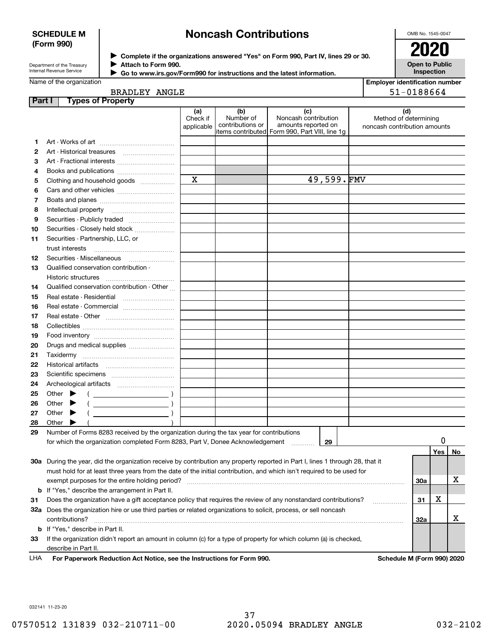#### **SCHEDULE M (Form 990)**

# **Noncash Contributions**

OMB No. 1545-0047

| Department of the Treasury      |  |
|---------------------------------|--|
| <b>Internal Revenue Service</b> |  |

**Complete if the organizations answered "Yes" on Form 990, Part IV, lines 29 or 30.** <sup>J</sup>**2020 Attach to Form 990.**  $\blacktriangleright$ 

**Open to Public Inspection**

|  | Name of the organization |
|--|--------------------------|
|--|--------------------------|

| Go to www.irs.gov/Form990 for instructions and the latest information. |
|------------------------------------------------------------------------|
|                                                                        |

| <b>Employer identification number</b> |  |  |  |  |
|---------------------------------------|--|--|--|--|
| 51-0188664                            |  |  |  |  |

BRADLEY ANGLE

| Part I |                                                                                                                           | <b>Types of Property</b>                                                                                                                                                                                                                                      |                               |                                      |                                                                                                      |                                                              |     |     |    |
|--------|---------------------------------------------------------------------------------------------------------------------------|---------------------------------------------------------------------------------------------------------------------------------------------------------------------------------------------------------------------------------------------------------------|-------------------------------|--------------------------------------|------------------------------------------------------------------------------------------------------|--------------------------------------------------------------|-----|-----|----|
|        |                                                                                                                           |                                                                                                                                                                                                                                                               | (a)<br>Check if<br>applicable | (b)<br>Number of<br>contributions or | (c)<br>Noncash contribution<br>amounts reported on<br>items contributed Form 990, Part VIII, line 1g | (d)<br>Method of determining<br>noncash contribution amounts |     |     |    |
| 1      |                                                                                                                           |                                                                                                                                                                                                                                                               |                               |                                      |                                                                                                      |                                                              |     |     |    |
| 2      |                                                                                                                           |                                                                                                                                                                                                                                                               |                               |                                      |                                                                                                      |                                                              |     |     |    |
| З      |                                                                                                                           |                                                                                                                                                                                                                                                               |                               |                                      |                                                                                                      |                                                              |     |     |    |
| 4      |                                                                                                                           |                                                                                                                                                                                                                                                               |                               |                                      |                                                                                                      |                                                              |     |     |    |
| 5      |                                                                                                                           | Clothing and household goods                                                                                                                                                                                                                                  | $\mathbf x$                   |                                      | 49,599.FMV                                                                                           |                                                              |     |     |    |
| 6      |                                                                                                                           |                                                                                                                                                                                                                                                               |                               |                                      |                                                                                                      |                                                              |     |     |    |
| 7      |                                                                                                                           |                                                                                                                                                                                                                                                               |                               |                                      |                                                                                                      |                                                              |     |     |    |
| 8      |                                                                                                                           | Intellectual property                                                                                                                                                                                                                                         |                               |                                      |                                                                                                      |                                                              |     |     |    |
| 9      |                                                                                                                           |                                                                                                                                                                                                                                                               |                               |                                      |                                                                                                      |                                                              |     |     |    |
| 10     |                                                                                                                           | Securities - Closely held stock                                                                                                                                                                                                                               |                               |                                      |                                                                                                      |                                                              |     |     |    |
| 11     |                                                                                                                           | Securities - Partnership, LLC, or                                                                                                                                                                                                                             |                               |                                      |                                                                                                      |                                                              |     |     |    |
|        |                                                                                                                           | trust interests                                                                                                                                                                                                                                               |                               |                                      |                                                                                                      |                                                              |     |     |    |
| 12     |                                                                                                                           |                                                                                                                                                                                                                                                               |                               |                                      |                                                                                                      |                                                              |     |     |    |
| 13     |                                                                                                                           | Qualified conservation contribution -                                                                                                                                                                                                                         |                               |                                      |                                                                                                      |                                                              |     |     |    |
|        |                                                                                                                           |                                                                                                                                                                                                                                                               |                               |                                      |                                                                                                      |                                                              |     |     |    |
| 14     |                                                                                                                           | Qualified conservation contribution - Other                                                                                                                                                                                                                   |                               |                                      |                                                                                                      |                                                              |     |     |    |
| 15     |                                                                                                                           | Real estate - Residential                                                                                                                                                                                                                                     |                               |                                      |                                                                                                      |                                                              |     |     |    |
| 16     |                                                                                                                           | Real estate - Commercial                                                                                                                                                                                                                                      |                               |                                      |                                                                                                      |                                                              |     |     |    |
| 17     |                                                                                                                           |                                                                                                                                                                                                                                                               |                               |                                      |                                                                                                      |                                                              |     |     |    |
| 18     |                                                                                                                           |                                                                                                                                                                                                                                                               |                               |                                      |                                                                                                      |                                                              |     |     |    |
| 19     |                                                                                                                           |                                                                                                                                                                                                                                                               |                               |                                      |                                                                                                      |                                                              |     |     |    |
| 20     |                                                                                                                           | Drugs and medical supplies                                                                                                                                                                                                                                    |                               |                                      |                                                                                                      |                                                              |     |     |    |
| 21     |                                                                                                                           |                                                                                                                                                                                                                                                               |                               |                                      |                                                                                                      |                                                              |     |     |    |
| 22     |                                                                                                                           |                                                                                                                                                                                                                                                               |                               |                                      |                                                                                                      |                                                              |     |     |    |
| 23     |                                                                                                                           |                                                                                                                                                                                                                                                               |                               |                                      |                                                                                                      |                                                              |     |     |    |
| 24     |                                                                                                                           |                                                                                                                                                                                                                                                               |                               |                                      |                                                                                                      |                                                              |     |     |    |
| 25     |                                                                                                                           | Other $\blacktriangleright$<br>и против се припадни последни представи на селото на селото на селото на селото на селото на селото на селото<br>Селото на селото на селото на селото на селото на селото на селото на селото на селото на селото на селото на |                               |                                      |                                                                                                      |                                                              |     |     |    |
| 26     | Other                                                                                                                     |                                                                                                                                                                                                                                                               |                               |                                      |                                                                                                      |                                                              |     |     |    |
| 27     | Other                                                                                                                     |                                                                                                                                                                                                                                                               |                               |                                      |                                                                                                      |                                                              |     |     |    |
| 28     | Other                                                                                                                     |                                                                                                                                                                                                                                                               |                               |                                      |                                                                                                      |                                                              |     |     |    |
| 29     |                                                                                                                           | Number of Forms 8283 received by the organization during the tax year for contributions                                                                                                                                                                       |                               |                                      |                                                                                                      |                                                              |     |     |    |
|        |                                                                                                                           | for which the organization completed Form 8283, Part V, Donee Acknowledgement                                                                                                                                                                                 |                               |                                      | 29                                                                                                   |                                                              |     | 0   |    |
|        |                                                                                                                           |                                                                                                                                                                                                                                                               |                               |                                      |                                                                                                      |                                                              |     | Yes | No |
|        |                                                                                                                           | 30a During the year, did the organization receive by contribution any property reported in Part I, lines 1 through 28, that it                                                                                                                                |                               |                                      |                                                                                                      |                                                              |     |     |    |
|        |                                                                                                                           | must hold for at least three years from the date of the initial contribution, and which isn't required to be used for                                                                                                                                         |                               |                                      |                                                                                                      |                                                              |     |     |    |
|        |                                                                                                                           | exempt purposes for the entire holding period?                                                                                                                                                                                                                |                               |                                      |                                                                                                      |                                                              | 30a |     | х  |
|        |                                                                                                                           | <b>b</b> If "Yes," describe the arrangement in Part II.                                                                                                                                                                                                       |                               |                                      |                                                                                                      |                                                              |     |     |    |
| 31     | х<br>Does the organization have a gift acceptance policy that requires the review of any nonstandard contributions?<br>31 |                                                                                                                                                                                                                                                               |                               |                                      |                                                                                                      |                                                              |     |     |    |
|        |                                                                                                                           | 32a Does the organization hire or use third parties or related organizations to solicit, process, or sell noncash<br>contributions?                                                                                                                           |                               |                                      |                                                                                                      |                                                              | 32a |     | х  |
| b      |                                                                                                                           | If "Yes," describe in Part II.                                                                                                                                                                                                                                |                               |                                      |                                                                                                      |                                                              |     |     |    |
| 33     |                                                                                                                           | If the organization didn't report an amount in column (c) for a type of property for which column (a) is checked,                                                                                                                                             |                               |                                      |                                                                                                      |                                                              |     |     |    |
|        |                                                                                                                           | describe in Part II.                                                                                                                                                                                                                                          |                               |                                      |                                                                                                      |                                                              |     |     |    |
|        |                                                                                                                           |                                                                                                                                                                                                                                                               |                               |                                      |                                                                                                      |                                                              |     |     |    |

For Paperwork Reduction Act Notice, see the Instructions for Form 990. **Schedule M** (Form 990) 2020 LHA

032141 11-23-20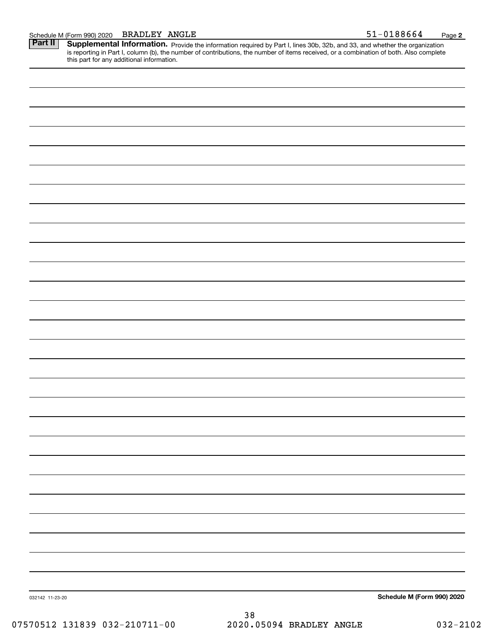| Schedule M (Form 990) 2020 | <b>BRADLEY</b> | ANGLE | 51-0188664 | Page |  |
|----------------------------|----------------|-------|------------|------|--|
|----------------------------|----------------|-------|------------|------|--|

**2**

Part II | Supplemental Information. Provide the information required by Part I, lines 30b, 32b, and 33, and whether the organization is reporting in Part I, column (b), the number of contributions, the number of items received, or a combination of both. Also complete this part for any additional information.

38 07570512 131839 032-210711-00 2020.05094 BRADLEY ANGLE 032-2102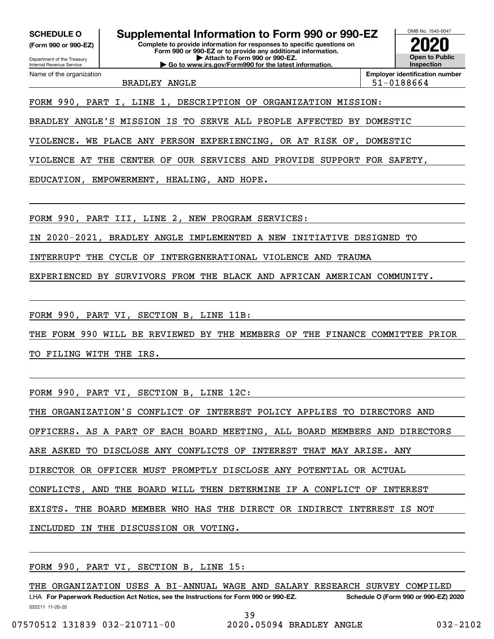**(Form 990 or 990-EZ)**

Department of the Treasury Internal Revenue Service Name of the organization

**Complete to provide information for responses to specific questions on Form 990 or 990-EZ or to provide any additional information. | Attach to Form 990 or 990-EZ. | Go to www.irs.gov/Form990 for the latest information. SCHEDULE O Supplemental Information to Form 990 or 990-EZ**



BRADLEY ANGLE 51-0188664

FORM 990, PART I, LINE 1, DESCRIPTION OF ORGANIZATION MISSION:

BRADLEY ANGLE'S MISSION IS TO SERVE ALL PEOPLE AFFECTED BY DOMESTIC

VIOLENCE. WE PLACE ANY PERSON EXPERIENCING, OR AT RISK OF, DOMESTIC

VIOLENCE AT THE CENTER OF OUR SERVICES AND PROVIDE SUPPORT FOR SAFETY,

EDUCATION, EMPOWERMENT, HEALING, AND HOPE.

FORM 990, PART III, LINE 2, NEW PROGRAM SERVICES:

2020-2021, BRADLEY ANGLE IMPLEMENTED A NEW INITIATIVE DESIGNED TO

INTERRUPT THE CYCLE OF INTERGENERATIONAL VIOLENCE AND TRAUMA

EXPERIENCED BY SURVIVORS FROM THE BLACK AND AFRICAN AMERICAN COMMUNITY.

FORM 990, PART VI, SECTION B, LINE 11B:

THE FORM 990 WILL BE REVIEWED BY THE MEMBERS OF THE FINANCE COMMITTEE PRIOR TO FILING WITH THE IRS.

FORM 990, PART VI, SECTION B, LINE 12C:

THE ORGANIZATION'S CONFLICT OF INTEREST POLICY APPLIES TO DIRECTORS AND

OFFICERS. AS A PART OF EACH BOARD MEETING, ALL BOARD MEMBERS AND DIRECTORS

ARE ASKED TO DISCLOSE ANY CONFLICTS OF INTEREST THAT MAY ARISE. ANY

DIRECTOR OR OFFICER MUST PROMPTLY DISCLOSE ANY POTENTIAL OR ACTUAL

CONFLICTS, AND THE BOARD WILL THEN DETERMINE IF A CONFLICT OF INTEREST

EXISTS. THE BOARD MEMBER WHO HAS THE DIRECT OR INDIRECT INTEREST IS NOT

INCLUDED IN THE DISCUSSION OR VOTING.

FORM 990, PART VI, SECTION B, LINE 15:

032211 11-20-20 LHA For Paperwork Reduction Act Notice, see the Instructions for Form 990 or 990-EZ. Schedule O (Form 990 or 990-EZ) 2020 THE ORGANIZATION USES A BI-ANNUAL WAGE AND SALARY RESEARCH SURVEY COMPILED